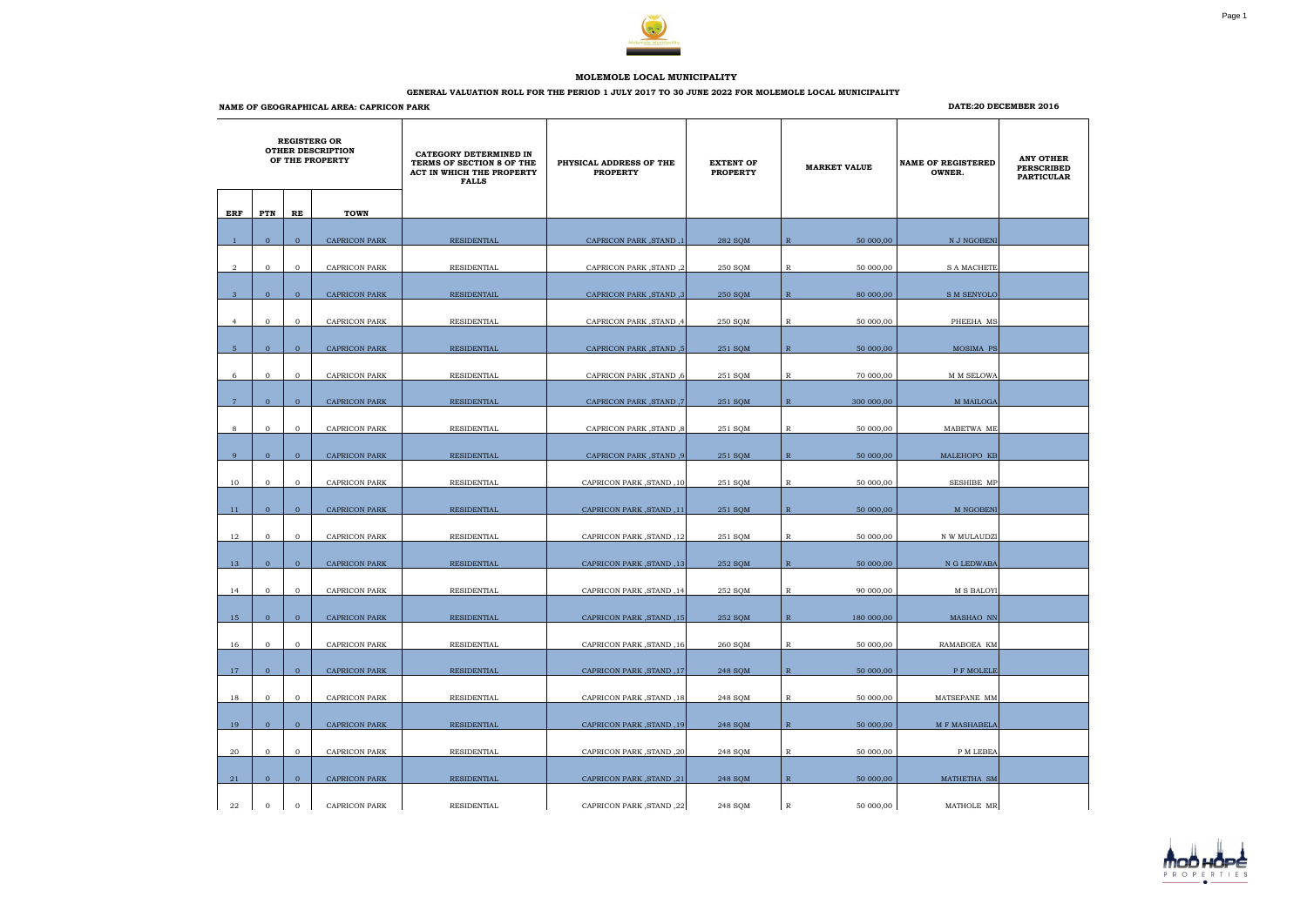|                | <b>REGISTERG OR</b><br><b>OTHER DESCRIPTION</b><br>OF THE PROPERTY |                |                      | CATEGORY DETERMINED IN<br>TERMS OF SECTION 8 OF THE<br>ACT IN WHICH THE PROPERTY<br><b>FALLS</b> | PHYSICAL ADDRESS OF THE<br><b>PROPERTY</b> | <b>EXTENT OF</b><br><b>PROPERTY</b> |              | <b>MARKET VALUE</b> | <b>NAME OF REGISTERED</b><br>OWNER. | <b>ANY OTHER</b><br><b>PERSCRIBED</b><br><b>PARTICULAR</b> |
|----------------|--------------------------------------------------------------------|----------------|----------------------|--------------------------------------------------------------------------------------------------|--------------------------------------------|-------------------------------------|--------------|---------------------|-------------------------------------|------------------------------------------------------------|
| ERF            | PTN                                                                | RE             | <b>TOWN</b>          |                                                                                                  |                                            |                                     |              |                     |                                     |                                                            |
|                |                                                                    |                |                      |                                                                                                  |                                            |                                     |              |                     |                                     |                                                            |
|                | $\overline{0}$                                                     | $\overline{0}$ | <b>CAPRICON PARK</b> | <b>RESIDENTIAL</b>                                                                               | <b>CAPRICON PARK, STAND, 1</b>             | 282 SQM                             | $\mathbb{R}$ | 50 000,00           | N J NGOBENI                         |                                                            |
| $\overline{2}$ | $\mathbf{0}$                                                       | $\mathbf{0}$   | <b>CAPRICON PARK</b> | RESIDENTIAL                                                                                      | CAPRICON PARK, STAND, 2                    | 250 SQM                             | $\mathbb{R}$ | 50 000,00           | <b>S A MACHETE</b>                  |                                                            |
| $\mathbf{3}$   | $\overline{0}$                                                     | $\overline{0}$ | <b>CAPRICON PARK</b> | RESIDENTAIL                                                                                      | CAPRICON PARK, STAND, 3                    | 250 SQM                             | $\mathbb{R}$ | 80 000,00           | S M SENYOLO                         |                                                            |
|                |                                                                    |                |                      |                                                                                                  |                                            |                                     |              |                     |                                     |                                                            |
| $\overline{4}$ | $\mathbf{0}$                                                       | $\overline{0}$ | CAPRICON PARK        | RESIDENTIAL                                                                                      | 4, CAPRICON PARK, STAND                    | 250 SQM                             | R            | 50 000,00           | PHEEHA MS                           |                                                            |
| 5 <sup>5</sup> | $\overline{0}$                                                     | $\overline{0}$ | <b>CAPRICON PARK</b> | RESIDENTIAL                                                                                      | [5, CAPRICON PARK, STAND                   | 251 SOM                             | $\mathbb{R}$ | 50 000,00           | MOSIMA PS                           |                                                            |
| 6              | $\overline{0}$                                                     | $\mathbf{0}$   | CAPRICON PARK        | RESIDENTIAL                                                                                      | <b>CAPRICON PARK, STAND, 6</b>             | 251 SQM                             | R            | 70 000,00           | M M SELOWA                          |                                                            |
| $\overline{7}$ | $\overline{0}$                                                     | $\overline{0}$ | <b>CAPRICON PARK</b> | <b>RESIDENTIAL</b>                                                                               | CAPRICON PARK , STAND, 7                   | 251 SOM                             | $\mathbb{R}$ | 300 000,00          | <b>M MAILOGA</b>                    |                                                            |
|                |                                                                    |                |                      |                                                                                                  |                                            |                                     |              |                     |                                     |                                                            |
| 8              | $\mathbf{0}$                                                       | $\mathbf{0}$   | <b>CAPRICON PARK</b> | RESIDENTIAL                                                                                      | <b>CAPRICON PARK, STAND, 8</b>             | 251 SQM                             | $\mathbb{R}$ | 50 000,00           | MABETWA ME                          |                                                            |
| 9              | $\overline{0}$                                                     | $\mathbf{0}$   | <b>CAPRICON PARK</b> | RESIDENTIAL                                                                                      | [9, CAPRICON PARK, STAND                   | 251 SQM                             | $\mathbb{R}$ | 50 000,00           | MALEHOPO KB                         |                                                            |
| 10             | $\overline{0}$                                                     | $\overline{0}$ | CAPRICON PARK        | RESIDENTIAL                                                                                      | CAPRICON PARK, STAND, 10                   | 251 SQM                             | R            | 50 000,00           | SESHIBE MP                          |                                                            |
|                |                                                                    |                |                      |                                                                                                  |                                            |                                     |              |                     |                                     |                                                            |
| 11             | $\overline{0}$                                                     | $\overline{0}$ | <b>CAPRICON PARK</b> | RESIDENTIAL                                                                                      | CAPRICON PARK, STAND, 11                   | 251 SQM                             | $\mathbb{R}$ | 50 000,00           | M NGOBENI                           |                                                            |
| 12             | $\mathbf{0}$                                                       | $\mathbf{0}$   | CAPRICON PARK        | RESIDENTIAL                                                                                      | CAPRICON PARK, STAND, 12                   | 251 SQM                             | $\mathbb R$  | 50 000,00           | N W MULAUDZI                        |                                                            |
| 13             | $\overline{0}$                                                     | $\mathbf{0}$   | <b>CAPRICON PARK</b> | <b>RESIDENTIAL</b>                                                                               | CAPRICON PARK, STAND, 13                   | 252 SQM                             | $\mathbb{R}$ | 50 000,00           | N G LEDWABA                         |                                                            |
| 14             | $\mathbf{0}$                                                       | $\mathbf{0}$   | <b>CAPRICON PARK</b> | RESIDENTIAL                                                                                      | CAPRICON PARK, STAND, 14                   | 252 SQM                             | $\mathbb R$  | 90 000,00           | <b>M S BALOYI</b>                   |                                                            |
|                |                                                                    |                |                      |                                                                                                  |                                            |                                     |              |                     |                                     |                                                            |
| 15             | $\overline{0}$                                                     | $\overline{0}$ | CAPRICON PARK        | RESIDENTIAL                                                                                      | CAPRICON PARK, STAND, 15                   | 252 SQM                             | $\mathbb{R}$ | 180 000,00          | MASHAO NN                           |                                                            |
| 16             | $\mathbf{0}$                                                       | $\overline{0}$ | CAPRICON PARK        | RESIDENTIAL                                                                                      | CAPRICON PARK, STAND, 16                   | 260 SQM                             | $\mathbb R$  | 50 000,00           | RAMABOEA KM                         |                                                            |
| <b>17</b>      | $\overline{0}$                                                     | $\overline{0}$ | <b>CAPRICON PARK</b> | <b>RESIDENTIAL</b>                                                                               | CAPRICON PARK, STAND, 17                   | 248 SQM                             | $\mathbb{R}$ | 50 000,00           | P F MOLELE                          |                                                            |
|                |                                                                    |                |                      |                                                                                                  |                                            |                                     |              |                     |                                     |                                                            |
| 18             | $\mathbf{0}$                                                       | $\mathbf{0}$   | CAPRICON PARK        | RESIDENTIAL                                                                                      | CAPRICON PARK, STAND, 18                   | 248 SQM                             | $\mathbb{R}$ | 50 000,00           | MATSEPANE MM                        |                                                            |
| 19             | $\overline{0}$                                                     | $\overline{0}$ | <b>CAPRICON PARK</b> | RESIDENTIAL                                                                                      | CAPRICON PARK, STAND, 19                   | 248 SQM                             | $\mathbb{R}$ | 50 000,00           | M F MASHABELA                       |                                                            |
| 20             | $\mathbf{0}$                                                       | $\overline{0}$ | CAPRICON PARK        | RESIDENTIAL                                                                                      | CAPRICON PARK, STAND, 20                   | 248 SQM                             | $\mathbb R$  | 50 000,00           | P M LEBEA                           |                                                            |
| 21             | $\overline{0}$                                                     | $\overline{0}$ | <b>CAPRICON PARK</b> | RESIDENTIAL                                                                                      | CAPRICON PARK, STAND, 21                   | 248 SQM                             | $\mathbb{R}$ | 50 000,00           | MATHETHA SM                         |                                                            |
|                |                                                                    |                |                      |                                                                                                  |                                            |                                     |              |                     |                                     |                                                            |
| 22             | $\mathbf{0}$                                                       | $\overline{0}$ | CAPRICON PARK        | RESIDENTIAL                                                                                      | CAPRICON PARK, STAND, 22                   | 248 SQM                             | $\mathbb R$  | 50 000,00           | MATHOLE MR                          |                                                            |



## **MOLEMOLE LOCAL MUNICIPALITY**

## **GENERAL VALUATION ROLL FOR THE PERIOD 1 JULY 2017 TO 30 JUNE 2022 FOR MOLEMOLE LOCAL MUNICIPALITY**

**NAME OF GEOGRAPHICAL AREA: CAPRICON PARK**

## **DATE:20 DECEMBER 2016**

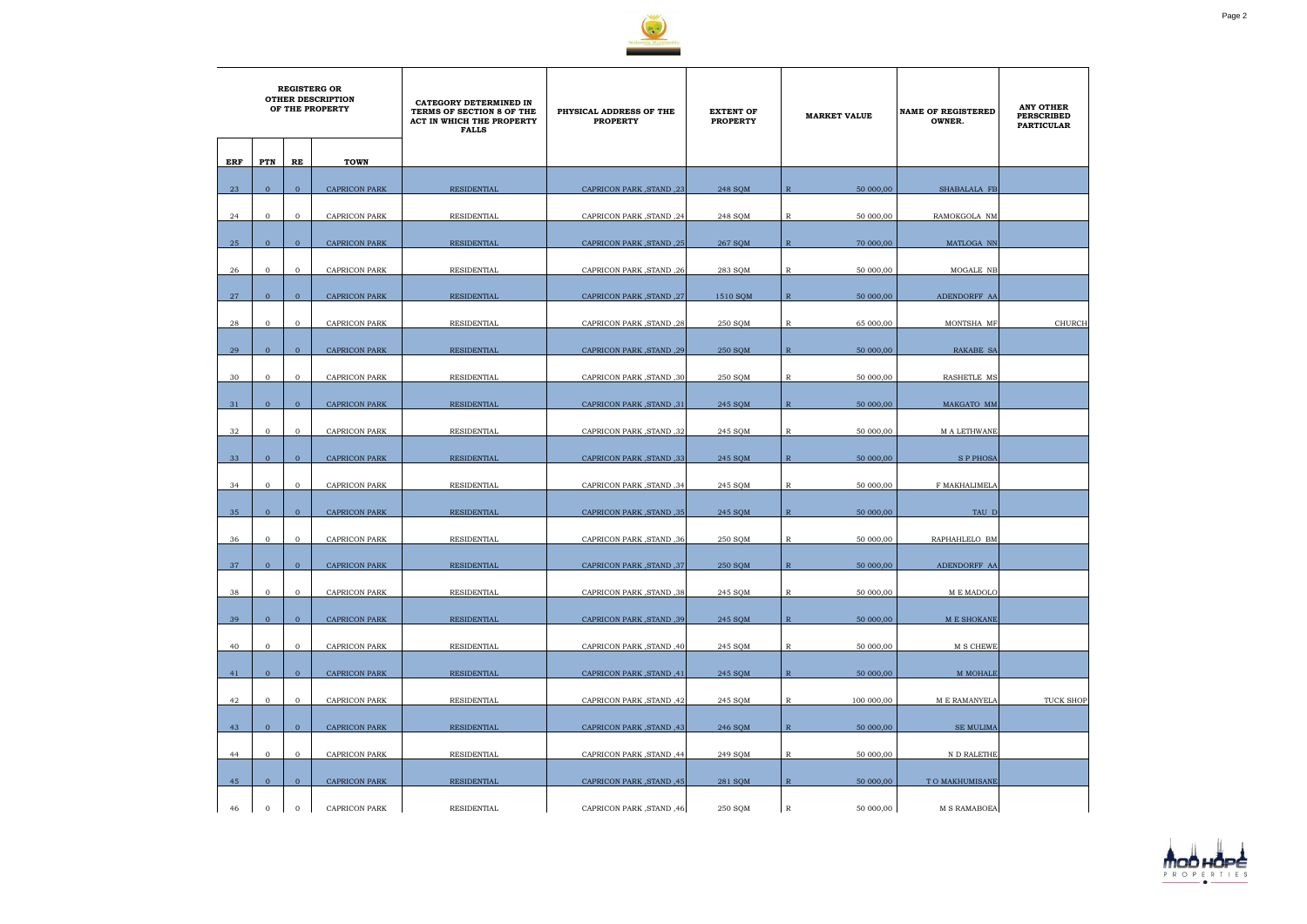

|     | <b>REGISTERG OR</b><br><b>OTHER DESCRIPTION</b><br>OF THE PROPERTY |                |                      | CATEGORY DETERMINED IN<br>TERMS OF SECTION 8 OF THE<br>ACT IN WHICH THE PROPERTY<br><b>FALLS</b> | PHYSICAL ADDRESS OF THE<br><b>PROPERTY</b> | <b>EXTENT OF</b><br><b>PROPERTY</b> | <b>MARKET VALUE</b>         | <b>NAME OF REGISTERED</b><br>OWNER. | <b>ANY OTHER</b><br><b>PERSCRIBED</b><br><b>PARTICULAR</b> |
|-----|--------------------------------------------------------------------|----------------|----------------------|--------------------------------------------------------------------------------------------------|--------------------------------------------|-------------------------------------|-----------------------------|-------------------------------------|------------------------------------------------------------|
| ERF | PTN                                                                | RE             | <b>TOWN</b>          |                                                                                                  |                                            |                                     |                             |                                     |                                                            |
|     | $\overline{0}$                                                     |                |                      |                                                                                                  |                                            |                                     |                             |                                     |                                                            |
| 23  |                                                                    | $\mathbf{0}$   | <b>CAPRICON PARK</b> | <b>RESIDENTIAL</b>                                                                               | CAPRICON PARK, STAND, 23                   | 248 SQM                             | $\mathbb{R}$<br>50 000,00   | SHABALALA FB                        |                                                            |
| 24  | $\mathbf{0}$                                                       | $\overline{0}$ | CAPRICON PARK        | RESIDENTIAL                                                                                      | CAPRICON PARK, STAND, 24                   | 248 SQM                             | R<br>50 000,00              | RAMOKGOLA NM                        |                                                            |
| 25  | $\mathbf{0}$                                                       | $\overline{0}$ | <b>CAPRICON PARK</b> | <b>RESIDENTIAL</b>                                                                               | CAPRICON PARK, STAND, 25                   | 267 SQM                             | 70 000,00<br>$\mathbb{R}$   | MATLOGA NN                          |                                                            |
| 26  | $\mathbf{0}$                                                       | $\overline{0}$ | <b>CAPRICON PARK</b> | RESIDENTIAL                                                                                      | CAPRICON PARK, STAND, 26                   | 283 SQM                             | $\mathbb R$<br>50 000,00    | MOGALE NB                           |                                                            |
| 27  | $\mathbf{0}$                                                       | $\mathbf{0}$   | <b>CAPRICON PARK</b> | <b>RESIDENTIAL</b>                                                                               | CAPRICON PARK, STAND, 27                   | 1510 SOM                            | $\mathbb{R}$<br>50 000,00   | ADENDORFF AA                        |                                                            |
|     |                                                                    |                |                      |                                                                                                  |                                            |                                     |                             |                                     |                                                            |
| 28  | $\mathbf{0}$                                                       | $\mathbf{O}$   | <b>CAPRICON PARK</b> | RESIDENTIAL                                                                                      | CAPRICON PARK, STAND, 28                   | 250 SQM                             | 65 000,00<br>R              | MONTSHA MF                          | <b>CHURCH</b>                                              |
| 29  | $\overline{0}$                                                     | $\overline{0}$ | <b>CAPRICON PARK</b> | <b>RESIDENTIAL</b>                                                                               | CAPRICON PARK, STAND, 29                   | 250 SOM                             | $\mathbb{R}$<br>50 000,00   | <b>RAKABE SA</b>                    |                                                            |
| 30  | $\mathbf{0}$                                                       | $\mathbf{0}$   | <b>CAPRICON PARK</b> | RESIDENTIAL                                                                                      | <b>CAPRICON PARK, STAND, 30</b>            | 250 SQM                             | R<br>50 000,00              | RASHETLE MS                         |                                                            |
| 31  | $\overline{0}$                                                     | $\overline{0}$ | <b>CAPRICON PARK</b> | <b>RESIDENTIAL</b>                                                                               | CAPRICON PARK, STAND, 31                   | 245 SQM                             | $\mathbb{R}$<br>50 000,00   | MAKGATO MM                          |                                                            |
| 32  | $\mathbf{0}$                                                       | $\overline{0}$ | <b>CAPRICON PARK</b> | RESIDENTIAL                                                                                      | CAPRICON PARK, STAND, 32                   | 245 SQM                             | R<br>50 000,00              | <b>MALETHWANE</b>                   |                                                            |
|     |                                                                    |                |                      |                                                                                                  |                                            |                                     |                             |                                     |                                                            |
| 33  | $\mathbf{0}$                                                       | $\mathbf{0}$   | <b>CAPRICON PARK</b> | RESIDENTIAL                                                                                      | CAPRICON PARK, STAND, 33                   | 245 SQM                             | $\mathbb{R}$<br>50 000,00   | <b>SP PHOSA</b>                     |                                                            |
| 34  | $\mathbf{0}$                                                       | $\overline{0}$ | CAPRICON PARK        | RESIDENTIAL                                                                                      | CAPRICON PARK, STAND, 34                   | 245 SQM                             | 50 000,00<br>R              | F MAKHALIMELA                       |                                                            |
| 35  | $\Omega$                                                           | $\overline{0}$ | <b>CAPRICON PARK</b> | RESIDENTIAL                                                                                      | <b>CAPRICON PARK, STAND, 35</b>            | 245 SQM                             | $\overline{R}$<br>50 000,00 | TAU D                               |                                                            |
| 36  | $\mathbf{0}$                                                       | $\overline{0}$ | <b>CAPRICON PARK</b> | RESIDENTIAL                                                                                      | CAPRICON PARK, STAND, 36                   | 250 SQM                             | 50 000,00<br>R              | RAPHAHLELO BM                       |                                                            |
| 37  | $\overline{0}$                                                     | $\mathbf{0}$   | CAPRICON PARK        | <b>RESIDENTIAL</b>                                                                               | CAPRICON PARK, STAND, 37                   | 250 SQM                             | $\mathbb{R}$<br>50 000,00   | ADENDORFF AA                        |                                                            |
|     |                                                                    |                |                      |                                                                                                  |                                            |                                     |                             |                                     |                                                            |
| 38  | $\overline{0}$                                                     | $\mathbf{O}$   | <b>CAPRICON PARK</b> | RESIDENTIAL                                                                                      | CAPRICON PARK, STAND, 38                   | 245 SQM                             | $\mathbb R$<br>50 000,00    | M E MADOLO                          |                                                            |
| 39  | $\overline{0}$                                                     | $\overline{0}$ | <b>CAPRICON PARK</b> | <b>RESIDENTIAL</b>                                                                               | CAPRICON PARK, STAND, 39                   | 245 SOM                             | $\mathbb{R}$<br>50 000,00   | M E SHOKANE                         |                                                            |
| 40  | $\overline{0}$                                                     | $\mathbf{0}$   | <b>CAPRICON PARK</b> | RESIDENTIAL                                                                                      | CAPRICON PARK, STAND, 40                   | 245 SQM                             | $\mathbb{R}$<br>50 000,00   | M S CHEWE                           |                                                            |
| 41  | $\overline{0}$                                                     | $\overline{0}$ | <b>CAPRICON PARK</b> | RESIDENTIAL                                                                                      | CAPRICON PARK, STAND, 41                   | 245 SQM                             | $\mathbb{R}$<br>50 000,00   | M MOHALE                            |                                                            |
| 42  | $\mathbf{0}$                                                       | $\overline{0}$ | <b>CAPRICON PARK</b> | RESIDENTIAL                                                                                      | CAPRICON PARK, STAND, 42                   | 245 SQM                             | $\mathbb R$<br>100 000,00   | M E RAMANYELA                       | TUCK SHOP                                                  |
|     |                                                                    |                |                      |                                                                                                  |                                            |                                     |                             |                                     |                                                            |
| 43  | $\overline{0}$                                                     | $\overline{0}$ | <b>CAPRICON PARK</b> | <b>RESIDENTIAL</b>                                                                               | CAPRICON PARK, STAND, 43                   | 246 SQM                             | $\mathbb{R}$<br>50 000,00   | <b>SE MULIMA</b>                    |                                                            |
| 44  | $\overline{0}$                                                     | $\overline{0}$ | <b>CAPRICON PARK</b> | RESIDENTIAL                                                                                      | CAPRICON PARK, STAND, 44                   | 249 SQM                             | R<br>50 000,00              | N D RALETHE                         |                                                            |
| 45  | $\mathbf{0}$                                                       | $\mathbf{0}$   | <b>CAPRICON PARK</b> | RESIDENTIAL                                                                                      | CAPRICON PARK, STAND, 45                   | 281 SQM                             | $\mathbb{R}$<br>50 000,00   | TO MAKHUMISANE                      |                                                            |
| 46  | $\mathbf{0}$                                                       | $\mathbf 0$    | <b>CAPRICON PARK</b> | RESIDENTIAL                                                                                      | CAPRICON PARK, STAND, 46                   | 250 SQM                             | $\mathbb R$<br>50 000,00    | <b>M S RAMABOEA</b>                 |                                                            |

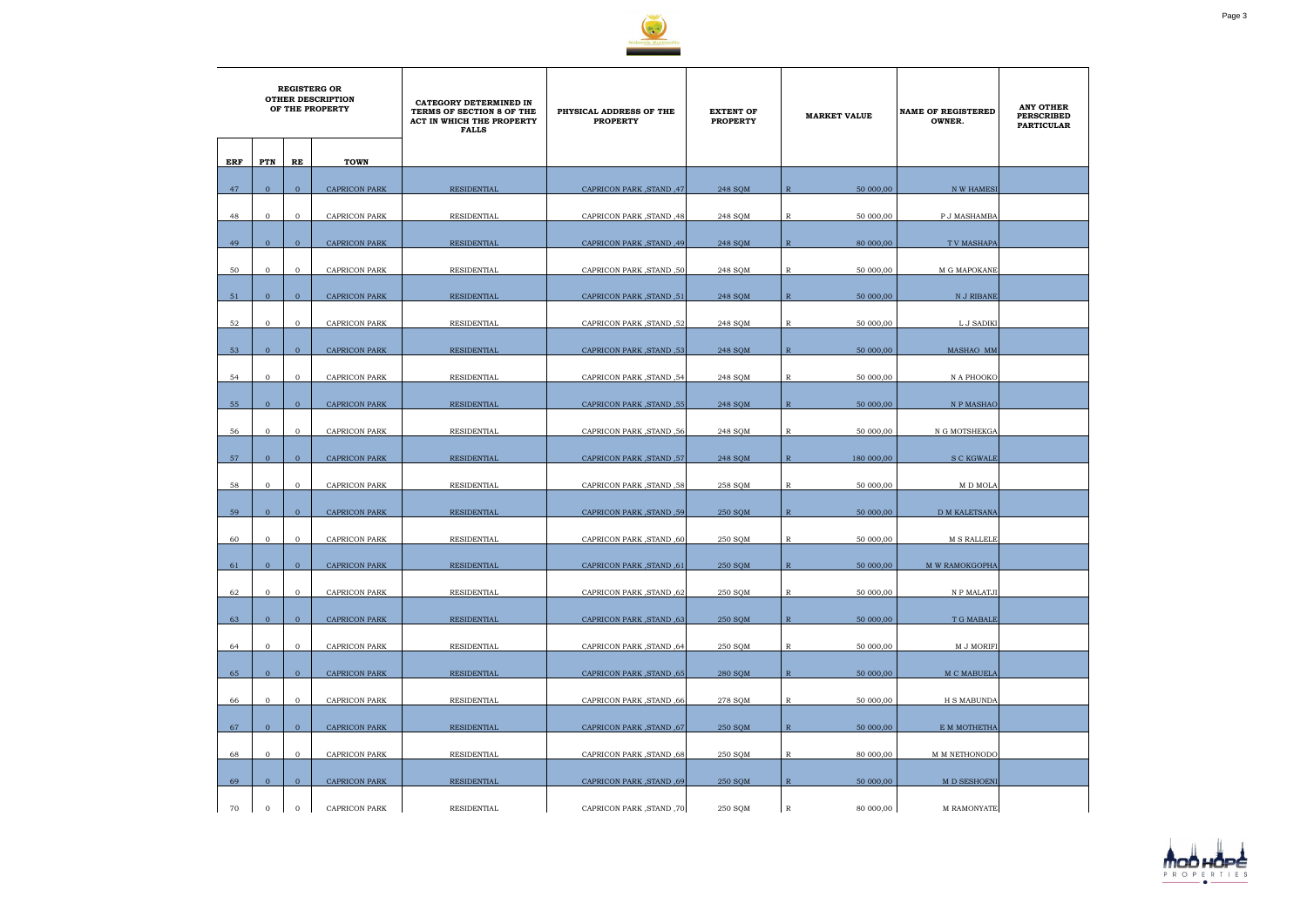

|     |                  | <b>REGISTERG OR</b> | <b>OTHER DESCRIPTION</b><br>OF THE PROPERTY | CATEGORY DETERMINED IN<br>TERMS OF SECTION 8 OF THE<br>ACT IN WHICH THE PROPERTY<br><b>FALLS</b> | PHYSICAL ADDRESS OF THE<br><b>PROPERTY</b> | <b>EXTENT OF</b><br><b>PROPERTY</b> | <b>MARKET VALUE</b>        | <b>NAME OF REGISTERED</b><br>OWNER. | <b>ANY OTHER</b><br><b>PERSCRIBED</b><br><b>PARTICULAR</b> |
|-----|------------------|---------------------|---------------------------------------------|--------------------------------------------------------------------------------------------------|--------------------------------------------|-------------------------------------|----------------------------|-------------------------------------|------------------------------------------------------------|
| ERF | PTN              | RE                  | <b>TOWN</b>                                 |                                                                                                  |                                            |                                     |                            |                                     |                                                            |
| 47  | $\mathbf{0}$     | $\overline{0}$      | <b>CAPRICON PARK</b>                        | <b>RESIDENTIAL</b>                                                                               | CAPRICON PARK, STAND, 47                   | 248 SOM                             | $\mathbb{R}$<br>50 000,00  | N W HAMESI                          |                                                            |
| 48  | $\mathbf{0}$     | $\overline{0}$      | CAPRICON PARK                               | RESIDENTIAL                                                                                      | CAPRICON PARK, STAND, 48                   | 248 SQM                             | R<br>50 000,00             | P J MASHAMBA                        |                                                            |
| 49  | $\mathbf{0}$     | $\mathbf{0}$        | <b>CAPRICON PARK</b>                        | <b>RESIDENTIAL</b>                                                                               | CAPRICON PARK, STAND, 49                   | 248 SQM                             | $\mathbb{R}$<br>80 000,00  | <b>TV MASHAPA</b>                   |                                                            |
|     |                  |                     |                                             |                                                                                                  |                                            |                                     |                            |                                     |                                                            |
| 50  | $\mathbf{0}$     | $\mathbf 0$         | <b>CAPRICON PARK</b>                        | RESIDENTIAL                                                                                      | CAPRICON PARK, STAND, 50                   | 248 SQM                             | R<br>50 000,00             | M G MAPOKANE                        |                                                            |
| 51  | $\mathbf{0}$     | $\mathbf{0}$        | <b>CAPRICON PARK</b>                        | <b>RESIDENTIAL</b>                                                                               | CAPRICON PARK, STAND, 51                   | 248 SQM                             | $\mathbb{R}$<br>50 000,00  | N J RIBANE                          |                                                            |
| 52  | $\mathbf{0}$     | $\mathbf{O}$        | <b>CAPRICON PARK</b>                        | RESIDENTIAL                                                                                      | CAPRICON PARK, STAND, 52                   | 248 SQM                             | 50 000,00<br>R             | L J SADIKI                          |                                                            |
| 53  | $\mathbf{0}$     | $\mathbf{0}$        | <b>CAPRICON PARK</b>                        | RESIDENTIAL                                                                                      | CAPRICON PARK, STAND, 53                   | 248 SOM                             | $\mathbb{R}$<br>50 000,00  | MASHAO MM                           |                                                            |
| 54  | $\mathbf{0}$     | $\mathbf{0}$        | <b>CAPRICON PARK</b>                        | RESIDENTIAL                                                                                      | <b>CAPRICON PARK, STAND, 54</b>            | 248 SQM                             | R<br>50 000,00             | N A PHOOKO                          |                                                            |
| 55  | $\overline{0}$   | $\mathbf{0}$        | <b>CAPRICON PARK</b>                        | RESIDENTIAL                                                                                      | <b>CAPRICON PARK, STAND, 55</b>            | 248 SQM                             | $\mathbb{R}$<br>50 000,00  | N P MASHAO                          |                                                            |
|     |                  |                     |                                             |                                                                                                  |                                            |                                     |                            |                                     |                                                            |
| 56  | $\mathbf{O}$     | $\mathbf{O}$        | <b>CAPRICON PARK</b>                        | RESIDENTIAL                                                                                      | CAPRICON PARK, STAND, 56                   | 248 SQM                             | 50 000,00<br>R             | N G MOTSHEKGA                       |                                                            |
| 57  | $\mathbf{0}$     | $\overline{0}$      | <b>CAPRICON PARK</b>                        | RESIDENTIAL                                                                                      | CAPRICON PARK, STAND, 57                   | 248 SQM                             | $\mathbb{R}$<br>180 000,00 | <b>S C KGWALE</b>                   |                                                            |
| 58  | $\mathbf{0}$     | $\mathbf{O}$        | CAPRICON PARK                               | RESIDENTIAL                                                                                      | <b>CAPRICON PARK, STAND, 58</b>            | 258 SQM                             | R<br>50 000,00             | M D MOLA                            |                                                            |
| 59  | $\Omega$         | $\overline{0}$      | <b>CAPRICON PARK</b>                        | RESIDENTIAL                                                                                      | CAPRICON PARK, STAND, 59                   | 250 SOM                             | R<br>50 000,00             | <b>D M KALETSANA</b>                |                                                            |
| 60  | $\mathbf{0}$     | $\overline{0}$      | <b>CAPRICON PARK</b>                        | RESIDENTIAL                                                                                      | <b>CAPRICON PARK, STAND, 60</b>            | 250 SQM                             | 50 000,00<br>R             | <b>M S RALLELE</b>                  |                                                            |
|     | $\mathbf{0}$     | $\mathbf{0}$        |                                             |                                                                                                  |                                            |                                     |                            | M W RAMOKGOPHA                      |                                                            |
| 61  |                  |                     | CAPRICON PARK                               | <b>RESIDENTIAL</b>                                                                               | CAPRICON PARK, STAND, 61                   | 250 SQM                             | $\mathbb{R}$<br>50 000,00  |                                     |                                                            |
| 62  | $\overline{0}$   | $\mathbf{O}$        | <b>CAPRICON PARK</b>                        | RESIDENTIAL                                                                                      | CAPRICON PARK , STAND , 62                 | 250 SQM                             | R<br>50 000,00             | N P MALATJI                         |                                                            |
| 63  | $\mathbf{0}$     | $\overline{0}$      | <b>CAPRICON PARK</b>                        | <b>RESIDENTIAL</b>                                                                               | CAPRICON PARK, STAND, 63                   | 250 SQM                             | $\mathbb{R}$<br>50 000,00  | T G MABALE                          |                                                            |
| 64  | $\overline{0}$   | $\mathbf{0}$        | <b>CAPRICON PARK</b>                        | RESIDENTIAL                                                                                      | <b>CAPRICON PARK, STAND, 64</b>            | 250 SQM                             | $\mathbb{R}$<br>50 000,00  | M J MORIFI                          |                                                            |
| 65  | $\overline{0}$   | $\overline{0}$      | <b>CAPRICON PARK</b>                        | RESIDENTIAL                                                                                      | CAPRICON PARK, STAND, 65                   | 280 SQM                             | $\mathbb{R}$<br>50 000,00  | M C MABUELA                         |                                                            |
| 66  | $\overline{0}$   | $\mathbf{O}$        | <b>CAPRICON PARK</b>                        | RESIDENTIAL                                                                                      | CAPRICON PARK, STAND, 66                   | 278 SQM                             | $\mathbb{R}$<br>50 000,00  | H S MABUNDA                         |                                                            |
|     |                  |                     |                                             |                                                                                                  |                                            |                                     |                            |                                     |                                                            |
| 67  | $\overline{0}$   | $\overline{0}$      | <b>CAPRICON PARK</b>                        | <b>RESIDENTIAL</b>                                                                               | CAPRICON PARK, STAND, 67                   | 250 SQM                             | $\mathbb{R}$<br>50 000,00  | E M MOTHETHA                        |                                                            |
| 68  | $\overline{0}$   | $\mathbf{O}$        | <b>CAPRICON PARK</b>                        | RESIDENTIAL                                                                                      | CAPRICON PARK, STAND, 68                   | 250 SQM                             | R<br>80 000,00             | M M NETHONODO                       |                                                            |
| 69  | $\overline{0}$   | $\overline{0}$      | <b>CAPRICON PARK</b>                        | <b>RESIDENTIAL</b>                                                                               | <b>CAPRICON PARK, STAND, 69</b>            | 250 SQM                             | $\mathbb{R}$<br>50 000,00  | M D SESHOENI                        |                                                            |
| 70  | $\boldsymbol{0}$ | $\mathbf{0}$        | <b>CAPRICON PARK</b>                        | RESIDENTIAL                                                                                      | CAPRICON PARK, STAND, 70                   | 250 SQM                             | $\mathbb{R}$<br>80 000,00  | M RAMONYATE                         |                                                            |

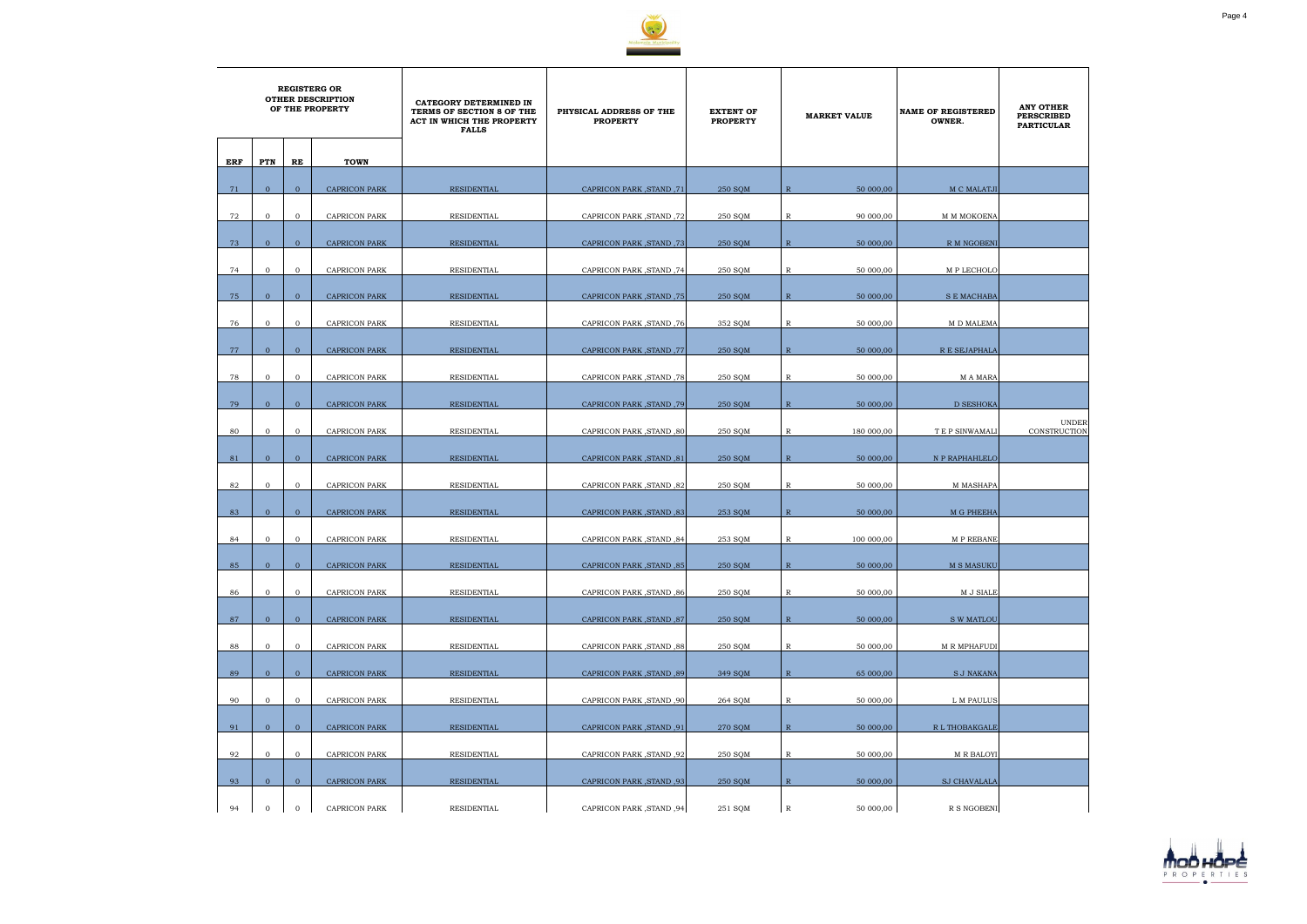

|     | <b>REGISTERG OR</b><br><b>OTHER DESCRIPTION</b><br>OF THE PROPERTY |                |                      | CATEGORY DETERMINED IN<br>TERMS OF SECTION 8 OF THE<br><b>ACT IN WHICH THE PROPERTY</b><br><b>FALLS</b> | PHYSICAL ADDRESS OF THE<br><b>PROPERTY</b> | <b>EXTENT OF</b><br><b>PROPERTY</b> | <b>MARKET VALUE</b>       | <b>NAME OF REGISTERED</b><br>OWNER. | <b>ANY OTHER</b><br><b>PERSCRIBED</b><br><b>PARTICULAR</b> |
|-----|--------------------------------------------------------------------|----------------|----------------------|---------------------------------------------------------------------------------------------------------|--------------------------------------------|-------------------------------------|---------------------------|-------------------------------------|------------------------------------------------------------|
| ERF | PTN                                                                | RE             | <b>TOWN</b>          |                                                                                                         |                                            |                                     |                           |                                     |                                                            |
| 71  | $\overline{0}$                                                     | $\mathbf{0}$   | <b>CAPRICON PARK</b> | <b>RESIDENTIAL</b>                                                                                      | 71, CAPRICON PARK, STAND                   | 250 SQM                             | $\mathbb{R}$<br>50 000,00 | M C MALATJI                         |                                                            |
|     |                                                                    |                |                      |                                                                                                         |                                            |                                     |                           |                                     |                                                            |
| 72  | $\mathbf 0$                                                        | $\overline{0}$ | CAPRICON PARK        | RESIDENTIAL                                                                                             | CAPRICON PARK, STAND, 72                   | 250 SQM                             | 90 000,00<br>R            | M M MOKOENA                         |                                                            |
| 73  | $\mathbf{0}$                                                       | $\overline{0}$ | <b>CAPRICON PARK</b> | <b>RESIDENTIAL</b>                                                                                      | CAPRICON PARK, STAND, 73                   | 250 SQM                             | 50 000,00<br>$\mathbb{R}$ | R M NGOBENI                         |                                                            |
| 74  | $\mathbf 0$                                                        | $\mathbf{0}$   | <b>CAPRICON PARK</b> | RESIDENTIAL                                                                                             | CAPRICON PARK, STAND, 74                   | 250 SQM                             | $\mathbb{R}$<br>50 000,00 | M P LECHOLO                         |                                                            |
| 75  | $\mathbf{0}$                                                       | $\mathbf{0}$   | <b>CAPRICON PARK</b> | RESIDENTIAL                                                                                             | CAPRICON PARK, STAND, 75                   | 250 SQM                             | $\mathbb{R}$<br>50 000,00 | S E MACHABA                         |                                                            |
| 76  | $\mathbf{0}$                                                       | $\overline{0}$ | CAPRICON PARK        | RESIDENTIAL                                                                                             | CAPRICON PARK, STAND, 76                   | 352 SQM                             | $\mathbb{R}$<br>50 000,00 | M D MALEMA                          |                                                            |
|     |                                                                    |                |                      |                                                                                                         |                                            |                                     |                           |                                     |                                                            |
| 77  | $\overline{0}$                                                     | $\overline{0}$ | <b>CAPRICON PARK</b> | RESIDENTIAL                                                                                             | CAPRICON PARK, STAND, 77                   | 250 SOM                             | $\mathbb{R}$<br>50 000,00 | R E SEJAPHALA                       |                                                            |
| 78  | $\mathbf{0}$                                                       | $\overline{0}$ | CAPRICON PARK        | RESIDENTIAL                                                                                             | 78, CAPRICON PARK, STAND                   | 250 SQM                             | R<br>50 000,00            | M A MARA                            |                                                            |
| 79  | $\overline{0}$                                                     | $\overline{0}$ | <b>CAPRICON PARK</b> | <b>RESIDENTIAL</b>                                                                                      | CAPRICON PARK, STAND, 79                   | 250 SQM                             | $\mathbb{R}$<br>50 000,00 | <b>D SESHOKA</b>                    |                                                            |
| 80  | $\mathbf{0}$                                                       | $\mathbf{0}$   | <b>CAPRICON PARK</b> | RESIDENTIAL                                                                                             | <b>CAPRICON PARK, STAND, 80</b>            | 250 SQM                             | 180 000,00<br>R           | <b>TEP SINWAMALI</b>                | <b>UNDER</b><br>CONSTRUCTION                               |
| 81  | $\mathbf{0}$                                                       | $\overline{0}$ | <b>CAPRICON PARK</b> | RESIDENTIAL                                                                                             | <b>CAPRICON PARK, STAND, 81</b>            | 250 SQM                             | $\mathbb{R}$<br>50 000,00 | N P RAPHAHLELO                      |                                                            |
| 82  | $\mathbf 0$                                                        | $\mathbf{0}$   |                      |                                                                                                         |                                            |                                     | 50 000,00<br>R            | <b>M MASHAPA</b>                    |                                                            |
|     |                                                                    |                | CAPRICON PARK        | RESIDENTIAL                                                                                             | <b>CAPRICON PARK, STAND, 82</b>            | 250 SQM                             |                           |                                     |                                                            |
| 83  | $\overline{0}$                                                     | $\overline{0}$ | <b>CAPRICON PARK</b> | <b>RESIDENTIAL</b>                                                                                      | CAPRICON PARK, STAND, 83                   | 253 SQM                             | R<br>50 000,00            | M G PHEEHA                          |                                                            |
| 84  | $\mathbf 0$                                                        | $\overline{0}$ | <b>CAPRICON PARK</b> | RESIDENTIAL                                                                                             | <b>CAPRICON PARK, STAND, 84</b>            | 253 SQM                             | 100 000,00<br>R           | M P REBANE                          |                                                            |
| 85  | $\mathbf{0}$                                                       | $\mathbf{0}$   | CAPRICON PARK        | <b>RESIDENTIAL</b>                                                                                      | <b>CAPRICON PARK, STAND, 85</b>            | 250 SQM                             | $\mathbb{R}$<br>50 000,00 | M S MASUKU                          |                                                            |
| 86  | $\overline{0}$                                                     | $\mathbf 0$    | <b>CAPRICON PARK</b> | RESIDENTIAL                                                                                             | CAPRICON PARK, STAND, 86                   | 250 SQM                             | $\mathbb{R}$<br>50 000,00 | M J SIALE                           |                                                            |
| 87  | $\overline{0}$                                                     | $\mathbf{0}$   | <b>CAPRICON PARK</b> | RESIDENTIAL                                                                                             | <b>CAPRICON PARK, STAND, 87</b>            | 250 SQM                             | $\mathbb{R}$<br>50 000,00 | S W MATLOU                          |                                                            |
|     |                                                                    |                |                      |                                                                                                         |                                            |                                     |                           |                                     |                                                            |
| 88  | $\mathbf{0}$                                                       | $\overline{0}$ | <b>CAPRICON PARK</b> | RESIDENTIAL                                                                                             | <b>CAPRICON PARK, STAND, 88</b>            | 250 SQM                             | $\mathbb{R}$<br>50 000,00 | <b>M R MPHAFUDI</b>                 |                                                            |
| 89  | $\overline{0}$                                                     | $\overline{0}$ | <b>CAPRICON PARK</b> | RESIDENTIAL                                                                                             | <b>CAPRICON PARK, STAND, 89</b>            | 349 SQM                             | $\mathbb{R}$<br>65 000,00 | <b>S J NAKANA</b>                   |                                                            |
| 90  | $\mathbf{0}$                                                       | $\overline{0}$ | CAPRICON PARK        | RESIDENTIAL                                                                                             | <b>CAPRICON PARK, STAND, 90</b>            | 264 SQM                             | $\mathbb{R}$<br>50 000,00 | L M PAULUS                          |                                                            |
| 91  | $\overline{0}$                                                     | $\overline{0}$ | <b>CAPRICON PARK</b> | <b>RESIDENTIAL</b>                                                                                      | <b>CAPRICON PARK, STAND, 91</b>            | 270 SQM                             | $\mathbb{R}$<br>50 000,00 | R L THOBAKGALE                      |                                                            |
| 92  | $\mathbf{0}$                                                       | $\mathbf 0$    | CAPRICON PARK        | RESIDENTIAL                                                                                             | CAPRICON PARK, STAND, 92                   | 250 SQM                             | R<br>50 000,00            | <b>M R BALOYI</b>                   |                                                            |
|     |                                                                    |                |                      |                                                                                                         |                                            |                                     |                           |                                     |                                                            |
| 93  | $\mathbf{0}$                                                       | $\mathbf{O}$   | <b>CAPRICON PARK</b> | RESIDENTIAL                                                                                             | <b>CAPRICON PARK, STAND, 93</b>            | 250 SQM                             | $\mathbb{R}$<br>50 000,00 | <b>SJ CHAVALALA</b>                 |                                                            |
| 94  | $\mathbf{0}$                                                       | $\mathbf{0}$   | <b>CAPRICON PARK</b> | RESIDENTIAL                                                                                             | <b>CAPRICON PARK, STAND, 94</b>            | 251 SQM                             | $\mathbb{R}$<br>50 000,00 | R S NGOBENI                         |                                                            |

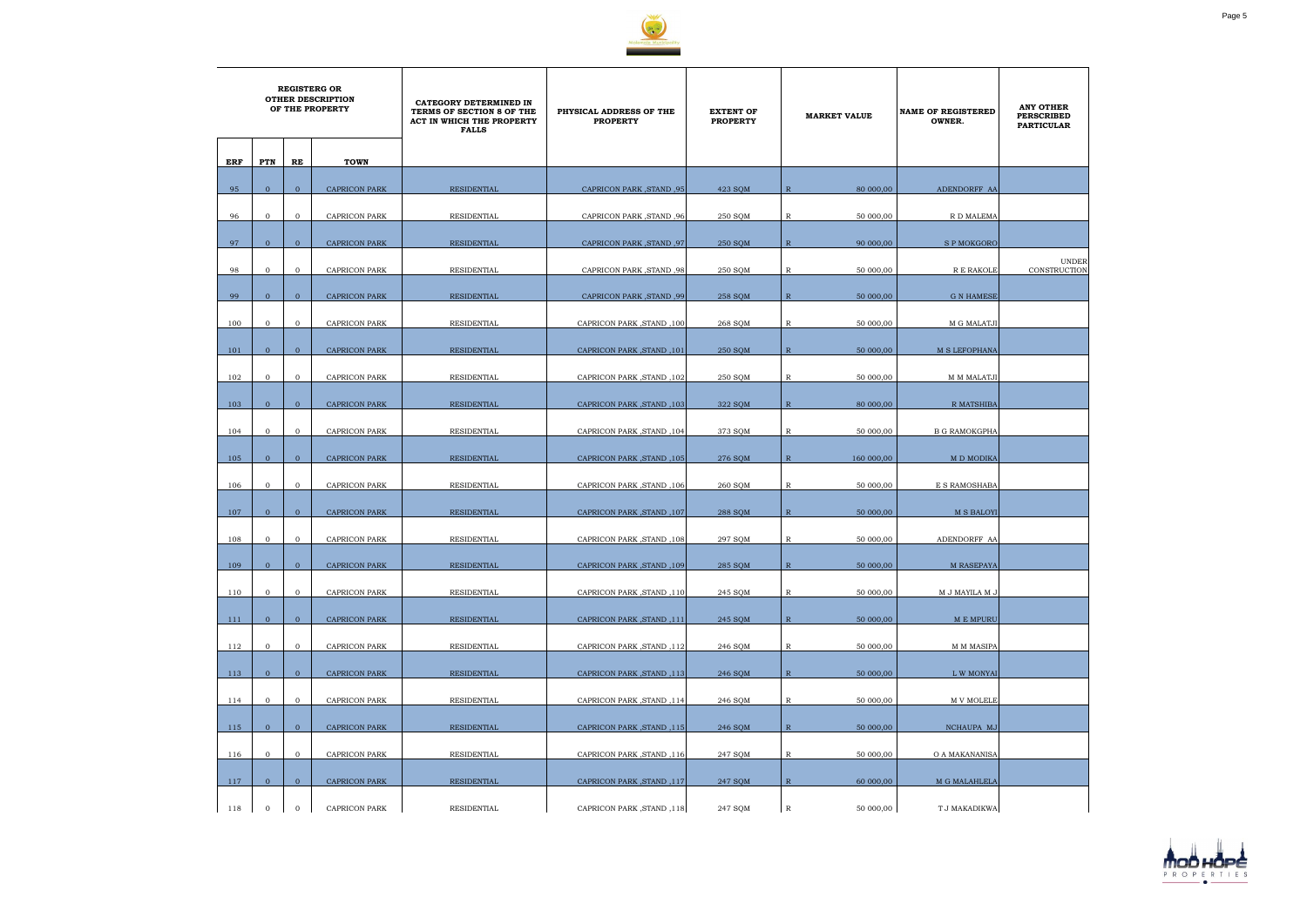

|     | <b>REGISTERG OR</b><br><b>OTHER DESCRIPTION</b><br>OF THE PROPERTY |                |                      | CATEGORY DETERMINED IN<br>TERMS OF SECTION 8 OF THE<br>ACT IN WHICH THE PROPERTY<br><b>FALLS</b> | PHYSICAL ADDRESS OF THE<br><b>PROPERTY</b> | <b>EXTENT OF</b><br><b>PROPERTY</b> | <b>MARKET VALUE</b>        | <b>NAME OF REGISTERED</b><br>OWNER. | <b>ANY OTHER</b><br><b>PERSCRIBED</b><br><b>PARTICULAR</b> |
|-----|--------------------------------------------------------------------|----------------|----------------------|--------------------------------------------------------------------------------------------------|--------------------------------------------|-------------------------------------|----------------------------|-------------------------------------|------------------------------------------------------------|
| ERF | PTN                                                                | RE             | <b>TOWN</b>          |                                                                                                  |                                            |                                     |                            |                                     |                                                            |
| 95  | $\mathbf{0}$                                                       | $\mathbf{0}$   | <b>CAPRICON PARK</b> | <b>RESIDENTIAL</b>                                                                               | <b>CAPRICON PARK, STAND, 95</b>            | 423 SOM                             | $\mathbb{R}$<br>80 000,00  | ADENDORFF AA                        |                                                            |
|     |                                                                    |                |                      |                                                                                                  |                                            |                                     |                            |                                     |                                                            |
| 96  | $\mathbf 0$                                                        | $\overline{0}$ | <b>CAPRICON PARK</b> | RESIDENTIAL                                                                                      | <b>CAPRICON PARK, STAND, 96</b>            | 250 SQM                             | R<br>50 000,00             | R D MALEMA                          |                                                            |
| 97  | $\mathbf{0}$                                                       | $\mathbf{0}$   | <b>CAPRICON PARK</b> | <b>RESIDENTIAL</b>                                                                               | <b>CAPRICON PARK, STAND, 97</b>            | 250 SQM                             | 90 000,00<br>$\mathbb{R}$  | <b>SPMOKGORO</b>                    |                                                            |
| 98  | $\mathbf{0}$                                                       | $\mathbf{0}$   | CAPRICON PARK        | RESIDENTIAL                                                                                      | <b>CAPRICON PARK, STAND, 98</b>            | 250 SQM                             | $\mathbb{R}$<br>50 000,00  | R E RAKOLE                          | <b>UNDER</b><br>CONSTRUCTION                               |
| 99  | $\mathbf{0}$                                                       | $\mathbf{0}$   | <b>CAPRICON PARK</b> | RESIDENTIAL                                                                                      | <b>CAPRICON PARK, STAND, 99</b>            | 258 SQM                             | $\mathbb{R}$<br>50 000,00  | <b>G N HAMESE</b>                   |                                                            |
| 100 | $\mathbf{0}$                                                       | $\mathbf{0}$   | <b>CAPRICON PARK</b> | RESIDENTIAL                                                                                      | CAPRICON PARK, STAND, 100                  | 268 SQM                             | $\mathbb{R}$<br>50 000,00  | M G MALATJI                         |                                                            |
|     |                                                                    |                |                      |                                                                                                  |                                            |                                     |                            |                                     |                                                            |
| 101 | $\overline{0}$                                                     | $\overline{0}$ | <b>CAPRICON PARK</b> | <b>RESIDENTIAL</b>                                                                               | <b>CAPRICON PARK, STAND, 101</b>           | 250 SOM                             | $\mathbb{R}$<br>50 000,00  | <b>M S LEFOPHANA</b>                |                                                            |
| 102 | $\mathbf{0}$                                                       | $\mathbf{0}$   | <b>CAPRICON PARK</b> | RESIDENTIAL                                                                                      | CAPRICON PARK, STAND, 102                  | 250 SQM                             | R<br>50 000,00             | M M MALATJI                         |                                                            |
| 103 | $\overline{0}$                                                     | $\overline{0}$ | <b>CAPRICON PARK</b> | RESIDENTIAL                                                                                      | CAPRICON PARK, STAND, 103                  | 322 SQM                             | $\mathbb{R}$<br>80 000,00  | R MATSHIBA                          |                                                            |
| 104 | $\mathbf{0}$                                                       | $\mathbf{0}$   | <b>CAPRICON PARK</b> | RESIDENTIAL                                                                                      | CAPRICON PARK, STAND, 104                  | 373 SQM                             | R<br>50 000,00             | <b>B G RAMOKGPHA</b>                |                                                            |
| 105 | $\mathbf{0}$                                                       | $\overline{0}$ | <b>CAPRICON PARK</b> | RESIDENTIAL                                                                                      | CAPRICON PARK, STAND, 105                  | 276 SQM                             | $\mathbb{R}$<br>160 000,00 | M D MODIKA                          |                                                            |
|     |                                                                    |                |                      |                                                                                                  |                                            |                                     |                            |                                     |                                                            |
| 106 | $\mathbf 0$                                                        | $\mathbf{0}$   | <b>CAPRICON PARK</b> | RESIDENTIAL                                                                                      | CAPRICON PARK, STAND, 106                  | 260 SQM                             | 50 000,00<br>R             | E S RAMOSHABA                       |                                                            |
| 107 | $\overline{0}$                                                     | $\overline{0}$ | <b>CAPRICON PARK</b> | RESIDENTIAL                                                                                      | CAPRICON PARK, STAND, 107                  | 288 SQM                             | R<br>50 000,00             | <b>M S BALOYI</b>                   |                                                            |
| 108 | $\mathbf 0$                                                        | $\overline{0}$ | <b>CAPRICON PARK</b> | RESIDENTIAL                                                                                      | CAPRICON PARK, STAND, 108                  | 297 SQM                             | 50 000,00<br>R             | ADENDORFF AA                        |                                                            |
| 109 | $\mathbf{0}$                                                       | $\mathbf{0}$   | CAPRICON PARK        | <b>RESIDENTIAL</b>                                                                               | CAPRICON PARK, STAND, 109                  | 285 SQM                             | ${\mathbb R}$<br>50 000,00 | M RASEPAYA                          |                                                            |
| 110 | $\mathbf{0}$                                                       | $\mathbf{0}$   | <b>CAPRICON PARK</b> | RESIDENTIAL                                                                                      | CAPRICON PARK, STAND, 110                  | 245 SQM                             | $\mathbb{R}$<br>50 000,00  | M J MAYILA M J                      |                                                            |
|     |                                                                    |                |                      |                                                                                                  |                                            |                                     |                            |                                     |                                                            |
| 111 | $\overline{0}$                                                     | $\overline{0}$ | <b>CAPRICON PARK</b> | RESIDENTIAL                                                                                      | CAPRICON PARK, STAND, 111                  | 245 SQM                             | $\mathbb{R}$<br>50 000,00  | M E MPURU                           |                                                            |
| 112 | $\mathbf{0}$                                                       | $\mathbf{O}$   | CAPRICON PARK        | RESIDENTIAL                                                                                      | CAPRICON PARK, STAND, 112                  | 246 SQM                             | 50 000,00<br>$\mathbb{R}$  | <b>M M MASIPA</b>                   |                                                            |
| 113 | $\overline{0}$                                                     | $\overline{0}$ | <b>CAPRICON PARK</b> | RESIDENTIAL                                                                                      | CAPRICON PARK, STAND, 113                  | 246 SQM                             | $\mathbb{R}$<br>50 000,00  | L W MONYAI                          |                                                            |
| 114 | $\mathbf{0}$                                                       | $\mathbf{0}$   | CAPRICON PARK        | RESIDENTIAL                                                                                      | CAPRICON PARK, STAND, 114                  | 246 SQM                             | 50 000,00<br>R             | M V MOLELE                          |                                                            |
| 115 | $\overline{0}$                                                     | $\mathbf{0}$   | <b>CAPRICON PARK</b> | <b>RESIDENTIAL</b>                                                                               | CAPRICON PARK, STAND, 115                  | 246 SQM                             | $\mathbb{R}$<br>50 000,00  | NCHAUPA MJ                          |                                                            |
|     |                                                                    |                |                      |                                                                                                  |                                            |                                     |                            |                                     |                                                            |
| 116 | $\overline{0}$                                                     | $\mathbf{0}$   | CAPRICON PARK        | RESIDENTIAL                                                                                      | CAPRICON PARK, STAND, 116                  | 247 SQM                             | 50 000,00<br>R             | O A MAKANANISA                      |                                                            |
| 117 | $\overline{0}$                                                     | $\mathbf{0}$   | <b>CAPRICON PARK</b> | RESIDENTIAL                                                                                      | CAPRICON PARK, STAND, 117                  | 247 SQM                             | $\mathbb{R}$<br>60 000,00  | M G MALAHLELA                       |                                                            |
| 118 | $\mathbf 0$                                                        | $\overline{0}$ | <b>CAPRICON PARK</b> | RESIDENTIAL                                                                                      | CAPRICON PARK, STAND, 118                  | 247 SQM                             | $\mathbb{R}$<br>50 000,00  | T J MAKADIKWA                       |                                                            |

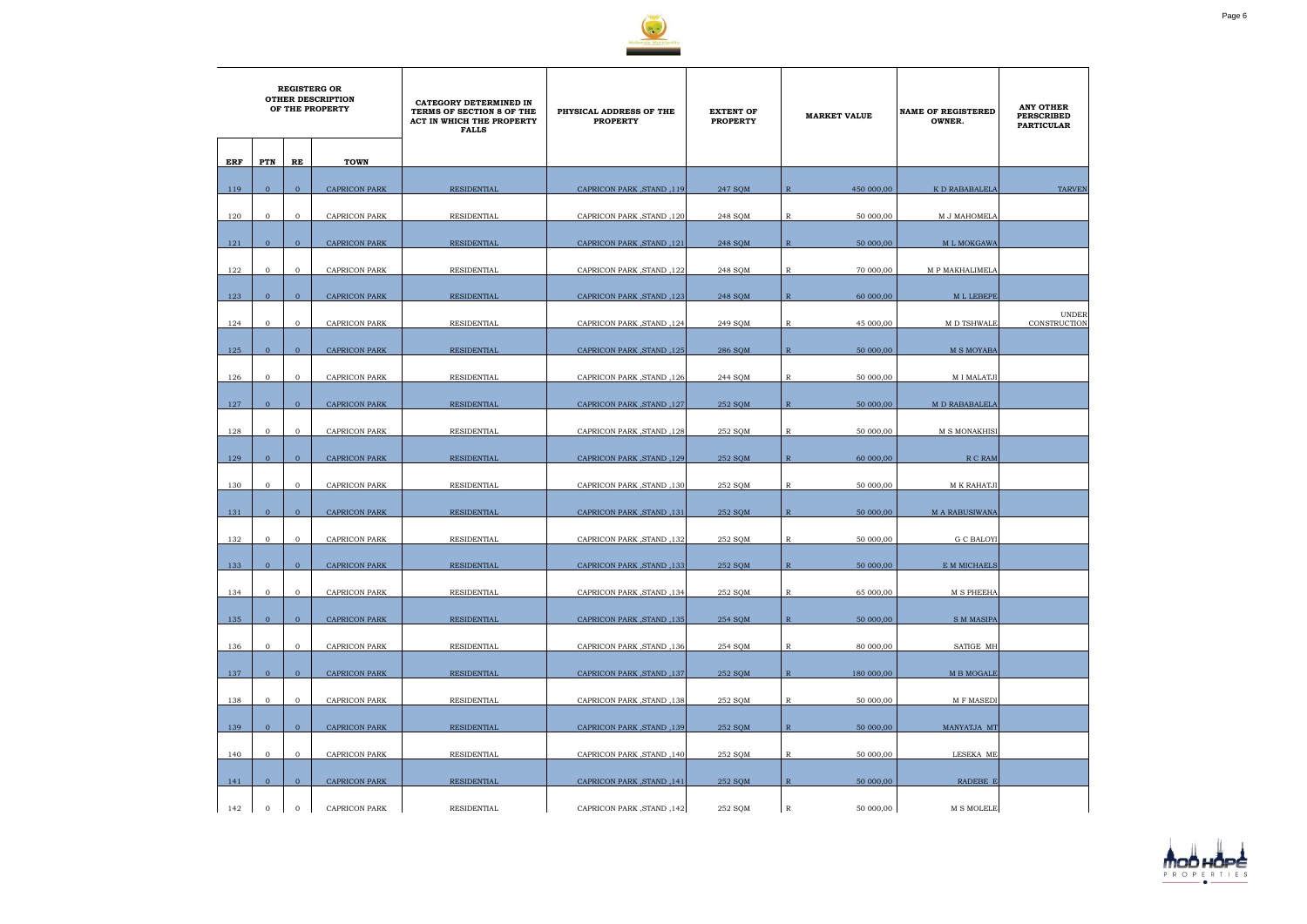

|     | <b>REGISTERG OR</b><br><b>OTHER DESCRIPTION</b><br>OF THE PROPERTY |                |                      | CATEGORY DETERMINED IN<br>TERMS OF SECTION 8 OF THE<br>ACT IN WHICH THE PROPERTY<br><b>FALLS</b> | PHYSICAL ADDRESS OF THE<br><b>PROPERTY</b> | <b>EXTENT OF</b><br><b>PROPERTY</b> | <b>MARKET VALUE</b>        | <b>NAME OF REGISTERED</b><br>OWNER. | <b>ANY OTHER</b><br><b>PERSCRIBED</b><br><b>PARTICULAR</b> |
|-----|--------------------------------------------------------------------|----------------|----------------------|--------------------------------------------------------------------------------------------------|--------------------------------------------|-------------------------------------|----------------------------|-------------------------------------|------------------------------------------------------------|
| ERF | PTN                                                                | RE             | <b>TOWN</b>          |                                                                                                  |                                            |                                     |                            |                                     |                                                            |
| 119 | $\overline{0}$                                                     | $\overline{0}$ | <b>CAPRICON PARK</b> | RESIDENTIAL                                                                                      | CAPRICON PARK, STAND, 119                  | 247 SQM                             | 450 000,00<br>R            | K D RABABALELA                      | <b>TARVEN</b>                                              |
| 120 | $\mathbf 0$                                                        | $\overline{0}$ | <b>CAPRICON PARK</b> | RESIDENTIAL                                                                                      | CAPRICON PARK, STAND, 120                  | 248 SQM                             | 50 000,00<br>R             | M J MAHOMELA                        |                                                            |
| 121 | $\overline{0}$                                                     | $\mathbf{0}$   | <b>CAPRICON PARK</b> | <b>RESIDENTIAL</b>                                                                               | CAPRICON PARK, STAND, 121                  | 248 SQM                             | $\mathbb{R}$<br>50 000,00  | M L MOKGAWA                         |                                                            |
| 122 | $\mathbf{0}$                                                       | $\overline{0}$ | <b>CAPRICON PARK</b> | RESIDENTIAL                                                                                      | CAPRICON PARK, STAND, 122                  | 248 SQM                             | R<br>70 000,00             | M P MAKHALIMELA                     |                                                            |
| 123 | $\overline{0}$                                                     | $\overline{0}$ | <b>CAPRICON PARK</b> | RESIDENTIAL                                                                                      | CAPRICON PARK, STAND, 123                  | 248 SQM                             | $\mathbb{R}$<br>60 000,00  | M L LEBEPE                          |                                                            |
|     |                                                                    |                |                      |                                                                                                  |                                            |                                     |                            |                                     | <b>UNDER</b>                                               |
| 124 | $\overline{0}$                                                     | $\mathbf{0}$   | <b>CAPRICON PARK</b> | RESIDENTIAL                                                                                      | CAPRICON PARK, STAND, 124                  | 249 SQM                             | R<br>45 000,00             | M D TSHWALE                         | <b>CONSTRUCTION</b>                                        |
| 125 | $\overline{0}$                                                     | $\mathbf{0}$   | <b>CAPRICON PARK</b> | <b>RESIDENTIAL</b>                                                                               | <b>CAPRICON PARK, STAND, 125</b>           | 286 SQM                             | $\mathbb{R}$<br>50 000,00  | <b>M S MOYABA</b>                   |                                                            |
| 126 | $\mathbf{0}$                                                       | $\mathbf{0}$   | <b>CAPRICON PARK</b> | RESIDENTIAL                                                                                      | CAPRICON PARK, STAND, 126                  | 244 SQM                             | 50 000,00<br>R             | <b>MI MALATJI</b>                   |                                                            |
|     |                                                                    |                |                      |                                                                                                  |                                            |                                     |                            |                                     |                                                            |
| 127 | $\mathbf{0}$                                                       | $\overline{0}$ | <b>CAPRICON PARK</b> | <b>RESIDENTIAL</b>                                                                               | CAPRICON PARK, STAND, 127                  | 252 SQM                             | $\mathbb{R}$<br>50 000,00  | M D RABABALELA                      |                                                            |
| 128 | $\mathbf 0$                                                        | $\overline{0}$ | <b>CAPRICON PARK</b> | RESIDENTIAL                                                                                      | CAPRICON PARK, STAND, 128                  | 252 SQM                             | R<br>50 000,00             | M S MONAKHISI                       |                                                            |
| 129 | $\overline{0}$                                                     | $\overline{0}$ | <b>CAPRICON PARK</b> | RESIDENTIAL                                                                                      | CAPRICON PARK, STAND, 129                  | 252 SOM                             | $\mathbb{R}$<br>60 000,00  | R C RAM                             |                                                            |
| 130 | $\mathbf 0$                                                        | $\mathbf{0}$   | <b>CAPRICON PARK</b> | RESIDENTIAL                                                                                      | CAPRICON PARK, STAND, 130                  | 252 SQM                             | R<br>50 000,00             | M K RAHATJI                         |                                                            |
| 131 | $\overline{0}$                                                     | $\overline{0}$ | <b>CAPRICON PARK</b> | <b>RESIDENTIAL</b>                                                                               | CAPRICON PARK, STAND, 131                  | 252 SOM                             | $\mathbb{R}$<br>50 000,00  | <b>M A RABUSIWANA</b>               |                                                            |
|     |                                                                    |                |                      |                                                                                                  |                                            |                                     |                            |                                     |                                                            |
| 132 | $\mathbf{0}$                                                       | $\mathbf{0}$   | <b>CAPRICON PARK</b> | RESIDENTIAL                                                                                      | CAPRICON PARK, STAND, 132                  | 252 SQM                             | 50 000,00<br>R             | <b>G C BALOYI</b>                   |                                                            |
| 133 | $\mathbf{0}$                                                       | $\mathbf{0}$   | <b>CAPRICON PARK</b> | RESIDENTIAL                                                                                      | CAPRICON PARK, STAND, 133                  | 252 SQM                             | ${\mathbb R}$<br>50 000,00 | E M MICHAELS                        |                                                            |
| 134 | $\overline{0}$                                                     | $\mathbf{0}$   | <b>CAPRICON PARK</b> | RESIDENTIAL                                                                                      | CAPRICON PARK, STAND, 134                  | 252 SQM                             | $\mathbb{R}$<br>65 000,00  | <b>M S PHEEHA</b>                   |                                                            |
| 135 | $\overline{0}$                                                     | $\overline{0}$ | <b>CAPRICON PARK</b> | RESIDENTIAL                                                                                      | CAPRICON PARK, STAND, 135                  | 254 SQM                             | $\mathbb{R}$<br>50 000,00  | <b>S M MASIPA</b>                   |                                                            |
| 136 | $\overline{0}$                                                     | $\overline{0}$ | CAPRICON PARK        | RESIDENTIAL                                                                                      | CAPRICON PARK, STAND, 136                  | 254 SQM                             | 80 000,00<br>R             | SATIGE MH                           |                                                            |
|     |                                                                    |                |                      |                                                                                                  | CAPRICON PARK, STAND, 137                  |                                     |                            | M B MOGALE                          |                                                            |
| 137 | $\overline{0}$                                                     | $\mathbf{0}$   | <b>CAPRICON PARK</b> | RESIDENTIAL                                                                                      |                                            | 252 SQM                             | $\mathbb{R}$<br>180 000,00 |                                     |                                                            |
| 138 | $\mathbf{0}$                                                       | $\mathbf{0}$   | <b>CAPRICON PARK</b> | RESIDENTIAL                                                                                      | CAPRICON PARK, STAND, 138                  | 252 SQM                             | $\mathbb{R}$<br>50 000,00  | M F MASEDI                          |                                                            |
| 139 | $\mathbf{0}$                                                       | $\overline{0}$ | <b>CAPRICON PARK</b> | RESIDENTIAL                                                                                      | CAPRICON PARK, STAND, 139                  | 252 SQM                             | $\mathbb{R}$<br>50 000,00  | MANYATJA MT                         |                                                            |
| 140 | $\mathbf{0}$                                                       | $\mathbf{0}$   | CAPRICON PARK        | RESIDENTIAL                                                                                      | CAPRICON PARK, STAND, 140                  | 252 SQM                             | $\mathbb{R}$<br>50 000,00  | LESEKA ME                           |                                                            |
| 141 | $\overline{0}$                                                     | $\overline{0}$ | <b>CAPRICON PARK</b> | RESIDENTIAL                                                                                      | CAPRICON PARK, STAND, 141                  | 252 SQM                             | $\mathbb{R}$<br>50 000,00  | RADEBE E                            |                                                            |
| 142 | $\mathbf 0$                                                        | $\overline{0}$ | <b>CAPRICON PARK</b> | RESIDENTIAL                                                                                      | CAPRICON PARK, STAND, 142                  | 252 SQM                             | $\mathbb{R}$<br>50 000,00  | <b>M S MOLELE</b>                   |                                                            |

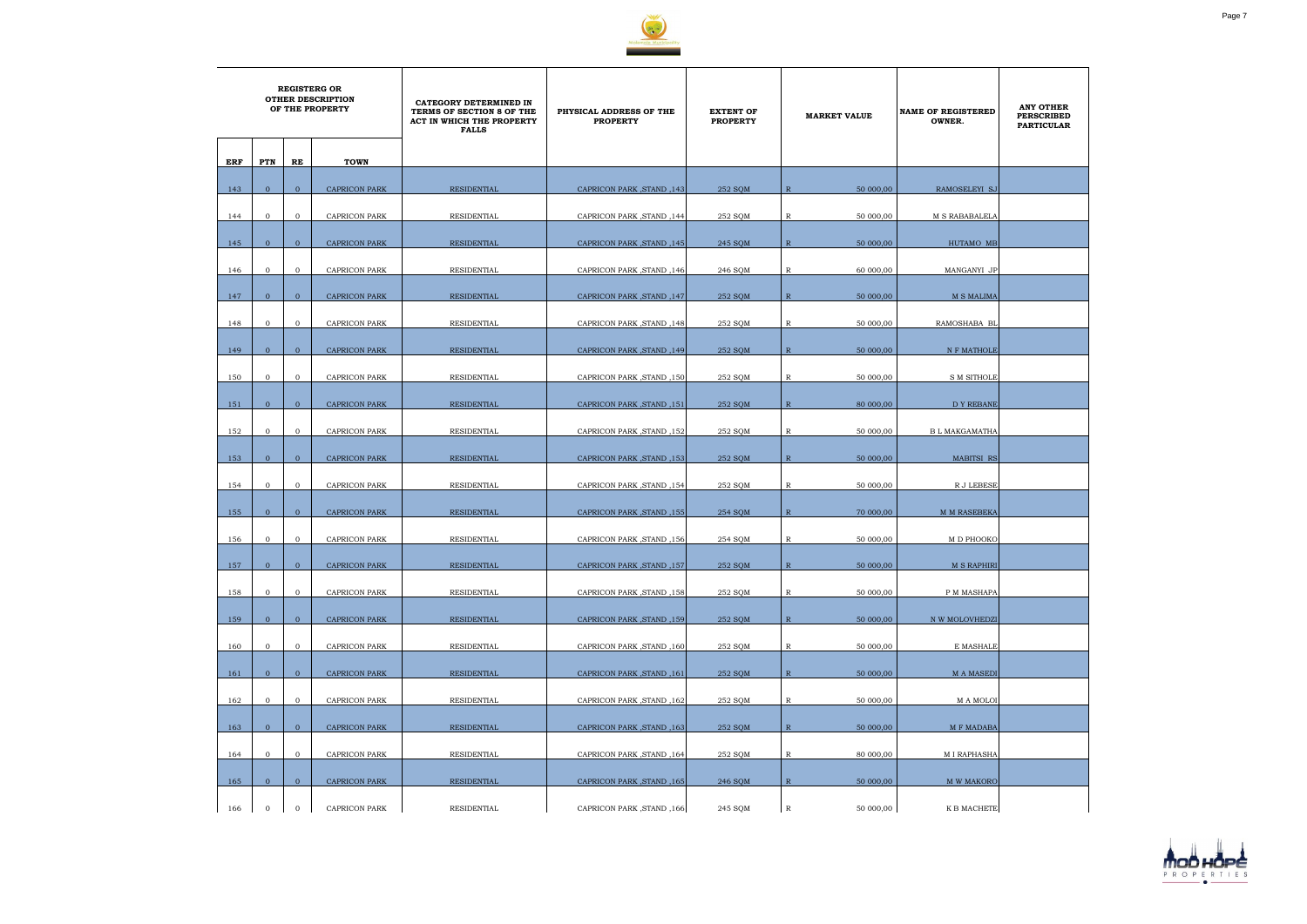

|     | <b>REGISTERG OR</b><br><b>OTHER DESCRIPTION</b><br>OF THE PROPERTY |                |                      | <b>CATEGORY DETERMINED IN</b><br>TERMS OF SECTION 8 OF THE<br>ACT IN WHICH THE PROPERTY<br><b>FALLS</b> | PHYSICAL ADDRESS OF THE<br><b>PROPERTY</b> | <b>EXTENT OF</b><br><b>PROPERTY</b> | <b>MARKET VALUE</b>         | <b>NAME OF REGISTERED</b><br>OWNER. | <b>ANY OTHER</b><br><b>PERSCRIBED</b><br><b>PARTICULAR</b> |
|-----|--------------------------------------------------------------------|----------------|----------------------|---------------------------------------------------------------------------------------------------------|--------------------------------------------|-------------------------------------|-----------------------------|-------------------------------------|------------------------------------------------------------|
| ERF | PTN                                                                | RE             | <b>TOWN</b>          |                                                                                                         |                                            |                                     |                             |                                     |                                                            |
| 143 | $\overline{0}$                                                     | $\overline{0}$ | <b>CAPRICON PARK</b> | <b>RESIDENTIAL</b>                                                                                      | CAPRICON PARK, STAND, 143                  | 252 SQM                             | $\overline{R}$<br>50 000,00 | RAMOSELEYI SJ                       |                                                            |
| 144 | $\mathbf{0}$                                                       | $\mathbf{O}$   | <b>CAPRICON PARK</b> | RESIDENTIAL                                                                                             | CAPRICON PARK, STAND, 144                  | 252 SQM                             | $\mathbb R$<br>50 000,00    | M S RABABALELA                      |                                                            |
| 145 | $\overline{0}$                                                     | $\overline{0}$ | <b>CAPRICON PARK</b> | <b>RESIDENTIAL</b>                                                                                      | CAPRICON PARK, STAND, 145                  | 245 SQM                             | $\mathbb{R}$<br>50 000,00   | HUTAMO MB                           |                                                            |
| 146 | $\overline{0}$                                                     | $\mathbf{O}$   | CAPRICON PARK        | RESIDENTIAL                                                                                             | CAPRICON PARK, STAND, 146                  | 246 SQM                             | 60 000,00<br>R              | MANGANYI JP                         |                                                            |
|     |                                                                    |                |                      |                                                                                                         |                                            |                                     |                             |                                     |                                                            |
| 147 | $\overline{0}$                                                     | $\overline{0}$ | <b>CAPRICON PARK</b> | <b>RESIDENTIAL</b>                                                                                      | CAPRICON PARK, STAND, 147                  | 252 SQM                             | $\mathbb{R}$<br>50 000,00   | <b>M S MALIMA</b>                   |                                                            |
| 148 | $\mathbf{0}$                                                       | $\mathbf{O}$   | CAPRICON PARK        | RESIDENTIAL                                                                                             | CAPRICON PARK, STAND, 148                  | 252 SQM                             | R<br>50 000,00              | RAMOSHABA BL                        |                                                            |
| 149 | $\overline{0}$                                                     | $\overline{0}$ | <b>CAPRICON PARK</b> | <b>RESIDENTIAL</b>                                                                                      | CAPRICON PARK, STAND, 149                  | 252 SQM                             | $\mathbb{R}$<br>50 000,00   | N F MATHOLE                         |                                                            |
| 150 | $\overline{0}$                                                     | $\mathbf{O}$   | <b>CAPRICON PARK</b> | RESIDENTIAL                                                                                             | CAPRICON PARK, STAND, 150                  | 252 SQM                             | $\mathbb R$<br>50 000,00    | <b>S M SITHOLE</b>                  |                                                            |
| 151 | $\overline{0}$                                                     | $\overline{0}$ | <b>CAPRICON PARK</b> | <b>RESIDENTIAL</b>                                                                                      | CAPRICON PARK, STAND, 151                  | 252 SOM                             | $\mathbb{R}$<br>80 000,00   | <b>DY REBANE</b>                    |                                                            |
| 152 | $\mathbf{0}$                                                       | $\mathbf{O}$   | CAPRICON PARK        | RESIDENTIAL                                                                                             | CAPRICON PARK, STAND, 152                  | 252 SQM                             | R<br>50 000,00              | <b>B L MAKGAMATHA</b>               |                                                            |
| 153 | $\overline{0}$                                                     | $\overline{0}$ | <b>CAPRICON PARK</b> | <b>RESIDENTIAL</b>                                                                                      | CAPRICON PARK, STAND, 153                  | 252 SOM                             | $\mathbb{R}$<br>50 000,00   | <b>MABITSI RS</b>                   |                                                            |
|     |                                                                    | $\mathbf{O}$   |                      |                                                                                                         |                                            |                                     |                             |                                     |                                                            |
| 154 | $\mathbf{0}$                                                       |                | CAPRICON PARK        | RESIDENTIAL                                                                                             | CAPRICON PARK, STAND, 154                  | 252 SQM                             | R<br>50 000,00              | R J LEBESE                          |                                                            |
| 155 | $\Omega$                                                           | $\overline{0}$ | <b>CAPRICON PARK</b> | <b>RESIDENTIAL</b>                                                                                      | CAPRICON PARK, STAND, 155                  | 254 SOM                             | $\mathbb{R}$<br>70 000,00   | <b>M M RASEBEKA</b>                 |                                                            |
| 156 | $\mathbf{0}$                                                       | $\overline{0}$ | <b>CAPRICON PARK</b> | <b>RESIDENTIAL</b>                                                                                      | CAPRICON PARK, STAND, 156                  | 254 SQM                             | $\mathbb{R}$<br>50 000,00   | M D PHOOKO                          |                                                            |
| 157 | $\overline{0}$                                                     | $\overline{0}$ | <b>CAPRICON PARK</b> | RESIDENTIAL                                                                                             | CAPRICON PARK, STAND, 157                  | 252 SQM                             | $\,$ R<br>50 000,00         | <b>M S RAPHIRI</b>                  |                                                            |
| 158 | $\overline{0}$                                                     | $\overline{0}$ | CAPRICON PARK        | RESIDENTIAL                                                                                             | CAPRICON PARK, STAND, 158                  | 252 SQM                             | $\mathbb{R}$<br>50 000,00   | P M MASHAPA                         |                                                            |
| 159 | $\overline{0}$                                                     | $\overline{0}$ | <b>CAPRICON PARK</b> | RESIDENTIAL                                                                                             | CAPRICON PARK, STAND, 159                  | 252 SQM                             | $\mathbb{R}$<br>50 000,00   | N W MOLOVHEDZI                      |                                                            |
| 160 | $\mathbf{O}$                                                       | $\overline{0}$ | CAPRICON PARK        | RESIDENTIAL                                                                                             | CAPRICON PARK, STAND, 160                  | 252 SOM                             | 50 000,00<br>R              | E MASHALE                           |                                                            |
| 161 | $\overline{0}$                                                     | $\overline{0}$ | <b>CAPRICON PARK</b> | <b>RESIDENTIAL</b>                                                                                      | CAPRICON PARK, STAND, 161                  | 252 SOM                             | $\mathbb{R}$<br>50 000,00   | <b>MA MASEDI</b>                    |                                                            |
|     |                                                                    |                |                      |                                                                                                         |                                            |                                     |                             |                                     |                                                            |
| 162 | $\overline{0}$                                                     | $\overline{0}$ | <b>CAPRICON PARK</b> | <b>RESIDENTIAL</b>                                                                                      | CAPRICON PARK, STAND, 162                  | 252 SQM                             | $\mathbb{R}$<br>50 000,00   | M A MOLOI                           |                                                            |
| 163 | $\overline{0}$                                                     | $\overline{0}$ | <b>CAPRICON PARK</b> | RESIDENTIAL                                                                                             | CAPRICON PARK, STAND, 163                  | 252 SQM                             | $\mathbb{R}$<br>50 000,00   | <b>M F MADABA</b>                   |                                                            |
| 164 | $\mathbf{0}$                                                       | $\overline{0}$ | CAPRICON PARK        | RESIDENTIAL                                                                                             | CAPRICON PARK, STAND, 164                  | 252 SQM                             | $\mathbb R$<br>80 000,00    | M I RAPHASHA                        |                                                            |
| 165 | $\overline{0}$                                                     | $\overline{0}$ | <b>CAPRICON PARK</b> | <b>RESIDENTIAL</b>                                                                                      | CAPRICON PARK, STAND, 165                  | 246 SQM                             | $\mathbb{R}$<br>50 000,00   | <b>M W MAKORO</b>                   |                                                            |
| 166 | $\mathbf 0$                                                        | $\mathbf{O}$   | <b>CAPRICON PARK</b> | RESIDENTIAL                                                                                             | CAPRICON PARK, STAND, 166                  | 245 SQM                             | $\mathbb{R}$<br>50 000,00   | K B MACHETE                         |                                                            |

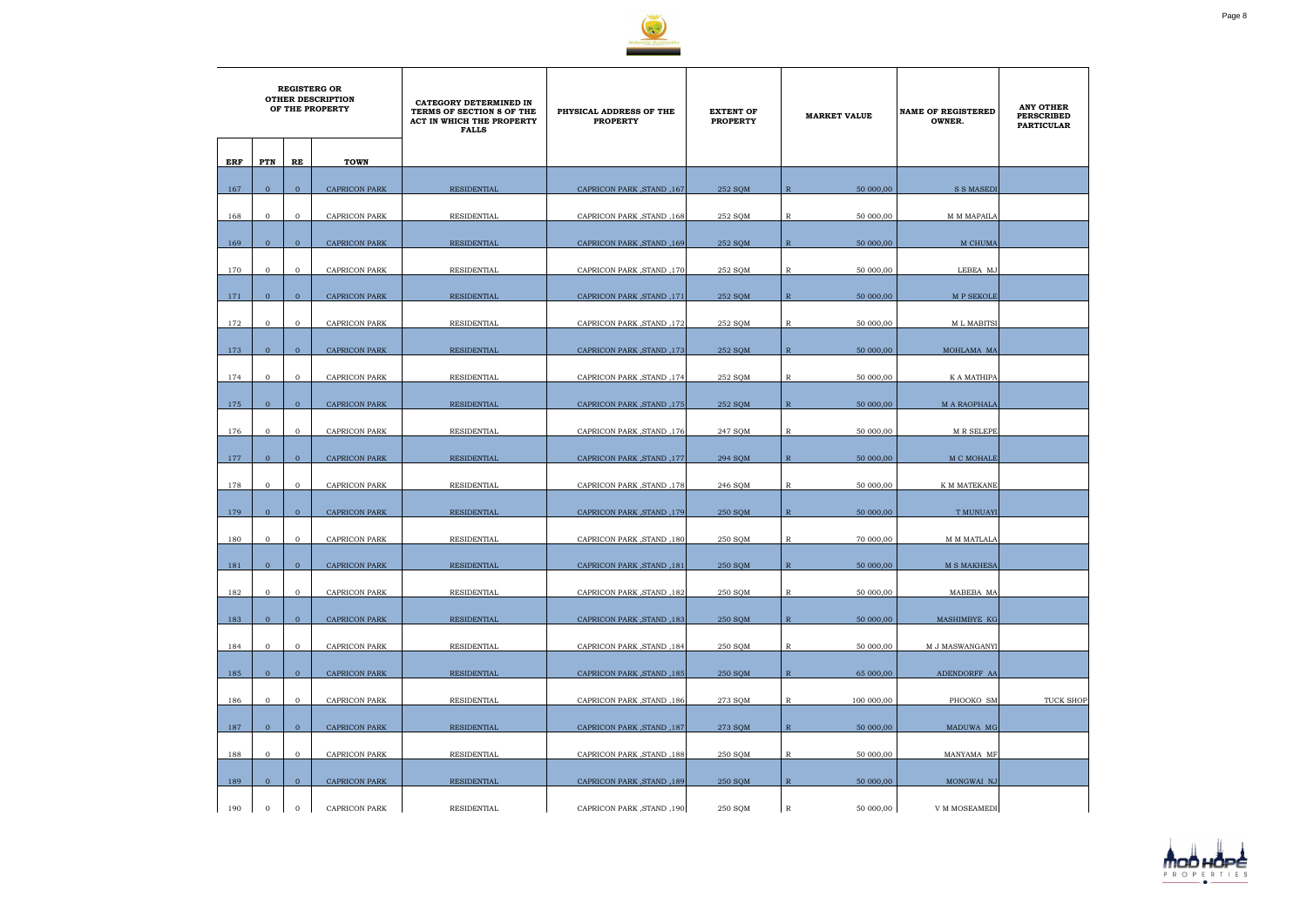

|     | <b>REGISTERG OR</b><br><b>OTHER DESCRIPTION</b><br>OF THE PROPERTY |                |                      | CATEGORY DETERMINED IN<br>TERMS OF SECTION 8 OF THE<br>ACT IN WHICH THE PROPERTY<br><b>FALLS</b> | PHYSICAL ADDRESS OF THE<br><b>PROPERTY</b> | <b>EXTENT OF</b><br><b>PROPERTY</b> | <b>MARKET VALUE</b>         | <b>NAME OF REGISTERED</b><br>OWNER. | <b>ANY OTHER</b><br><b>PERSCRIBED</b><br><b>PARTICULAR</b> |
|-----|--------------------------------------------------------------------|----------------|----------------------|--------------------------------------------------------------------------------------------------|--------------------------------------------|-------------------------------------|-----------------------------|-------------------------------------|------------------------------------------------------------|
| ERF | PTN                                                                | RE             | <b>TOWN</b>          |                                                                                                  |                                            |                                     |                             |                                     |                                                            |
| 167 | $\overline{0}$                                                     | $\overline{0}$ | <b>CAPRICON PARK</b> | <b>RESIDENTIAL</b>                                                                               | CAPRICON PARK, STAND, 167                  | 252 SQM                             | 50 000,00<br>$\overline{R}$ | <b>S S MASEDI</b>                   |                                                            |
| 168 | $\mathbf{0}$                                                       | $\overline{0}$ | <b>CAPRICON PARK</b> | <b>RESIDENTIAL</b>                                                                               | CAPRICON PARK, STAND, 168                  | 252 SQM                             | $\mathbb R$<br>50 000,00    | M M MAPAILA                         |                                                            |
| 169 | $\overline{0}$                                                     | $\overline{0}$ | <b>CAPRICON PARK</b> | <b>RESIDENTIAL</b>                                                                               | CAPRICON PARK, STAND, 169                  | 252 SQM                             | $\mathbb{R}$<br>50 000,00   | M CHUMA                             |                                                            |
| 170 | $\mathbf{0}$                                                       | $\mathbf 0$    | <b>CAPRICON PARK</b> | RESIDENTIAL                                                                                      | CAPRICON PARK, STAND, 170                  | 252 SQM                             | $\mathbb R$<br>50 000,00    | LEBEA MJ                            |                                                            |
| 171 | $\overline{0}$                                                     | $\overline{0}$ | <b>CAPRICON PARK</b> | RESIDENTIAL                                                                                      | CAPRICON PARK, STAND, 171                  | 252 SQM                             | $\mathbb{R}$<br>50 000,00   | M P SEKOLE                          |                                                            |
| 172 | $\mathbf{0}$                                                       | $\overline{0}$ | CAPRICON PARK        | RESIDENTIAL                                                                                      | CAPRICON PARK, STAND, 172                  | 252 SQM                             | 50 000,00<br>R              | <b>ML MABITSI</b>                   |                                                            |
| 173 | $\overline{0}$                                                     | $\overline{0}$ | <b>CAPRICON PARK</b> | RESIDENTIAL                                                                                      | CAPRICON PARK, STAND, 173                  | 252 SQM                             | $\mathbb{R}$<br>50 000,00   | MOHLAMA MA                          |                                                            |
| 174 | $\mathbf{0}$                                                       | $\overline{0}$ | <b>CAPRICON PARK</b> | RESIDENTIAL                                                                                      | CAPRICON PARK, STAND, 174                  | 252 SQM                             | $\mathbb R$<br>50 000,00    | K A MATHIPA                         |                                                            |
|     |                                                                    |                |                      |                                                                                                  |                                            |                                     |                             |                                     |                                                            |
| 175 | $\overline{0}$                                                     | $\overline{0}$ | <b>CAPRICON PARK</b> | <b>RESIDENTIAL</b>                                                                               | <b>CAPRICON PARK, STAND, 175</b>           | 252 SQM                             | $\mathbb{R}$<br>50 000,00   | <b>M A RAOPHALA</b>                 |                                                            |
| 176 | $\mathbf{0}$                                                       | $\overline{0}$ | <b>CAPRICON PARK</b> | RESIDENTIAL                                                                                      | CAPRICON PARK, STAND, 176                  | 247 SQM                             | R<br>50 000,00              | <b>M R SELEPE</b>                   |                                                            |
| 177 | $\overline{0}$                                                     | $\overline{0}$ | <b>CAPRICON PARK</b> | <b>RESIDENTIAL</b>                                                                               | CAPRICON PARK, STAND, 177                  | 294 SOM                             | $\mathbb{R}$<br>50 000,00   | M C MOHALE                          |                                                            |
| 178 | $\mathbf{0}$                                                       | $\overline{0}$ | <b>CAPRICON PARK</b> | RESIDENTIAL                                                                                      | CAPRICON PARK, STAND, 178                  | 246 SQM                             | R<br>50 000,00              | K M MATEKANE                        |                                                            |
| 179 | $\Omega$                                                           | $\overline{0}$ | <b>CAPRICON PARK</b> | <b>RESIDENTIAL</b>                                                                               | CAPRICON PARK, STAND, 179                  | 250 SQM                             | $\mathbb{R}$<br>50 000,00   | <b>T MUNUAYI</b>                    |                                                            |
| 180 | $\mathbf{0}$                                                       | $\mathbf{O}$   | <b>CAPRICON PARK</b> | RESIDENTIAL                                                                                      | CAPRICON PARK, STAND, 180                  | 250 SQM                             | $\mathbb{R}$<br>70 000,00   | M M MATLALA                         |                                                            |
| 181 | $\overline{0}$                                                     | $\mathbf{0}$   | <b>CAPRICON PARK</b> | <b>RESIDENTIAL</b>                                                                               | CAPRICON PARK, STAND, 181                  | 250 SQM                             | ${\mathbb R}$<br>50 000,00  | M S MAKHESA                         |                                                            |
| 182 | $\overline{0}$                                                     | $\overline{0}$ | <b>CAPRICON PARK</b> | RESIDENTIAL                                                                                      | CAPRICON PARK, STAND, 182                  | 250 SQM                             | $\mathbb R$<br>50 000,00    | MABEBA MA                           |                                                            |
| 183 | $\overline{0}$                                                     | $\overline{0}$ | <b>CAPRICON PARK</b> | RESIDENTIAL                                                                                      | CAPRICON PARK, STAND, 183                  | 250 SQM                             | $\mathbb{R}$<br>50 000,00   | MASHIMBYE KG                        |                                                            |
| 184 | $\overline{0}$                                                     | $\mathbf{0}$   | CAPRICON PARK        | RESIDENTIAL                                                                                      | CAPRICON PARK, STAND, 184                  | 250 SQM                             | 50 000,00<br>R              | M J MASWANGANYI                     |                                                            |
| 185 | $\overline{0}$                                                     | $\mathbf{0}$   | <b>CAPRICON PARK</b> | RESIDENTIAL                                                                                      | CAPRICON PARK, STAND, 185                  | 250 SQM                             | $\mathbb{R}$<br>65 000,00   | ADENDORFF AA                        |                                                            |
| 186 | $\overline{0}$                                                     | $\mathbf{O}$   | CAPRICON PARK        | RESIDENTIAL                                                                                      | CAPRICON PARK, STAND, 186                  | 273 SQM                             | $\mathbb{R}$<br>100 000,00  | PHOOKO SM                           | TUCK SHOP                                                  |
| 187 | $\overline{0}$                                                     | $\overline{0}$ | CAPRICON PARK        | RESIDENTIAL                                                                                      | CAPRICON PARK, STAND, 187                  | 273 SQM                             | $\mathbb{R}$<br>50 000,00   | MADUWA MG                           |                                                            |
| 188 | $\overline{0}$                                                     | $\mathbf{O}$   | CAPRICON PARK        | RESIDENTIAL                                                                                      | CAPRICON PARK, STAND, 188                  | 250 SQM                             | $\mathbb R$<br>50 000,00    | MANYAMA MF                          |                                                            |
| 189 | $\overline{0}$                                                     | $\overline{0}$ | <b>CAPRICON PARK</b> | RESIDENTIAL                                                                                      | CAPRICON PARK, STAND, 189                  | 250 SQM                             | $\mathbb{R}$<br>50 000,00   | MONGWAI NJ                          |                                                            |
| 190 | $\mathbf 0$                                                        | $\mathbf 0$    | <b>CAPRICON PARK</b> | RESIDENTIAL                                                                                      | CAPRICON PARK, STAND, 190                  | 250 SQM                             | $\mathbb R$<br>50 000,00    | V M MOSEAMEDI                       |                                                            |

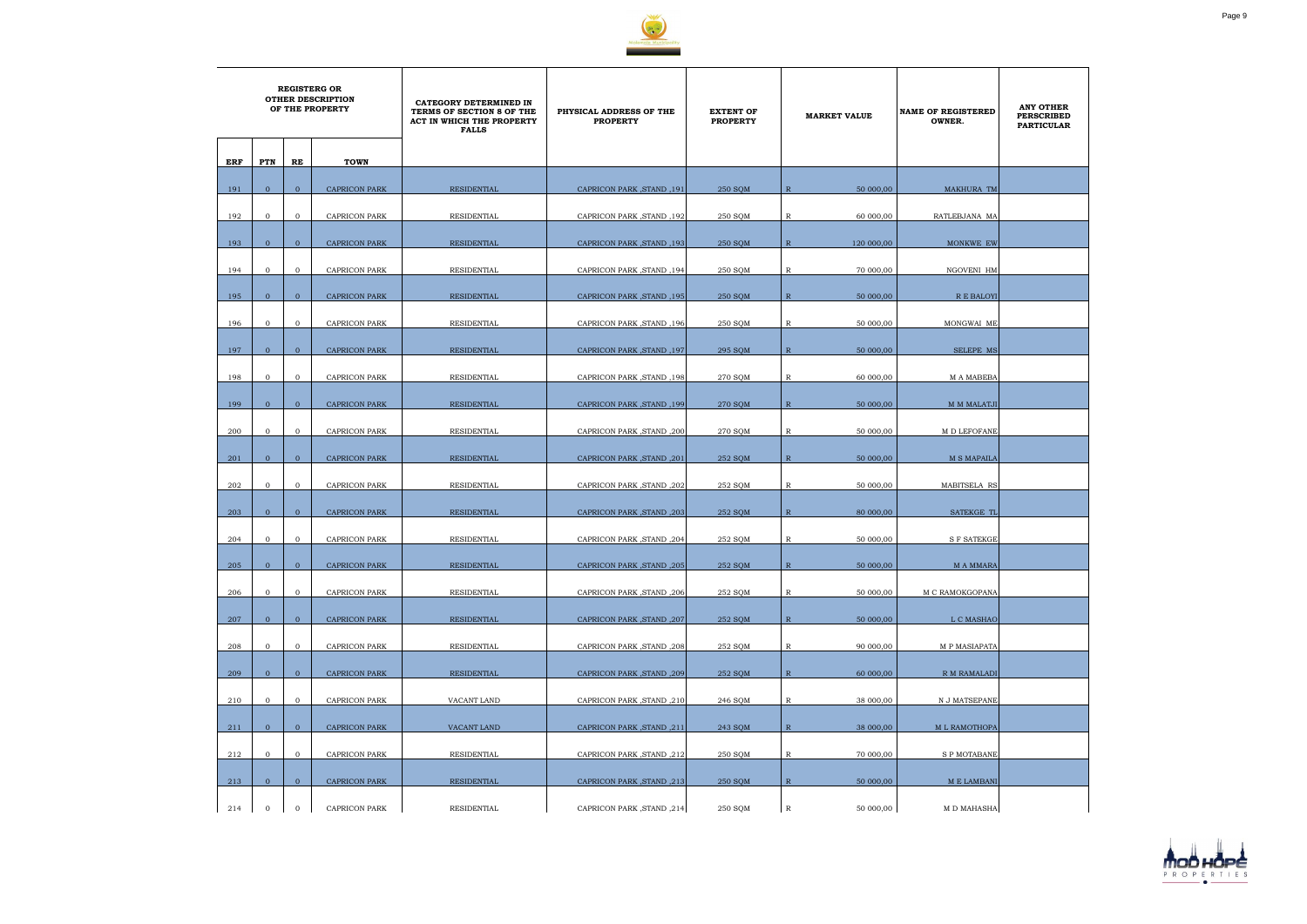

|     |                |                | <b>REGISTERG OR</b><br><b>OTHER DESCRIPTION</b><br>OF THE PROPERTY | CATEGORY DETERMINED IN<br>TERMS OF SECTION 8 OF THE<br>ACT IN WHICH THE PROPERTY<br><b>FALLS</b> | PHYSICAL ADDRESS OF THE<br><b>PROPERTY</b> | <b>EXTENT OF</b><br><b>PROPERTY</b> |                | <b>MARKET VALUE</b> | <b>NAME OF REGISTERED</b><br>OWNER. | <b>ANY OTHER</b><br><b>PERSCRIBED</b><br><b>PARTICULAR</b> |
|-----|----------------|----------------|--------------------------------------------------------------------|--------------------------------------------------------------------------------------------------|--------------------------------------------|-------------------------------------|----------------|---------------------|-------------------------------------|------------------------------------------------------------|
| ERF | PTN            | RE             | <b>TOWN</b>                                                        |                                                                                                  |                                            |                                     |                |                     |                                     |                                                            |
| 191 | $\mathbf{0}$   | $\overline{0}$ | <b>CAPRICON PARK</b>                                               | <b>RESIDENTIAL</b>                                                                               | CAPRICON PARK, STAND, 191                  | 250 SQM                             | $\overline{R}$ | 50 000,00           | MAKHURA TM                          |                                                            |
| 192 | $\mathbf{0}$   | $\overline{0}$ | CAPRICON PARK                                                      | RESIDENTIAL                                                                                      | CAPRICON PARK, STAND, 192                  | 250 SOM                             | $\mathbb{R}$   | 60 000,00           | RATLEBJANA MA                       |                                                            |
| 193 | $\overline{0}$ | $\mathbf{0}$   | <b>CAPRICON PARK</b>                                               | <b>RESIDENTIAL</b>                                                                               | CAPRICON PARK, STAND, 193                  | 250 SQM                             | $\mathbb{R}$   | 120 000,00          | MONKWE EW                           |                                                            |
| 194 | $\mathbf{0}$   | $\mathbf{0}$   | <b>CAPRICON PARK</b>                                               | RESIDENTIAL                                                                                      | CAPRICON PARK, STAND, 194                  | 250 SQM                             | $\mathbb{R}$   | 70 000,00           | NGOVENI HM                          |                                                            |
| 195 | $\overline{0}$ | $\overline{0}$ | <b>CAPRICON PARK</b>                                               | RESIDENTIAL                                                                                      | CAPRICON PARK, STAND, 195                  | 250 SOM                             | $\mathbb{R}$   | 50 000,00           | R E BALOYI                          |                                                            |
| 196 | $\mathbf 0$    | $\overline{0}$ | <b>CAPRICON PARK</b>                                               | RESIDENTIAL                                                                                      | CAPRICON PARK, STAND, 196                  | 250 SQM                             | R              | 50 000,00           | MONGWAI ME                          |                                                            |
| 197 | $\overline{0}$ | $\overline{0}$ | <b>CAPRICON PARK</b>                                               | RESIDENTIAL                                                                                      | CAPRICON PARK, STAND, 197                  | 295 SQM                             | $\mathbb{R}$   | 50 000,00           | SELEPE MS                           |                                                            |
| 198 | $\mathbf{0}$   | $\overline{0}$ | <b>CAPRICON PARK</b>                                               | RESIDENTIAL                                                                                      | CAPRICON PARK, STAND, 198                  | 270 SOM                             | R              | 60 000,00           | <b>MA MABEBA</b>                    |                                                            |
|     | $\overline{0}$ | $\mathbf{0}$   |                                                                    |                                                                                                  |                                            |                                     |                |                     |                                     |                                                            |
| 199 |                |                | CAPRICON PARK                                                      | RESIDENTIAL                                                                                      | CAPRICON PARK, STAND, 199                  | 270 SQM                             | $\mathbb{R}$   | 50 000,00           | M M MALATJI                         |                                                            |
| 200 | $\mathbf{0}$   | $\mathbf{0}$   | <b>CAPRICON PARK</b>                                               | RESIDENTIAL                                                                                      | CAPRICON PARK, STAND, 200                  | 270 SQM                             | R              | 50 000,00           | M D LEFOFANE                        |                                                            |
| 201 | $\mathbf{0}$   | $\overline{0}$ | <b>CAPRICON PARK</b>                                               | RESIDENTIAL                                                                                      | CAPRICON PARK, STAND, 201                  | 252 SOM                             | $\mathbb{R}$   | 50 000,00           | <b>M S MAPAILA</b>                  |                                                            |
| 202 | $\mathbf 0$    | $\overline{0}$ | CAPRICON PARK                                                      | RESIDENTIAL                                                                                      | CAPRICON PARK, STAND, 202                  | 252 SQM                             | R              | 50 000,00           | MABITSELA RS                        |                                                            |
| 203 | $\overline{0}$ | $\overline{0}$ | <b>CAPRICON PARK</b>                                               | <b>RESIDENTIAL</b>                                                                               | CAPRICON PARK, STAND, 203                  | 252 SQM                             | $\mathbb{R}$   | 80 000,00           | <b>SATEKGE TL</b>                   |                                                            |
| 204 | $\overline{0}$ | $\mathbf{0}$   | <b>CAPRICON PARK</b>                                               | RESIDENTIAL                                                                                      | CAPRICON PARK, STAND, 204                  | 252 SQM                             | R              | 50 000,00           | <b>S F SATEKGE</b>                  |                                                            |
| 205 | $\mathbf{0}$   | $\mathbf{0}$   | CAPRICON PARK                                                      | RESIDENTIAL                                                                                      | CAPRICON PARK, STAND, 205                  | 252 SQM                             | $\, {\bf R}$   | 50 000,00           | M A MMARA                           |                                                            |
|     | $\overline{0}$ | $\overline{0}$ |                                                                    | RESIDENTIAL                                                                                      | CAPRICON PARK, STAND, 206                  |                                     |                |                     |                                     |                                                            |
| 206 |                |                | CAPRICON PARK                                                      |                                                                                                  |                                            | 252 SQM                             | $\mathbb{R}$   | 50 000,00           | M C RAMOKGOPANA                     |                                                            |
| 207 | $\overline{0}$ | $\overline{0}$ | <b>CAPRICON PARK</b>                                               | RESIDENTIAL                                                                                      | CAPRICON PARK, STAND, 207                  | 252 SQM                             | $\mathbb{R}$   | 50 000,00           | L C MASHAO                          |                                                            |
| 208 | $\overline{0}$ | $\overline{0}$ | CAPRICON PARK                                                      | RESIDENTIAL                                                                                      | CAPRICON PARK, STAND, 208                  | 252 SQM                             | $\mathbb{R}$   | 90 000,00           | M P MASIAPATA                       |                                                            |
| 209 | $\overline{0}$ | $\overline{0}$ | <b>CAPRICON PARK</b>                                               | RESIDENTIAL                                                                                      | CAPRICON PARK, STAND, 209                  | 252 SQM                             | $\mathbb{R}$   | 60 000,00           | <b>R M RAMALADI</b>                 |                                                            |
| 210 | $\mathbf{0}$   | $\overline{0}$ | <b>CAPRICON PARK</b>                                               | VACANT LAND                                                                                      | CAPRICON PARK, STAND, 210                  | 246 SQM                             | $\mathbb{R}$   | 38 000,00           | N J MATSEPANE                       |                                                            |
| 211 | $\overline{0}$ | $\overline{0}$ | <b>CAPRICON PARK</b>                                               | VACANT LAND                                                                                      | CAPRICON PARK, STAND, 211                  | 243 SQM                             | $\mathbb{R}$   | 38 000,00           | M L RAMOTHOPA                       |                                                            |
| 212 | $\mathbf{0}$   | $\overline{0}$ | CAPRICON PARK                                                      | RESIDENTIAL                                                                                      | CAPRICON PARK, STAND, 212                  | 250 SQM                             | $\mathbb{R}$   | 70 000,00           | <b>SP MOTABANE</b>                  |                                                            |
| 213 | $\mathbf{0}$   | $\overline{0}$ | CAPRICON PARK                                                      | RESIDENTIAL                                                                                      | CAPRICON PARK, STAND, 213                  | 250 SQM                             | $\mathbb{R}$   | 50 000,00           | M E LAMBANI                         |                                                            |
| 214 | $\overline{0}$ | $\overline{0}$ | CAPRICON PARK                                                      | RESIDENTIAL                                                                                      | CAPRICON PARK, STAND, 214                  | 250 SQM                             | $\mathbb R$    | 50 000,00           | M D MAHASHA                         |                                                            |

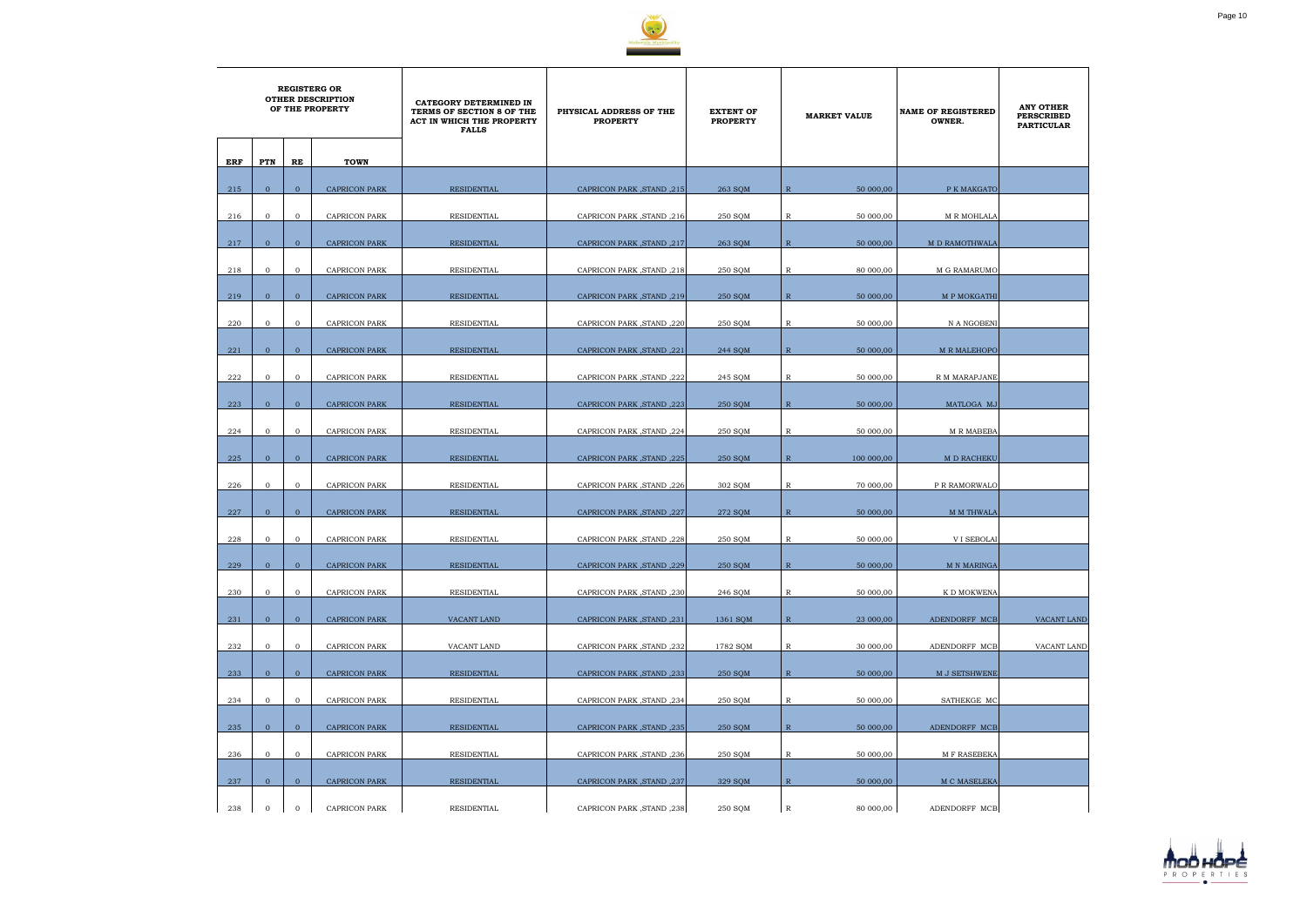

|     |                |                | <b>REGISTERG OR</b><br><b>OTHER DESCRIPTION</b><br>OF THE PROPERTY | CATEGORY DETERMINED IN<br>TERMS OF SECTION 8 OF THE<br>ACT IN WHICH THE PROPERTY<br><b>FALLS</b> | PHYSICAL ADDRESS OF THE<br><b>PROPERTY</b> | <b>EXTENT OF</b><br><b>PROPERTY</b> | <b>MARKET VALUE</b>         | <b>NAME OF REGISTERED</b><br>OWNER. | <b>ANY OTHER</b><br><b>PERSCRIBED</b><br><b>PARTICULAR</b> |
|-----|----------------|----------------|--------------------------------------------------------------------|--------------------------------------------------------------------------------------------------|--------------------------------------------|-------------------------------------|-----------------------------|-------------------------------------|------------------------------------------------------------|
| ERF | PTN            | RE             | <b>TOWN</b>                                                        |                                                                                                  |                                            |                                     |                             |                                     |                                                            |
|     |                |                |                                                                    |                                                                                                  |                                            |                                     |                             |                                     |                                                            |
| 215 | $\overline{0}$ | $\overline{0}$ | <b>CAPRICON PARK</b>                                               | <b>RESIDENTIAL</b>                                                                               | 215, CAPRICON PARK, STAND                  | 263 SQM                             | 50 000,00<br>R              | P K MAKGATO                         |                                                            |
| 216 | $\overline{0}$ | $\mathbf{0}$   | CAPRICON PARK                                                      | RESIDENTIAL                                                                                      | CAPRICON PARK, STAND, 216                  | 250 SQM                             | R<br>50 000,00              | M R MOHLALA                         |                                                            |
| 217 | $\mathbf{0}$   | $\overline{0}$ | <b>CAPRICON PARK</b>                                               | <b>RESIDENTIAL</b>                                                                               | CAPRICON PARK, STAND, 217                  | 263 SQM                             | 50 000,00<br>$\mathbb{R}$   | M D RAMOTHWALA                      |                                                            |
| 218 | $\mathbf{0}$   | $\mathbf{O}$   | CAPRICON PARK                                                      | RESIDENTIAL                                                                                      | CAPRICON PARK, STAND, 218                  | 250 SQM                             | R<br>80 000,00              | M G RAMARUMO                        |                                                            |
| 219 | $\overline{0}$ | $\overline{0}$ | <b>CAPRICON PARK</b>                                               | RESIDENTIAL                                                                                      | CAPRICON PARK, STAND, 219                  | 250 SQM                             | $\mathbb{R}$<br>50 000,00   | M P MOKGATHI                        |                                                            |
|     |                |                |                                                                    |                                                                                                  |                                            |                                     |                             |                                     |                                                            |
| 220 | $\overline{0}$ | $\mathbf{O}$   | CAPRICON PARK                                                      | RESIDENTIAL                                                                                      | CAPRICON PARK, STAND, 220                  | 250 SQM                             | 50 000,00<br>R              | N A NGOBENI                         |                                                            |
| 221 | $\overline{0}$ | $\overline{0}$ | <b>CAPRICON PARK</b>                                               | <b>RESIDENTIAL</b>                                                                               | CAPRICON PARK, STAND, 221                  | 244 SOM                             | $\mathbb{R}$<br>50 000,00   | <b>M R MALEHOPO</b>                 |                                                            |
| 222 | $\overline{0}$ | $\overline{0}$ | CAPRICON PARK                                                      | RESIDENTIAL                                                                                      | CAPRICON PARK, STAND, 222                  | 245 SQM                             | R<br>50 000,00              | R M MARAPJANE                       |                                                            |
|     |                |                |                                                                    |                                                                                                  |                                            |                                     |                             |                                     |                                                            |
| 223 | $\overline{0}$ | $\overline{0}$ | <b>CAPRICON PARK</b>                                               | RESIDENTIAL                                                                                      | CAPRICON PARK, STAND, 223                  | 250 SQM                             | $\mathbb{R}$<br>50 000,00   | MATLOGA MJ                          |                                                            |
| 224 | $\mathbf{0}$   | $\mathbf{O}$   | CAPRICON PARK                                                      | RESIDENTIAL                                                                                      | CAPRICON PARK, STAND, 224                  | 250 SQM                             | R<br>50 000,00              | <b>M R MABEBA</b>                   |                                                            |
| 225 | $\mathbf{0}$   | $\overline{0}$ | <b>CAPRICON PARK</b>                                               | RESIDENTIAL                                                                                      | CAPRICON PARK, STAND, 225                  | 250 SQM                             | $\mathbb{R}$<br>100 000,00  | M D RACHEKU                         |                                                            |
| 226 | $\mathbf{0}$   | $\mathbf{O}$   | CAPRICON PARK                                                      | RESIDENTIAL                                                                                      | CAPRICON PARK, STAND, 226                  | 302 SQM                             | 70 000,00<br>R              | P R RAMORWALO                       |                                                            |
|     |                |                |                                                                    |                                                                                                  |                                            |                                     |                             |                                     |                                                            |
| 227 | $\overline{0}$ | $\overline{0}$ | <b>CAPRICON PARK</b>                                               | <b>RESIDENTIAL</b>                                                                               | CAPRICON PARK, STAND, 227                  | 272 SOM                             | $\overline{R}$<br>50 000,00 | M M THWALA                          |                                                            |
| 228 | $\mathbf 0$    | $\mathbf{O}$   | CAPRICON PARK                                                      | <b>RESIDENTIAL</b>                                                                               | CAPRICON PARK, STAND, 228                  | 250 SQM                             | 50 000,00<br>R              | <b>VI SEBOLAI</b>                   |                                                            |
| 229 | $\mathbf{0}$   | $\overline{0}$ | CAPRICON PARK                                                      | <b>RESIDENTIAL</b>                                                                               | CAPRICON PARK, STAND, 229                  | 250 SQM                             | $\mathbb{R}$<br>50 000,00   | <b>M N MARINGA</b>                  |                                                            |
| 230 | $\mathbf{0}$   | $\overline{0}$ | <b>CAPRICON PARK</b>                                               | RESIDENTIAL                                                                                      | CAPRICON PARK, STAND, 230                  | 246 SQM                             | 50 000,00<br>$\mathbb R$    | K D MOKWENA                         |                                                            |
|     | $\overline{0}$ | $\overline{0}$ |                                                                    |                                                                                                  | CAPRICON PARK, STAND, 231                  |                                     | $\mathbb{R}$                |                                     |                                                            |
| 231 |                |                | <b>CAPRICON PARK</b>                                               | VACANT LAND                                                                                      |                                            | 1361 SQM                            | 23 000,00                   | ADENDORFF MCB                       | <b>VACANT LAND</b>                                         |
| 232 | $\overline{0}$ | $\overline{0}$ | <b>CAPRICON PARK</b>                                               | VACANT LAND                                                                                      | CAPRICON PARK, STAND, 232                  | 1782 SQM                            | 30 000,00<br>$\mathbb{R}$   | ADENDORFF MCB                       | VACANT LAND                                                |
| 233 | $\overline{0}$ | $\overline{0}$ | <b>CAPRICON PARK</b>                                               | <b>RESIDENTIAL</b>                                                                               | CAPRICON PARK, STAND, 233                  | 250 SQM                             | $\mathbb{R}$<br>50 000,00   | M J SETSHWENE                       |                                                            |
| 234 | $\overline{0}$ | $\overline{0}$ | CAPRICON PARK                                                      | RESIDENTIAL                                                                                      | CAPRICON PARK, STAND, 234                  | 250 SQM                             | $\mathbb R$<br>50 000,00    | SATHEKGE MC                         |                                                            |
|     |                |                |                                                                    |                                                                                                  |                                            |                                     |                             |                                     |                                                            |
| 235 | $\overline{0}$ | $\overline{0}$ | <b>CAPRICON PARK</b>                                               | <b>RESIDENTIAL</b>                                                                               | CAPRICON PARK, STAND, 235                  | 250 SQM                             | $\mathbb{R}$<br>50 000,00   | ADENDORFF MCB                       |                                                            |
| 236 | $\overline{0}$ | $\mathbf{O}$   | CAPRICON PARK                                                      | RESIDENTIAL                                                                                      | CAPRICON PARK, STAND, 236                  | 250 SQM                             | R<br>50 000,00              | M F RASEBEKA                        |                                                            |
| 237 | $\overline{0}$ | $\overline{0}$ | <b>CAPRICON PARK</b>                                               | <b>RESIDENTIAL</b>                                                                               | CAPRICON PARK, STAND, 237                  | 329 SQM                             | $\mathbb{R}$<br>50 000,00   | M C MASELEKA                        |                                                            |
| 238 | $\mathbf{0}$   | $\mathbf{O}$   | <b>CAPRICON PARK</b>                                               | RESIDENTIAL                                                                                      | CAPRICON PARK, STAND, 238                  | 250 SQM                             | $\mathbb{R}$<br>80 000,00   | ADENDORFF MCB                       |                                                            |

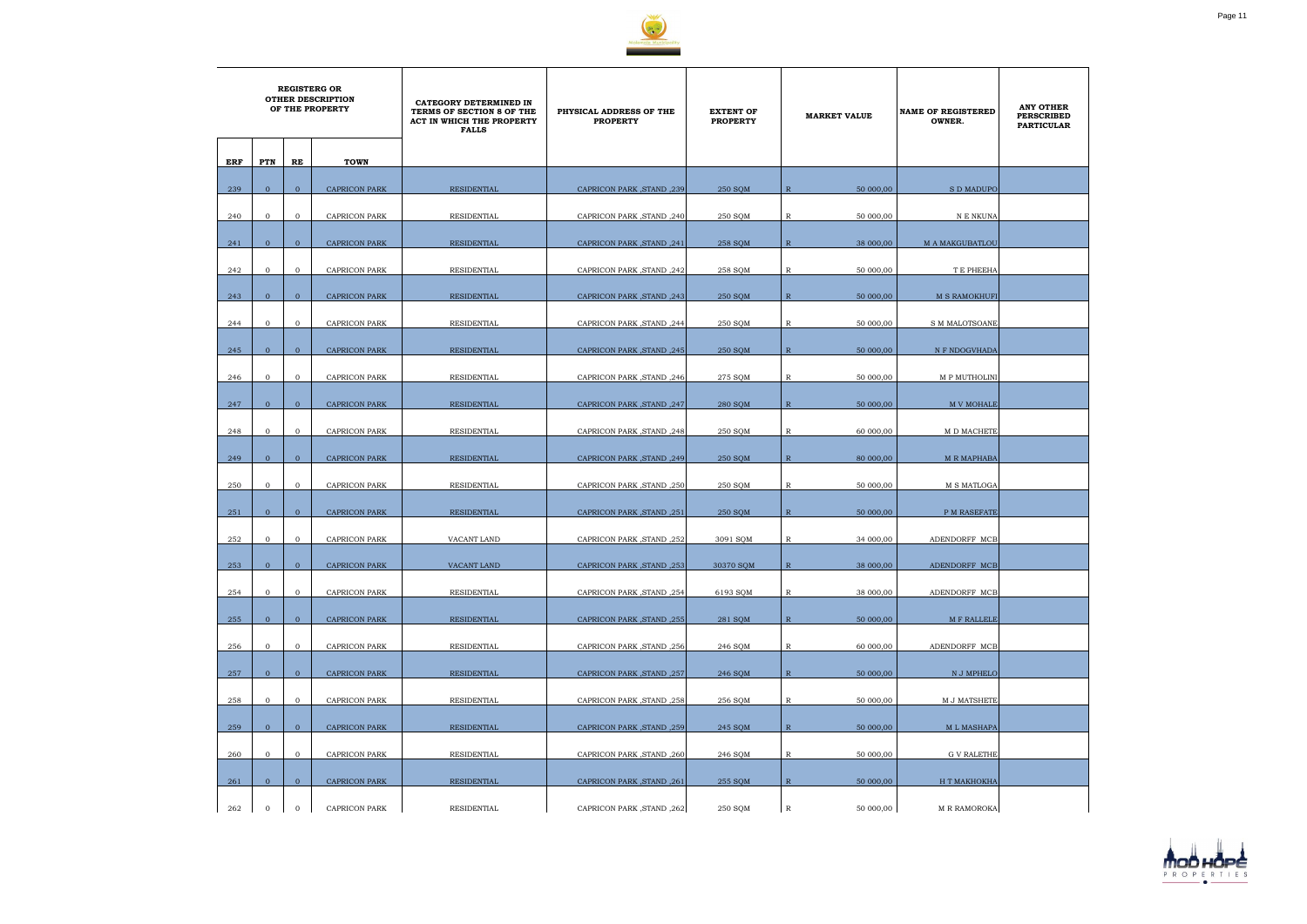

|     | <b>REGISTERG OR</b><br><b>OTHER DESCRIPTION</b><br>OF THE PROPERTY |                |                      | CATEGORY DETERMINED IN<br>TERMS OF SECTION 8 OF THE<br>ACT IN WHICH THE PROPERTY<br><b>FALLS</b> | PHYSICAL ADDRESS OF THE<br><b>PROPERTY</b> | <b>EXTENT OF</b><br><b>PROPERTY</b> | <b>MARKET VALUE</b>       | <b>NAME OF REGISTERED</b><br>OWNER. | <b>ANY OTHER</b><br><b>PERSCRIBED</b><br><b>PARTICULAR</b> |
|-----|--------------------------------------------------------------------|----------------|----------------------|--------------------------------------------------------------------------------------------------|--------------------------------------------|-------------------------------------|---------------------------|-------------------------------------|------------------------------------------------------------|
| ERF | PTN                                                                | RE             | <b>TOWN</b>          |                                                                                                  |                                            |                                     |                           |                                     |                                                            |
| 239 | $\overline{0}$                                                     | $\overline{0}$ | <b>CAPRICON PARK</b> | <b>RESIDENTIAL</b>                                                                               | CAPRICON PARK, STAND, 239                  | <b>250 SOM</b>                      | $\mathbb{R}$<br>50 000,00 | <b>SD MADUPO</b>                    |                                                            |
|     |                                                                    |                |                      |                                                                                                  |                                            |                                     |                           |                                     |                                                            |
| 240 | $\mathbf{0}$                                                       | $\mathbf{0}$   | CAPRICON PARK        | RESIDENTIAL                                                                                      | CAPRICON PARK, STAND, 240                  | 250 SQM                             | R<br>50 000,00            | N E NKUNA                           |                                                            |
| 241 | $\mathbf{0}$                                                       | $\overline{0}$ | <b>CAPRICON PARK</b> | <b>RESIDENTIAL</b>                                                                               | CAPRICON PARK, STAND, 241                  | 258 SQM                             | 38 000,00<br>$\mathbb{R}$ | <b>M A MAKGUBATLOU</b>              |                                                            |
| 242 | $\mathbf{0}$                                                       | $\mathbf{O}$   | <b>CAPRICON PARK</b> | RESIDENTIAL                                                                                      | CAPRICON PARK, STAND, 242                  | 258 SQM                             | R<br>50 000,00            | T E PHEEHA                          |                                                            |
| 243 | $\overline{0}$                                                     | $\overline{0}$ | <b>CAPRICON PARK</b> | <b>RESIDENTIAL</b>                                                                               | CAPRICON PARK, STAND, 243                  | 250 SQM                             | $\mathbb{R}$<br>50 000,00 | <b>M S RAMOKHUFI</b>                |                                                            |
| 244 | $\overline{0}$                                                     | $\mathbf{O}$   | CAPRICON PARK        | RESIDENTIAL                                                                                      | CAPRICON PARK, STAND, 244                  | 250 SQM                             | $\mathbb R$<br>50 000,00  | S M MALOTSOANE                      |                                                            |
|     |                                                                    |                |                      |                                                                                                  |                                            |                                     |                           |                                     |                                                            |
| 245 | $\overline{0}$                                                     | $\overline{0}$ | <b>CAPRICON PARK</b> | <b>RESIDENTIAL</b>                                                                               | CAPRICON PARK, STAND, 245                  | 250 SOM                             | $\mathbb{R}$<br>50 000,00 | N F NDOGVHADA                       |                                                            |
| 246 | $\mathbf{0}$                                                       | $\overline{0}$ | CAPRICON PARK        | RESIDENTIAL                                                                                      | CAPRICON PARK, STAND, 246                  | 275 SQM                             | R<br>50 000,00            | M P MUTHOLINI                       |                                                            |
| 247 | $\overline{0}$                                                     | $\overline{0}$ | <b>CAPRICON PARK</b> | <b>RESIDENTIAL</b>                                                                               | CAPRICON PARK, STAND, 247                  | <b>280 SOM</b>                      | $\mathbb{R}$<br>50 000,00 | <b>M V MOHALE</b>                   |                                                            |
| 248 | $\mathbf{0}$                                                       | $\overline{0}$ | <b>CAPRICON PARK</b> | RESIDENTIAL                                                                                      | CAPRICON PARK, STAND, 248                  | 250 SQM                             | R<br>60 000,00            | M D MACHETE                         |                                                            |
| 249 | $\overline{0}$                                                     | $\overline{0}$ | <b>CAPRICON PARK</b> | RESIDENTIAL                                                                                      | CAPRICON PARK, STAND, 249                  | 250 SQM                             | $\mathbb{R}$<br>80 000,00 | <b>M R MAPHABA</b>                  |                                                            |
|     |                                                                    |                |                      |                                                                                                  |                                            |                                     |                           |                                     |                                                            |
| 250 | $\mathbf{0}$                                                       | $\mathbf{O}$   | CAPRICON PARK        | RESIDENTIAL                                                                                      | CAPRICON PARK, STAND, 250                  | 250 SQM                             | 50 000,00<br>R            | M S MATLOGA                         |                                                            |
| 251 | $\overline{0}$                                                     | $\overline{0}$ | <b>CAPRICON PARK</b> | <b>RESIDENTIAL</b>                                                                               | CAPRICON PARK, STAND, 251                  | 250 SOM                             | $\mathbb{R}$<br>50 000,00 | P M RASEFATE                        |                                                            |
| 252 | $\mathbf 0$                                                        | $\mathbf{O}$   | CAPRICON PARK        | VACANT LAND                                                                                      | CAPRICON PARK, STAND, 252                  | 3091 SQM                            | 34 000,00<br>R            | ADENDORFF MCB                       |                                                            |
| 253 | $\mathbf{0}$                                                       | $\overline{0}$ | CAPRICON PARK        | VACANT LAND                                                                                      | CAPRICON PARK, STAND, 253                  | 30370 SQM                           | $\mathbb{R}$<br>38 000,00 | ADENDORFF MCB                       |                                                            |
| 254 | $\overline{0}$                                                     | $\overline{0}$ | <b>CAPRICON PARK</b> | <b>RESIDENTIAL</b>                                                                               | CAPRICON PARK , STAND , 254                | 6193 SQM                            | $\mathbb R$<br>38 000,00  | ADENDORFF MCB                       |                                                            |
|     |                                                                    |                |                      |                                                                                                  |                                            |                                     |                           |                                     |                                                            |
| 255 | $\overline{0}$                                                     | $\overline{0}$ | <b>CAPRICON PARK</b> | <b>RESIDENTIAL</b>                                                                               | CAPRICON PARK, STAND, 255                  | 281 SQM                             | $\mathbb{R}$<br>50 000,00 | <b>M F RALLELE</b>                  |                                                            |
| 256 | $\overline{0}$                                                     | $\overline{0}$ | CAPRICON PARK        | RESIDENTIAL                                                                                      | CAPRICON PARK, STAND, 256                  | 246 SQM                             | $\mathbb{R}$<br>60 000,00 | ADENDORFF MCB                       |                                                            |
| 257 | $\overline{0}$                                                     | $\overline{0}$ | <b>CAPRICON PARK</b> | RESIDENTIAL                                                                                      | CAPRICON PARK, STAND, 257                  | 246 SQM                             | $\mathbb{R}$<br>50 000,00 | N J MPHELO                          |                                                            |
| 258 | $\mathbf 0$                                                        | $\overline{0}$ | CAPRICON PARK        | <b>RESIDENTIAL</b>                                                                               | CAPRICON PARK, STAND, 258                  | 256 SQM                             | $\mathbb{R}$<br>50 000,00 | M J MATSHETE                        |                                                            |
| 259 | $\overline{0}$                                                     | $\overline{0}$ | <b>CAPRICON PARK</b> | <b>RESIDENTIAL</b>                                                                               | CAPRICON PARK, STAND, 259                  | 245 SQM                             | $\mathbb{R}$<br>50 000,00 | <b>ML MASHAPA</b>                   |                                                            |
|     |                                                                    |                |                      |                                                                                                  |                                            |                                     |                           |                                     |                                                            |
| 260 | $\overline{0}$                                                     | $\overline{0}$ | CAPRICON PARK        | RESIDENTIAL                                                                                      | CAPRICON PARK, STAND, 260                  | 246 SQM                             | $\mathbb R$<br>50 000,00  | <b>G V RALETHE</b>                  |                                                            |
| 261 | $\overline{0}$                                                     | $\overline{0}$ | <b>CAPRICON PARK</b> | <b>RESIDENTIAL</b>                                                                               | CAPRICON PARK, STAND, 261                  | 255 SQM                             | $\mathbb{R}$<br>50 000,00 | Н Т МАКНОКНА                        |                                                            |
| 262 | $\mathbf{0}$                                                       | $\overline{0}$ | <b>CAPRICON PARK</b> | RESIDENTIAL                                                                                      | CAPRICON PARK, STAND, 262                  | 250 SQM                             | $\mathbb{R}$<br>50 000,00 | M R RAMOROKA                        |                                                            |

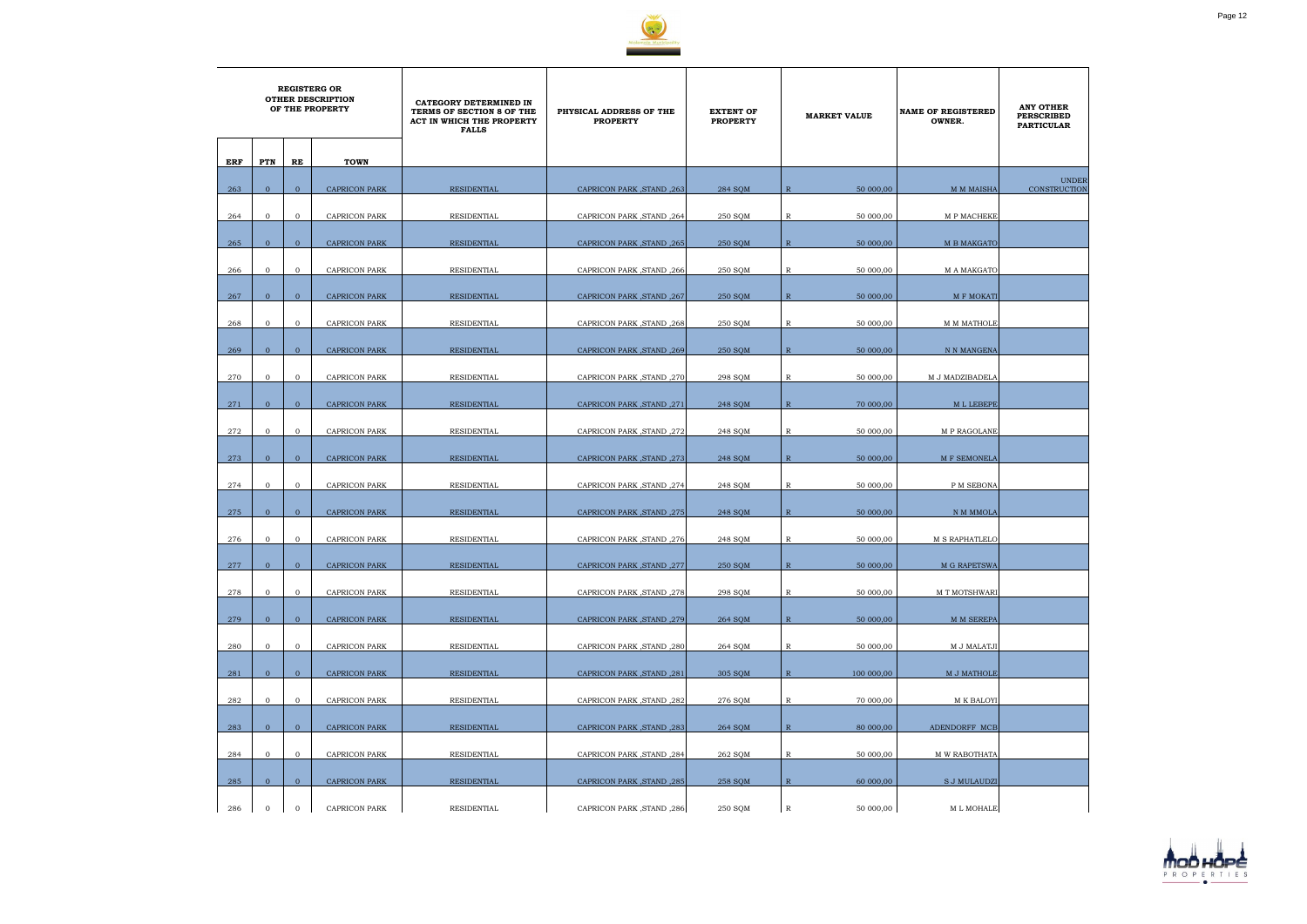

|     | <b>REGISTERG OR</b><br><b>OTHER DESCRIPTION</b><br>OF THE PROPERTY |                |                      | CATEGORY DETERMINED IN<br>TERMS OF SECTION 8 OF THE<br>ACT IN WHICH THE PROPERTY<br><b>FALLS</b> | PHYSICAL ADDRESS OF THE<br><b>PROPERTY</b> | <b>EXTENT OF</b><br><b>PROPERTY</b> | <b>MARKET VALUE</b>         | <b>NAME OF REGISTERED</b><br>OWNER. | <b>ANY OTHER</b><br><b>PERSCRIBED</b><br><b>PARTICULAR</b> |
|-----|--------------------------------------------------------------------|----------------|----------------------|--------------------------------------------------------------------------------------------------|--------------------------------------------|-------------------------------------|-----------------------------|-------------------------------------|------------------------------------------------------------|
| ERF | PTN                                                                | RE             | <b>TOWN</b>          |                                                                                                  |                                            |                                     |                             |                                     |                                                            |
| 263 | $\mathbf{0}$                                                       | $\overline{0}$ | <b>CAPRICON PARK</b> | RESIDENTIAL                                                                                      | CAPRICON PARK, STAND, 263                  | 284 SQM                             | 50 000,00<br>$\overline{R}$ | <b>M M MAISHA</b>                   | <b>UNDER</b><br>CONSTRUCTION                               |
| 264 | $\mathbf 0$                                                        | $\mathbf{0}$   | <b>CAPRICON PARK</b> | <b>RESIDENTIAL</b>                                                                               | CAPRICON PARK, STAND, 264                  | 250 SQM                             | 50 000,00<br>R              | M P MACHEKE                         |                                                            |
| 265 | $\overline{0}$                                                     | $\mathbf{0}$   | <b>CAPRICON PARK</b> | <b>RESIDENTIAL</b>                                                                               | CAPRICON PARK, STAND, 265                  | 250 SQM                             | $\mathbb{R}$<br>50 000,00   | <b>M B MAKGATO</b>                  |                                                            |
| 266 | $\mathbf{0}$                                                       | $\mathbf{0}$   | <b>CAPRICON PARK</b> | RESIDENTIAL                                                                                      | CAPRICON PARK, STAND, 266                  | 250 SQM                             | $\mathbb R$<br>50 000,00    | M A MAKGATO                         |                                                            |
| 267 | $\overline{0}$                                                     | $\overline{0}$ | <b>CAPRICON PARK</b> | <b>RESIDENTIAL</b>                                                                               | CAPRICON PARK, STAND, 267                  | 250 SQM                             | $\mathbb{R}$<br>50 000,00   | <b>M F MOKATI</b>                   |                                                            |
| 268 | $\overline{0}$                                                     | $\mathbf{0}$   | <b>CAPRICON PARK</b> | RESIDENTIAL                                                                                      | CAPRICON PARK, STAND, 268                  | 250 SQM                             | R<br>50 000,00              | M M MATHOLE                         |                                                            |
| 269 | $\overline{0}$                                                     | $\mathbf{0}$   | <b>CAPRICON PARK</b> | RESIDENTIAL                                                                                      | CAPRICON PARK, STAND, 269                  | <b>250 SQM</b>                      | $\mathbb{R}$<br>50 000,00   | N N MANGENA                         |                                                            |
| 270 | $\mathbf 0$                                                        | $\mathbf{0}$   | <b>CAPRICON PARK</b> | RESIDENTIAL                                                                                      | CAPRICON PARK, STAND, 270                  | 298 SQM                             | $\mathbb{R}$<br>50 000,00   | M J MADZIBADELA                     |                                                            |
| 271 | $\mathbf{0}$                                                       | $\mathbf{0}$   | <b>CAPRICON PARK</b> | <b>RESIDENTIAL</b>                                                                               | CAPRICON PARK, STAND, 271                  | 248 SQM                             | $\mathbb{R}$<br>70 000,00   | M L LEBEPE                          |                                                            |
| 272 | $\mathbf 0$                                                        | $\mathbf{0}$   | <b>CAPRICON PARK</b> | RESIDENTIAL                                                                                      | CAPRICON PARK, STAND, 272                  | 248 SQM                             | R<br>50 000,00              | M P RAGOLANE                        |                                                            |
| 273 | $\overline{0}$                                                     | $\overline{0}$ | <b>CAPRICON PARK</b> | <b>RESIDENTIAL</b>                                                                               | CAPRICON PARK, STAND, 273                  | 248 SQM                             | $\mathbb{R}$<br>50 000,00   | M F SEMONELA                        |                                                            |
| 274 | $\mathbf 0$                                                        | $\mathbf{0}$   | <b>CAPRICON PARK</b> | RESIDENTIAL                                                                                      | CAPRICON PARK, STAND, 274                  | 248 SQM                             | R<br>50 000,00              | P M SEBONA                          |                                                            |
| 275 | $\Omega$                                                           | $\overline{0}$ | <b>CAPRICON PARK</b> | RESIDENTIAL                                                                                      | CAPRICON PARK, STAND, 275                  | 248 SQM                             | $\mathbb{R}$<br>50 000,00   | N M MMOLA                           |                                                            |
| 276 | $\mathbf 0$                                                        | $\mathbf{0}$   | <b>CAPRICON PARK</b> | RESIDENTIAL                                                                                      | CAPRICON PARK, STAND, 276                  | 248 SQM                             | $\mathbb{R}$<br>50 000,00   | M S RAPHATLELO                      |                                                            |
| 277 | $\mathbf{0}$                                                       | $\mathbf{0}$   | <b>CAPRICON PARK</b> | <b>RESIDENTIAL</b>                                                                               | CAPRICON PARK, STAND, 277                  | 250 SQM                             | ${\mathbb R}$<br>50 000,00  | M G RAPETSWA                        |                                                            |
| 278 | $\overline{0}$                                                     | $\overline{0}$ | <b>CAPRICON PARK</b> | RESIDENTIAL                                                                                      | CAPRICON PARK, STAND, 278                  | 298 SQM                             | $\mathbb{R}$<br>50 000,00   | M T MOTSHWARI                       |                                                            |
| 279 | $\overline{0}$                                                     | $\overline{0}$ | <b>CAPRICON PARK</b> | RESIDENTIAL                                                                                      | CAPRICON PARK, STAND, 279                  | 264 SQM                             | $\mathbb{R}$<br>50 000,00   | M M SEREPA                          |                                                            |
| 280 | $\mathbf 0$                                                        | $\overline{0}$ | CAPRICON PARK        | RESIDENTIAL                                                                                      | CAPRICON PARK, STAND, 280                  | 264 SQM                             | $\mathbb{R}$<br>50 000,00   | M J MALATJI                         |                                                            |
| 281 | $\overline{0}$                                                     | $\mathbf{0}$   | <b>CAPRICON PARK</b> | <b>RESIDENTIAL</b>                                                                               | CAPRICON PARK, STAND, 281                  | 305 SQM                             | $\mathbb{R}$<br>100 000,00  | M J MATHOLE                         |                                                            |
| 282 | $\mathbf{0}$                                                       | $\mathbf{0}$   | <b>CAPRICON PARK</b> | RESIDENTIAL                                                                                      | CAPRICON PARK, STAND, 282                  | 276 SQM                             | 70 000,00<br>$\mathbb{R}$   | M K BALOYI                          |                                                            |
| 283 | $\mathbf{0}$                                                       | $\overline{0}$ | CAPRICON PARK        | RESIDENTIAL                                                                                      | CAPRICON PARK, STAND, 283                  | 264 SQM                             | $\mathbb{R}$<br>80 000,00   | ADENDORFF MCB                       |                                                            |
| 284 | $\overline{0}$                                                     | $\mathbf 0$    | CAPRICON PARK        | RESIDENTIAL                                                                                      | CAPRICON PARK, STAND, 284                  | 262 SQM                             | $\mathbb R$<br>50 000,00    | M W RABOTHATA                       |                                                            |
| 285 | $\overline{0}$                                                     | $\overline{0}$ | <b>CAPRICON PARK</b> | RESIDENTIAL                                                                                      | CAPRICON PARK, STAND, 285                  | 258 SQM                             | $\mathbb{R}$<br>60 000,00   | <b>S J MULAUDZI</b>                 |                                                            |
| 286 | $\mathbf{0}$                                                       | $\mathbf 0$    | <b>CAPRICON PARK</b> | RESIDENTIAL                                                                                      | CAPRICON PARK, STAND, 286                  | 250 SQM                             | $\mathbb R$<br>50 000,00    | M L MOHALE                          |                                                            |

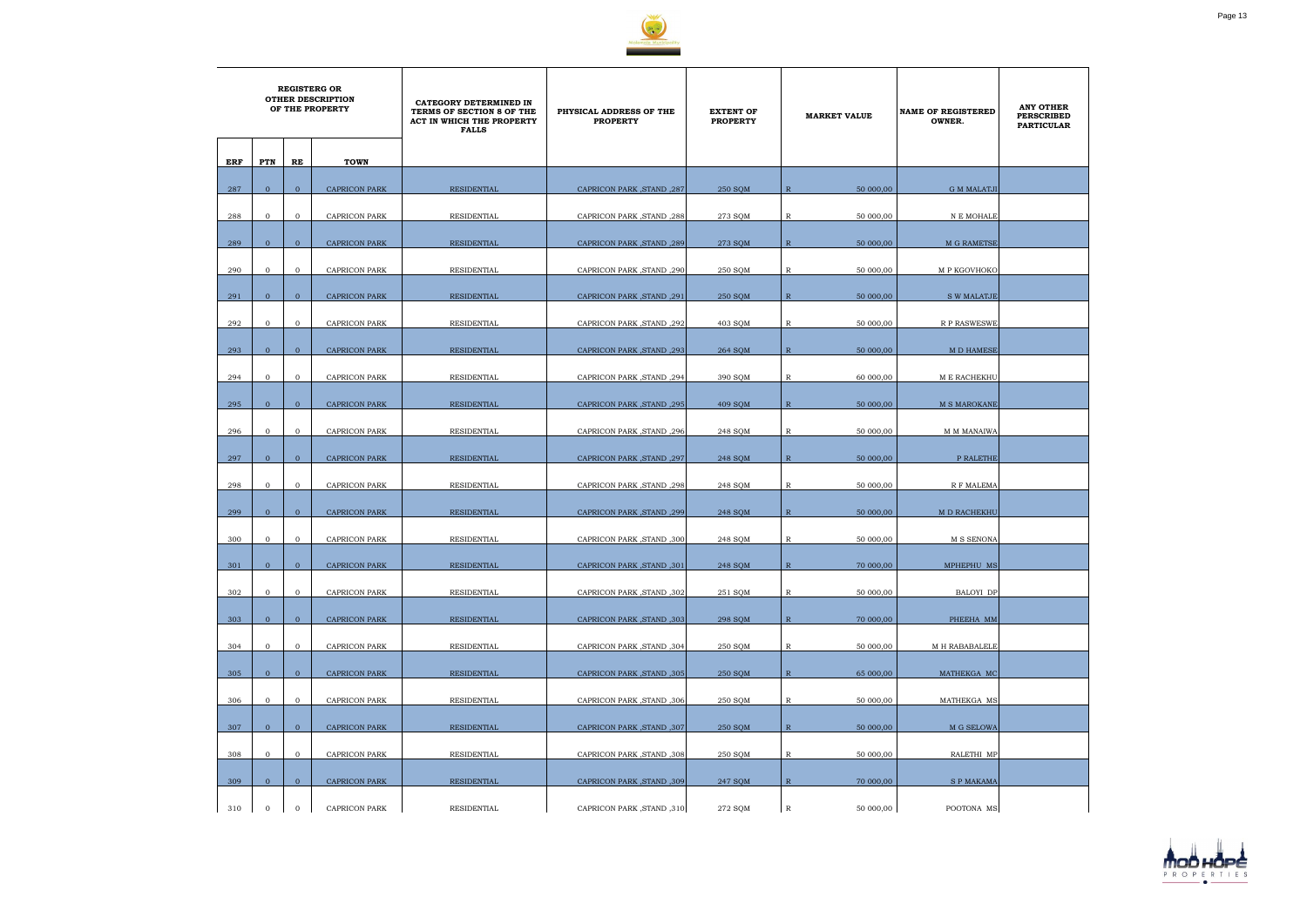

|     | <b>REGISTERG OR</b><br><b>OTHER DESCRIPTION</b><br>OF THE PROPERTY |                |                      | CATEGORY DETERMINED IN<br>TERMS OF SECTION 8 OF THE<br>ACT IN WHICH THE PROPERTY<br><b>FALLS</b> | PHYSICAL ADDRESS OF THE<br><b>PROPERTY</b> | <b>EXTENT OF</b><br><b>PROPERTY</b> |                | <b>MARKET VALUE</b> | <b>NAME OF REGISTERED</b><br>OWNER. | <b>ANY OTHER</b><br><b>PERSCRIBED</b><br><b>PARTICULAR</b> |
|-----|--------------------------------------------------------------------|----------------|----------------------|--------------------------------------------------------------------------------------------------|--------------------------------------------|-------------------------------------|----------------|---------------------|-------------------------------------|------------------------------------------------------------|
| ERF | PTN                                                                | RE             | <b>TOWN</b>          |                                                                                                  |                                            |                                     |                |                     |                                     |                                                            |
| 287 | $\mathbf{0}$                                                       | $\overline{0}$ | <b>CAPRICON PARK</b> | <b>RESIDENTIAL</b>                                                                               | CAPRICON PARK, STAND, 287                  | 250 SQM                             | $\overline{R}$ | 50 000,00           | <b>G M MALATJI</b>                  |                                                            |
| 288 | $\mathbf{0}$                                                       | $\overline{0}$ | <b>CAPRICON PARK</b> | RESIDENTIAL                                                                                      | CAPRICON PARK, STAND, 288                  | 273 SQM                             | $\mathbb R$    | 50 000,00           | N E MOHALE                          |                                                            |
| 289 | $\mathbf{0}$                                                       | $\mathbf{0}$   | <b>CAPRICON PARK</b> | <b>RESIDENTIAL</b>                                                                               | CAPRICON PARK, STAND, 289                  | 273 SQM                             | $\mathbb{R}$   | 50 000,00           | M G RAMETSE                         |                                                            |
| 290 | $\mathbf{O}$                                                       | $\mathbf{0}$   | CAPRICON PARK        | RESIDENTIAL                                                                                      | CAPRICON PARK, STAND, 290                  | 250 SQM                             | R              | 50 000,00           | M P KGOVHOKO                        |                                                            |
| 291 | $\overline{0}$                                                     | $\mathbf{0}$   | <b>CAPRICON PARK</b> | <b>RESIDENTIAL</b>                                                                               | CAPRICON PARK, STAND, 291                  | 250 SOM                             | $\mathbb{R}$   | 50 000,00           | <b>S W MALATJE</b>                  |                                                            |
| 292 | $\mathbf{0}$                                                       | $\mathbf{0}$   | CAPRICON PARK        | RESIDENTIAL                                                                                      | CAPRICON PARK, STAND, 292                  | 403 SQM                             | R              | 50 000,00           | <b>R P RASWESWE</b>                 |                                                            |
| 293 | $\mathbf{0}$                                                       | $\overline{0}$ | <b>CAPRICON PARK</b> | RESIDENTIAL                                                                                      | CAPRICON PARK, STAND, 293                  | 264 SQM                             | $\mathbb{R}$   | 50 000,00           | <b>MD HAMESE</b>                    |                                                            |
| 294 | $\mathbf{0}$                                                       | $\mathbf{O}$   | <b>CAPRICON PARK</b> | RESIDENTIAL                                                                                      | CAPRICON PARK, STAND, 294                  | 390 SQM                             | R              | 60 000,00           | M E RACHEKHU                        |                                                            |
|     | $\overline{0}$                                                     |                |                      |                                                                                                  |                                            |                                     |                |                     |                                     |                                                            |
| 295 |                                                                    | $\mathbf{0}$   | <b>CAPRICON PARK</b> | RESIDENTIAL                                                                                      | CAPRICON PARK, STAND, 295                  | 409 SQM                             | $\mathbb{R}$   | 50 000,00           | M S MAROKANE                        |                                                            |
| 296 | $\mathbf{0}$                                                       | $\mathbf{O}$   | <b>CAPRICON PARK</b> | RESIDENTIAL                                                                                      | CAPRICON PARK, STAND, 296                  | 248 SQM                             | R              | 50 000,00           | M M MANAIWA                         |                                                            |
| 297 | $\overline{0}$                                                     | $\overline{0}$ | <b>CAPRICON PARK</b> | <b>RESIDENTIAL</b>                                                                               | CAPRICON PARK, STAND, 297                  | 248 SOM                             | $\mathbb{R}$   | 50 000,00           | P RALETHE                           |                                                            |
| 298 | $\overline{0}$                                                     | $\overline{0}$ | <b>CAPRICON PARK</b> | RESIDENTIAL                                                                                      | CAPRICON PARK, STAND, 298                  | 248 SQM                             | R              | 50 000,00           | R F MALEMA                          |                                                            |
| 299 | $\overline{0}$                                                     | $\overline{0}$ | <b>CAPRICON PARK</b> | RESIDENTIAL                                                                                      | CAPRICON PARK, STAND, 299                  | 248 SQM                             | $\overline{R}$ | 50 000,00           | M D RACHEKHU                        |                                                            |
| 300 | $\overline{0}$                                                     | $\mathbf{O}$   | <b>CAPRICON PARK</b> | RESIDENTIAL                                                                                      | CAPRICON PARK, STAND, 300                  | 248 SQM                             | R              | 50 000,00           | M S SENONA                          |                                                            |
| 301 | $\mathbf{0}$                                                       | $\overline{0}$ | CAPRICON PARK        | RESIDENTIAL                                                                                      | CAPRICON PARK, STAND, 301                  | 248 SQM                             | $\, {\bf R}$   | 70 000,00           | MPHEPHU MS                          |                                                            |
|     |                                                                    |                |                      |                                                                                                  |                                            |                                     |                |                     |                                     |                                                            |
| 302 | $\mathbf{0}$                                                       | $\overline{0}$ | CAPRICON PARK        | RESIDENTIAL                                                                                      | CAPRICON PARK, STAND, 302                  | 251 SQM                             | $\mathbb{R}$   | 50 000,00           | BALOYI DP                           |                                                            |
| 303 | $\overline{0}$                                                     | $\overline{0}$ | <b>CAPRICON PARK</b> | RESIDENTIAL                                                                                      | CAPRICON PARK, STAND, 303                  | 298 SOM                             | $\mathbb{R}$   | 70 000,00           | PHEEHA MM                           |                                                            |
| 304 | $\overline{0}$                                                     | $\mathbf{O}$   | CAPRICON PARK        | RESIDENTIAL                                                                                      | CAPRICON PARK , STAND , 304                | 250 SQM                             | $\mathbb{R}$   | 50 000,00           | M H RABABALELE                      |                                                            |
| 305 | $\overline{0}$                                                     | $\overline{0}$ | <b>CAPRICON PARK</b> | <b>RESIDENTIAL</b>                                                                               | CAPRICON PARK, STAND, 305                  | 250 SQM                             | $\mathbb{R}$   | 65 000,00           | MATHEKGA MC                         |                                                            |
| 306 | $\mathbf{0}$                                                       | $\mathbf{O}$   | <b>CAPRICON PARK</b> | RESIDENTIAL                                                                                      | CAPRICON PARK, STAND, 306                  | 250 SQM                             | $\mathbb{R}$   | 50 000,00           | MATHEKGA MS                         |                                                            |
| 307 | $\mathbf{0}$                                                       | $\overline{0}$ | <b>CAPRICON PARK</b> | RESIDENTIAL                                                                                      | CAPRICON PARK, STAND, 307                  | 250 SQM                             | $\mathbb{R}$   | 50 000,00           | M G SELOWA                          |                                                            |
| 308 | $\mathbf{0}$                                                       | $\mathbf{O}$   | <b>CAPRICON PARK</b> | RESIDENTIAL                                                                                      | CAPRICON PARK, STAND, 308                  | 250 SQM                             | R              | 50 000,00           | RALETHI MP                          |                                                            |
|     |                                                                    |                |                      |                                                                                                  |                                            |                                     |                |                     |                                     |                                                            |
| 309 | $\overline{0}$                                                     | $\overline{0}$ | <b>CAPRICON PARK</b> | <b>RESIDENTIAL</b>                                                                               | CAPRICON PARK, STAND, 309                  | 247 SQM                             | $\mathbb{R}$   | 70 000,00           | <b>SPMAKAMA</b>                     |                                                            |
| 310 | $\mathbf{0}$                                                       | $\mathbf 0$    | <b>CAPRICON PARK</b> | RESIDENTIAL                                                                                      | CAPRICON PARK, STAND, 310                  | 272 SQM                             | $\mathbb R$    | 50 000,00           | POOTONA MS                          |                                                            |

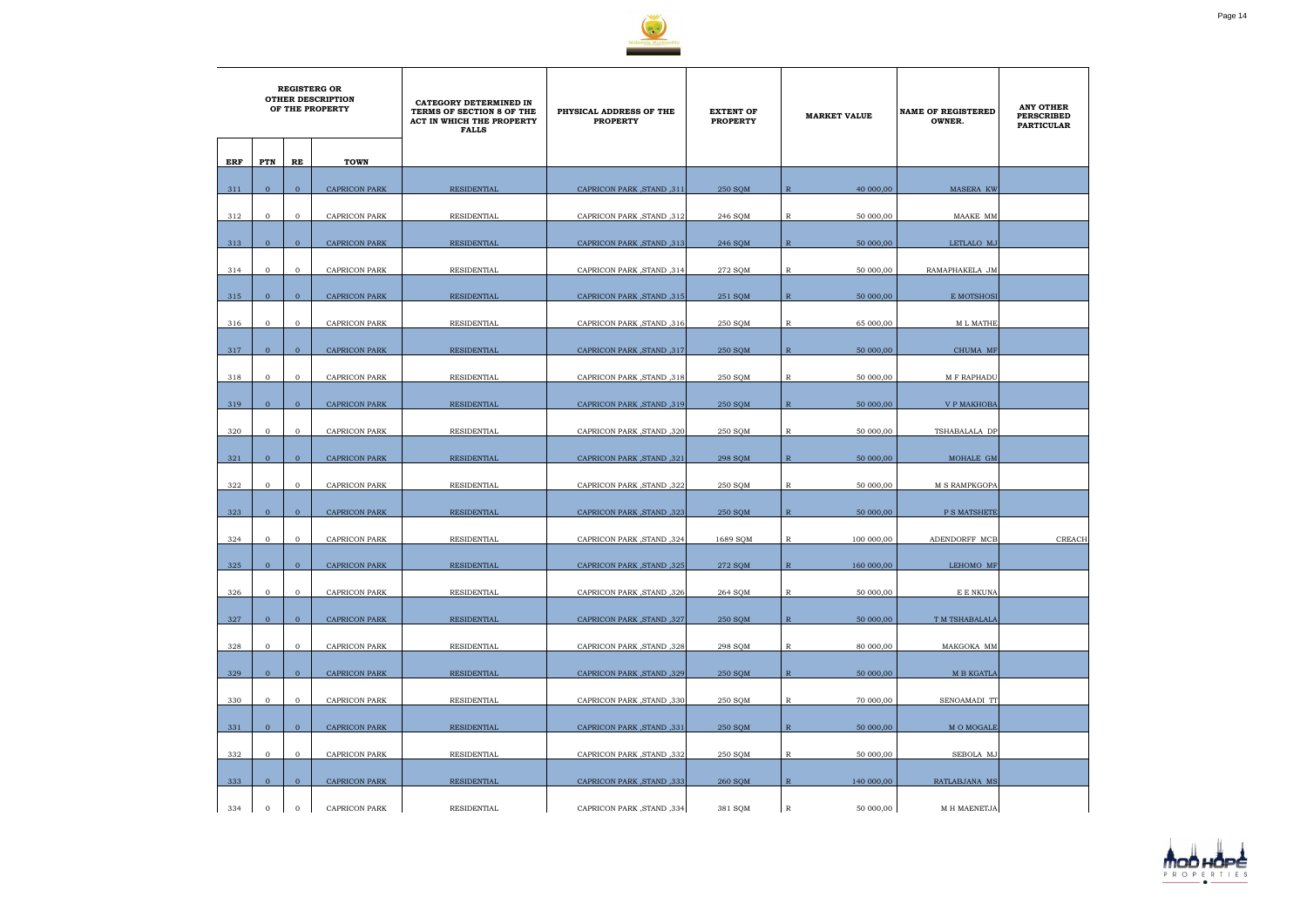

|     | <b>REGISTERG OR</b><br><b>OTHER DESCRIPTION</b><br>OF THE PROPERTY |                |                      | CATEGORY DETERMINED IN<br>TERMS OF SECTION 8 OF THE<br>ACT IN WHICH THE PROPERTY<br><b>FALLS</b> | PHYSICAL ADDRESS OF THE<br><b>PROPERTY</b> | <b>EXTENT OF</b><br><b>PROPERTY</b> |              | <b>MARKET VALUE</b> | <b>NAME OF REGISTERED</b><br>OWNER. | <b>ANY OTHER</b><br><b>PERSCRIBED</b><br><b>PARTICULAR</b> |
|-----|--------------------------------------------------------------------|----------------|----------------------|--------------------------------------------------------------------------------------------------|--------------------------------------------|-------------------------------------|--------------|---------------------|-------------------------------------|------------------------------------------------------------|
| ERF | <b>PTN</b>                                                         | RE             | <b>TOWN</b>          |                                                                                                  |                                            |                                     |              |                     |                                     |                                                            |
| 311 | $\overline{0}$                                                     | $\overline{0}$ | <b>CAPRICON PARK</b> | <b>RESIDENTIAL</b>                                                                               | CAPRICON PARK, STAND, 311                  | 250 SQM                             | $\mathbb{R}$ | 40 000,00           | MASERA KW                           |                                                            |
| 312 | $\mathbf 0$                                                        | $\overline{0}$ | CAPRICON PARK        | RESIDENTIAL                                                                                      | CAPRICON PARK, STAND, 312                  | 246 SQM                             | $\mathbb{R}$ | 50 000,00           | MAAKE MM                            |                                                            |
| 313 | $\overline{0}$                                                     | $\mathbf{0}$   | <b>CAPRICON PARK</b> | <b>RESIDENTIAL</b>                                                                               | CAPRICON PARK, STAND, 313                  | 246 SQM                             | $\mathbb{R}$ | 50 000,00           | LETLALO MJ                          |                                                            |
| 314 | $\mathbf{0}$                                                       | $\mathbf{0}$   | <b>CAPRICON PARK</b> | RESIDENTIAL                                                                                      | CAPRICON PARK, STAND, 314                  | 272 SQM                             | $\mathbb{R}$ | 50 000,00           | RAMAPHAKELA JM                      |                                                            |
| 315 | $\overline{0}$                                                     | $\overline{0}$ | <b>CAPRICON PARK</b> | RESIDENTIAL                                                                                      | CAPRICON PARK, STAND, 315                  | 251 SOM                             | $\mathbb{R}$ | 50 000,00           | E MOTSHOSI                          |                                                            |
| 316 | $\mathbf{0}$                                                       | $\overline{0}$ | <b>CAPRICON PARK</b> | RESIDENTIAL                                                                                      | CAPRICON PARK, STAND, 316                  | 250 SQM                             | R            | 65 000,00           | M L MATHE                           |                                                            |
|     |                                                                    |                |                      |                                                                                                  |                                            |                                     |              |                     |                                     |                                                            |
| 317 | $\overline{0}$                                                     | $\overline{0}$ | <b>CAPRICON PARK</b> | RESIDENTIAL                                                                                      | CAPRICON PARK, STAND, 317                  | 250 SQM                             | $\mathbb{R}$ | 50 000,00           | CHUMA MF                            |                                                            |
| 318 | $\mathbf{0}$                                                       | $\overline{0}$ | <b>CAPRICON PARK</b> | RESIDENTIAL                                                                                      | CAPRICON PARK, STAND, 318                  | 250 SOM                             | R            | 50 000,00           | <b>M F RAPHADU</b>                  |                                                            |
| 319 | $\overline{0}$                                                     | $\mathbf{0}$   | CAPRICON PARK        | RESIDENTIAL                                                                                      | CAPRICON PARK, STAND, 319                  | 250 SQM                             | $\mathbb{R}$ | 50 000,00           | V P MAKHOBA                         |                                                            |
| 320 | $\mathbf{0}$                                                       | $\mathbf{0}$   | <b>CAPRICON PARK</b> | RESIDENTIAL                                                                                      | CAPRICON PARK, STAND, 320                  | 250 SQM                             | R            | 50 000,00           | TSHABALALA DP                       |                                                            |
| 321 | $\mathbf{0}$                                                       | $\overline{0}$ | <b>CAPRICON PARK</b> | RESIDENTIAL                                                                                      | CAPRICON PARK, STAND, 321                  | 298 SOM                             | $\mathbb{R}$ | 50 000,00           | MOHALE GM                           |                                                            |
| 322 | $\mathbf 0$                                                        | $\overline{0}$ | <b>CAPRICON PARK</b> | RESIDENTIAL                                                                                      | CAPRICON PARK, STAND, 322                  | 250 SQM                             | R            | 50 000,00           | M S RAMPKGOPA                       |                                                            |
| 323 | $\overline{0}$                                                     | $\overline{0}$ | <b>CAPRICON PARK</b> | RESIDENTIAL                                                                                      | CAPRICON PARK, STAND, 323                  | 250 SQM                             | $\mathbb{R}$ | 50 000,00           | P S MATSHETE                        |                                                            |
| 324 | $\mathbf{0}$                                                       | $\mathbf{0}$   | <b>CAPRICON PARK</b> | RESIDENTIAL                                                                                      | <b>CAPRICON PARK, STAND, 324</b>           | 1689 SQM                            | R            | 100 000,00          | ADENDORFF MCB                       | <b>CREACH</b>                                              |
| 325 | $\mathbf{0}$                                                       | $\mathbf{0}$   | CAPRICON PARK        | RESIDENTIAL                                                                                      | CAPRICON PARK, STAND, 325                  | 272 SQM                             | $\, {\bf R}$ | 160 000,00          | LEHOMO MF                           |                                                            |
| 326 | $\overline{0}$                                                     | $\overline{0}$ | CAPRICON PARK        | RESIDENTIAL                                                                                      | CAPRICON PARK, STAND, 326                  | 264 SQM                             | $\mathbb{R}$ | 50 000,00           | E E NKUNA                           |                                                            |
| 327 | $\overline{0}$                                                     | $\overline{0}$ | <b>CAPRICON PARK</b> | RESIDENTIAL                                                                                      | CAPRICON PARK, STAND, 327                  | 250 SQM                             | $\mathbb{R}$ | 50000,00            | T M TSHABALALA                      |                                                            |
| 328 | $\overline{0}$                                                     | $\overline{0}$ | CAPRICON PARK        | RESIDENTIAL                                                                                      | CAPRICON PARK, STAND, 328                  | 298 SQM                             | $\mathbb{R}$ | 80 000,00           | MAKGOKA MM                          |                                                            |
| 329 | $\overline{0}$                                                     | $\overline{0}$ | <b>CAPRICON PARK</b> | RESIDENTIAL                                                                                      | CAPRICON PARK, STAND, 329                  | 250 SOM                             | $\mathbb{R}$ | 50 000,00           | M B KGATLA                          |                                                            |
|     |                                                                    |                |                      |                                                                                                  |                                            |                                     |              |                     |                                     |                                                            |
| 330 | $\mathbf{0}$                                                       | $\overline{0}$ | <b>CAPRICON PARK</b> | RESIDENTIAL                                                                                      | CAPRICON PARK, STAND, 330                  | 250 SQM                             | $\mathbb{R}$ | 70 000,00           | SENOAMADI TT                        |                                                            |
| 331 | $\overline{0}$                                                     | $\overline{0}$ | <b>CAPRICON PARK</b> | RESIDENTIAL                                                                                      | CAPRICON PARK, STAND, 331                  | 250 SQM                             | $\mathbb{R}$ | 50 000,00           | M O MOGALE                          |                                                            |
| 332 | $\overline{0}$                                                     | $\mathbf{0}$   | CAPRICON PARK        | RESIDENTIAL                                                                                      | CAPRICON PARK, STAND, 332                  | 250 SQM                             | $\mathbb{R}$ | 50 000,00           | SEBOLA MJ                           |                                                            |
| 333 | $\mathbf{0}$                                                       | $\overline{0}$ | CAPRICON PARK        | RESIDENTIAL                                                                                      | CAPRICON PARK, STAND, 333                  | 260 SQM                             | $\mathbb{R}$ | 140 000,00          | RATLABJANA MS                       |                                                            |
| 334 | $\mathbf 0$                                                        | $\overline{0}$ | CAPRICON PARK        | RESIDENTIAL                                                                                      | CAPRICON PARK, STAND, 334                  | 381 SQM                             | $\mathbb R$  | 50 000,00           | M H MAENETJA                        |                                                            |

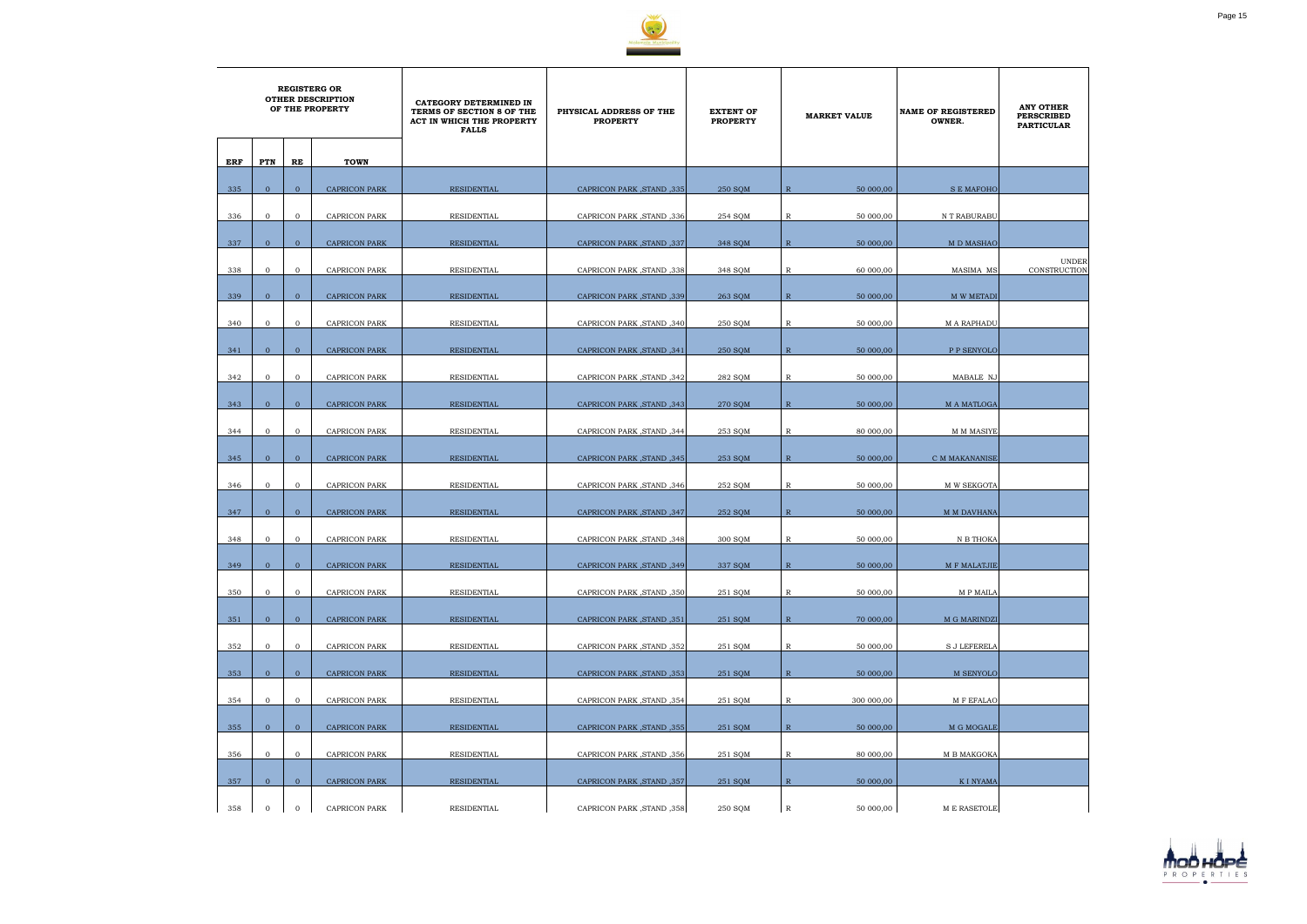

|     | <b>REGISTERG OR</b><br><b>OTHER DESCRIPTION</b><br>OF THE PROPERTY |                |                      | CATEGORY DETERMINED IN<br>TERMS OF SECTION 8 OF THE<br>ACT IN WHICH THE PROPERTY<br><b>FALLS</b> | PHYSICAL ADDRESS OF THE<br><b>PROPERTY</b> | <b>EXTENT OF</b><br><b>PROPERTY</b> |                | <b>MARKET VALUE</b> | <b>NAME OF REGISTERED</b><br>OWNER. | <b>ANY OTHER</b><br><b>PERSCRIBED</b><br><b>PARTICULAR</b> |
|-----|--------------------------------------------------------------------|----------------|----------------------|--------------------------------------------------------------------------------------------------|--------------------------------------------|-------------------------------------|----------------|---------------------|-------------------------------------|------------------------------------------------------------|
| ERF | PTN                                                                | RE             | <b>TOWN</b>          |                                                                                                  |                                            |                                     |                |                     |                                     |                                                            |
| 335 | $\overline{0}$                                                     | $\overline{0}$ | <b>CAPRICON PARK</b> | <b>RESIDENTIAL</b>                                                                               | CAPRICON PARK, STAND, 335                  | 250 SQM                             | $\overline{R}$ | 50 000,00           | <b>S E MAFOHO</b>                   |                                                            |
| 336 | $\mathbf{0}$                                                       | $\overline{0}$ | <b>CAPRICON PARK</b> | RESIDENTIAL                                                                                      | CAPRICON PARK, STAND, 336                  | 254 SQM                             | $\mathbb{R}$   | 50 000,00           | N T RABURABU                        |                                                            |
| 337 | $\overline{0}$                                                     | $\mathbf{0}$   | <b>CAPRICON PARK</b> | <b>RESIDENTIAL</b>                                                                               | CAPRICON PARK, STAND, 337                  | 348 SQM                             | $\mathbb{R}$   | 50 000,00           | M D MASHAO                          |                                                            |
| 338 | $\mathbf{0}$                                                       | $\overline{0}$ | <b>CAPRICON PARK</b> | <b>RESIDENTIAL</b>                                                                               | CAPRICON PARK, STAND, 338                  | 348 SQM                             | R              | 60 000,00           | MASIMA MS                           | <b>UNDER</b><br>CONSTRUCTION                               |
| 339 | $\overline{0}$                                                     | $\mathbf{0}$   | <b>CAPRICON PARK</b> | RESIDENTIAL                                                                                      | CAPRICON PARK, STAND, 339                  | 263 SQM                             | $\mathbb{R}$   | 50 000,00           | M W METADI                          |                                                            |
|     | $\mathbf{0}$                                                       | $\mathbf{0}$   |                      |                                                                                                  |                                            |                                     |                | 50 000,00           |                                     |                                                            |
| 340 |                                                                    |                | CAPRICON PARK        | RESIDENTIAL                                                                                      | CAPRICON PARK, STAND, 340                  | 250 SQM                             | R              |                     | <b>MARAPHADU</b>                    |                                                            |
| 341 | $\overline{0}$                                                     | $\overline{0}$ | <b>CAPRICON PARK</b> | RESIDENTIAL                                                                                      | CAPRICON PARK, STAND, 341                  | 250 SQM                             | $\mathbb{R}$   | 50 000,00           | P P SENYOLO                         |                                                            |
| 342 | $\mathbf{0}$                                                       | $\mathbf{0}$   | <b>CAPRICON PARK</b> | RESIDENTIAL                                                                                      | CAPRICON PARK, STAND, 342                  | 282 SQM                             | R              | 50 000,00           | MABALE NJ                           |                                                            |
| 343 | $\mathbf{0}$                                                       | $\overline{0}$ | <b>CAPRICON PARK</b> | <b>RESIDENTIAL</b>                                                                               | CAPRICON PARK, STAND, 343                  | 270 SQM                             | $\mathbb{R}$   | 50 000,00           | M A MATLOGA                         |                                                            |
| 344 | $\mathbf 0$                                                        | $\overline{0}$ | CAPRICON PARK        | RESIDENTIAL                                                                                      | CAPRICON PARK, STAND, 344                  | 253 SQM                             | R              | 80 000,00           | M M MASIYE                          |                                                            |
| 345 | $\overline{0}$                                                     | $\overline{0}$ | <b>CAPRICON PARK</b> | <b>RESIDENTIAL</b>                                                                               | CAPRICON PARK, STAND, 345                  | 253 SOM                             | $\mathbb{R}$   | 50 000,00           | C M MAKANANISE                      |                                                            |
| 346 | $\mathbf 0$                                                        | $\mathbf{0}$   | <b>CAPRICON PARK</b> | RESIDENTIAL                                                                                      | CAPRICON PARK, STAND, 346                  | 252 SQM                             | R              | 50 000,00           | M W SEKGOTA                         |                                                            |
| 347 | $\Omega$                                                           | $\overline{0}$ | <b>CAPRICON PARK</b> | <b>RESIDENTIAL</b>                                                                               |                                            | 252 SOM                             | $\mathbb{R}$   | 50 000,00           |                                     |                                                            |
|     |                                                                    |                |                      |                                                                                                  | CAPRICON PARK, STAND, 347                  |                                     |                |                     | M M DAVHANA                         |                                                            |
| 348 | $\mathbf{0}$                                                       | $\mathbf{0}$   | <b>CAPRICON PARK</b> | RESIDENTIAL                                                                                      | CAPRICON PARK, STAND, 348                  | 300 SQM                             | R              | 50 000,00           | N B THOKA                           |                                                            |
| 349 | $\mathbf{0}$                                                       | $\overline{0}$ | <b>CAPRICON PARK</b> | <b>RESIDENTIAL</b>                                                                               | CAPRICON PARK, STAND, 349                  | 337 SQM                             | $\mathbb{R}$   | 50 000,00           | M F MALATJIE                        |                                                            |
| 350 | $\overline{0}$                                                     | $\mathbf{0}$   | CAPRICON PARK        | RESIDENTIAL                                                                                      | CAPRICON PARK, STAND, 350                  | 251 SOM                             | $\mathbb{R}$   | 50 000,00           | M P MAILA                           |                                                            |
| 351 | $\overline{0}$                                                     | $\overline{0}$ | <b>CAPRICON PARK</b> | RESIDENTIAL                                                                                      | CAPRICON PARK, STAND, 351                  | 251 SQM                             | $\mathbb{R}$   | 70 000,00           | M G MARINDZI                        |                                                            |
| 352 | $\mathbf 0$                                                        | $\mathbf{O}$   | CAPRICON PARK        | RESIDENTIAL                                                                                      | CAPRICON PARK, STAND, 352                  | 251 SQM                             | R              | 50 000,00           | <b>S J LEFERELA</b>                 |                                                            |
| 353 | $\overline{0}$                                                     | $\mathbf{0}$   | <b>CAPRICON PARK</b> | RESIDENTIAL                                                                                      | CAPRICON PARK, STAND, 353                  | 251 SQM                             | $\mathbb{R}$   | 50 000,00           | M SENYOLO                           |                                                            |
|     |                                                                    |                |                      |                                                                                                  |                                            |                                     |                |                     |                                     |                                                            |
| 354 | $\mathbf{0}$                                                       | $\overline{0}$ | CAPRICON PARK        | RESIDENTIAL                                                                                      | CAPRICON PARK, STAND, 354                  | 251 SQM                             | $\mathbb{R}$   | 300 000,00          | M F EFALAO                          |                                                            |
| 355 | $\overline{0}$                                                     | $\overline{0}$ | CAPRICON PARK        | RESIDENTIAL                                                                                      | CAPRICON PARK, STAND, 355                  | 251 SQM                             | $\mathbb{R}$   | 50 000,00           | M G MOGALE                          |                                                            |
| 356 | $\overline{0}$                                                     | $\mathbf 0$    | CAPRICON PARK        | RESIDENTIAL                                                                                      | CAPRICON PARK, STAND, 356                  | 251 SQM                             | $\mathbb{R}$   | 80 000,00           | M B MAKGOKA                         |                                                            |
| 357 | $\overline{0}$                                                     | $\overline{0}$ | <b>CAPRICON PARK</b> | RESIDENTIAL                                                                                      | CAPRICON PARK, STAND, 357                  | 251 SQM                             | $\mathbb{R}$   | 50 000,00           | <b>KI NYAMA</b>                     |                                                            |
| 358 | $\mathbf{0}$                                                       | $\mathbf 0$    | CAPRICON PARK        | RESIDENTIAL                                                                                      | CAPRICON PARK, STAND, 358                  | 250 SQM                             | $\mathbb{R}$   | 50 000,00           | M E RASETOLE                        |                                                            |

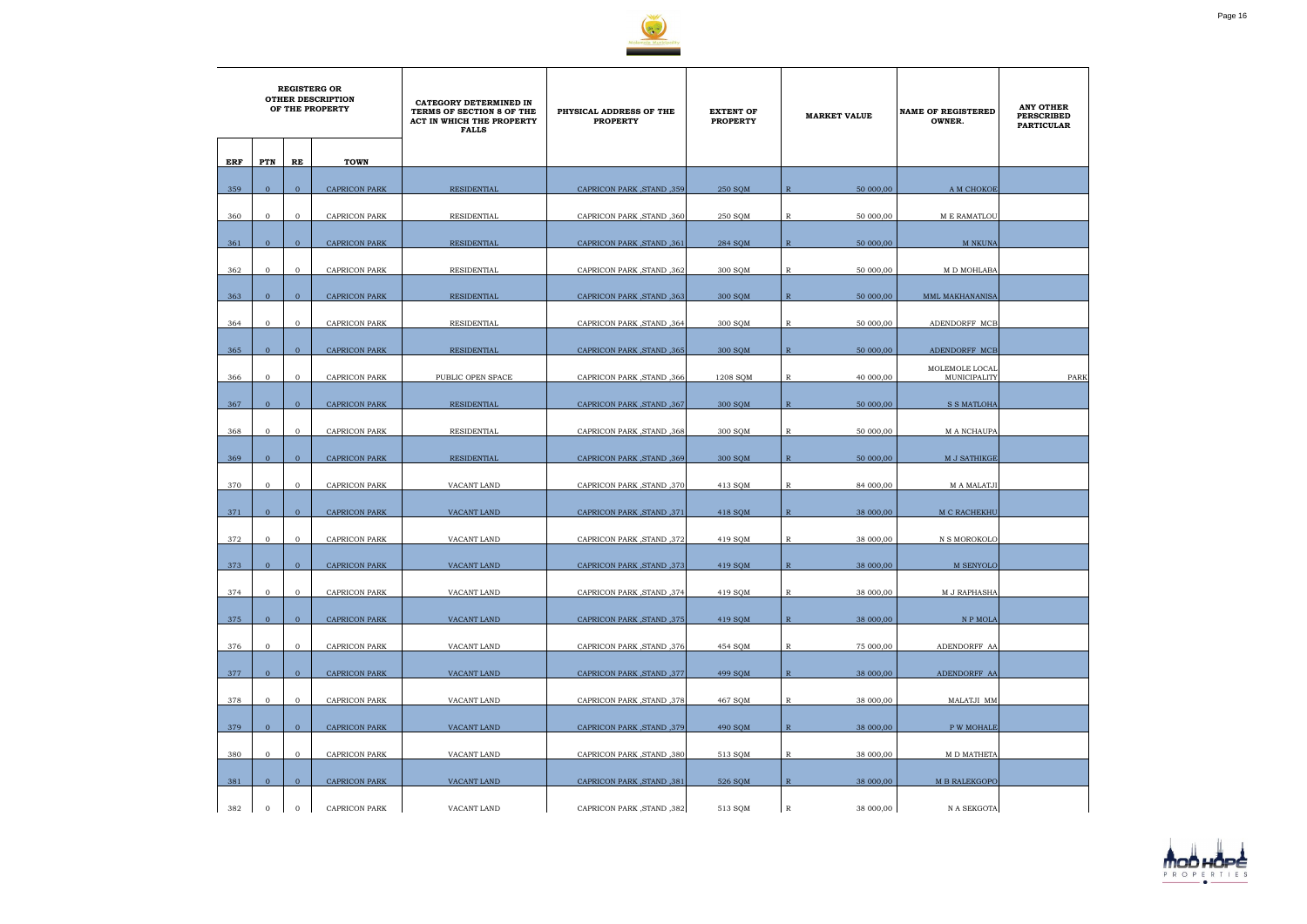

|     | <b>REGISTERG OR</b><br><b>OTHER DESCRIPTION</b><br>OF THE PROPERTY |                |                      | CATEGORY DETERMINED IN<br>TERMS OF SECTION 8 OF THE<br>ACT IN WHICH THE PROPERTY<br><b>FALLS</b> | PHYSICAL ADDRESS OF THE<br><b>PROPERTY</b> | <b>EXTENT OF</b><br><b>PROPERTY</b> |              | <b>MARKET VALUE</b> | <b>NAME OF REGISTERED</b><br>OWNER. | <b>ANY OTHER</b><br><b>PERSCRIBED</b><br><b>PARTICULAR</b> |
|-----|--------------------------------------------------------------------|----------------|----------------------|--------------------------------------------------------------------------------------------------|--------------------------------------------|-------------------------------------|--------------|---------------------|-------------------------------------|------------------------------------------------------------|
| ERF | PTN                                                                | RE             | <b>TOWN</b>          |                                                                                                  |                                            |                                     |              |                     |                                     |                                                            |
| 359 | $\mathbf{0}$                                                       | $\overline{0}$ | <b>CAPRICON PARK</b> | <b>RESIDENTIAL</b>                                                                               | CAPRICON PARK, STAND, 359                  | 250 SQM                             | $\mathbb{R}$ | 50 000,00           | A M CHOKOE                          |                                                            |
| 360 | $\mathbf{0}$                                                       | $\overline{0}$ | CAPRICON PARK        | RESIDENTIAL                                                                                      | CAPRICON PARK, STAND, 360                  | 250 SOM                             | $\mathbb{R}$ | 50 000,00           | <b>M E RAMATLOU</b>                 |                                                            |
| 361 | $\overline{0}$                                                     | $\mathbf{0}$   | <b>CAPRICON PARK</b> | <b>RESIDENTIAL</b>                                                                               | CAPRICON PARK, STAND, 361                  | 284 SQM                             | $\mathbb{R}$ | 50 000,00           | <b>M NKUNA</b>                      |                                                            |
| 362 | $\mathbf{0}$                                                       | $\mathbf{0}$   | <b>CAPRICON PARK</b> | RESIDENTIAL                                                                                      | CAPRICON PARK, STAND, 362                  | 300 SQM                             | R            | 50 000,00           | M D MOHLABA                         |                                                            |
| 363 | $\overline{0}$                                                     | $\overline{0}$ | <b>CAPRICON PARK</b> | RESIDENTIAL                                                                                      | CAPRICON PARK, STAND, 363                  | 300 SOM                             | $\mathbb{R}$ | 50 000,00           | MML MAKHANANISA                     |                                                            |
| 364 | $\mathbf{0}$                                                       | $\overline{0}$ | <b>CAPRICON PARK</b> | RESIDENTIAL                                                                                      | CAPRICON PARK, STAND, 364                  | 300 SQM                             | R            | 50 000,00           | ADENDORFF MCB                       |                                                            |
| 365 | $\overline{0}$                                                     | $\overline{0}$ | <b>CAPRICON PARK</b> | RESIDENTIAL                                                                                      | CAPRICON PARK, STAND, 365                  | 300 SQM                             | $\mathbb{R}$ | 50 000,00           | ADENDORFF MCB                       |                                                            |
| 366 | $\mathbf{0}$                                                       | $\mathbf{0}$   | <b>CAPRICON PARK</b> | PUBLIC OPEN SPACE                                                                                | CAPRICON PARK, STAND, 366                  | 1208 SQM                            | R            | 40 000,00           | MOLEMOLE LOCAL<br>MUNICIPALITY      | PARK                                                       |
|     | $\overline{0}$                                                     |                |                      |                                                                                                  |                                            |                                     |              |                     |                                     |                                                            |
| 367 |                                                                    | $\mathbf{0}$   | CAPRICON PARK        | RESIDENTIAL                                                                                      | CAPRICON PARK, STAND, 367                  | 300 SQM                             | $\mathbb{R}$ | 50 000,00           | S S MATLOHA                         |                                                            |
| 368 | $\mathbf{0}$                                                       | $\mathbf{0}$   | <b>CAPRICON PARK</b> | RESIDENTIAL                                                                                      | CAPRICON PARK, STAND, 368                  | 300 SQM                             | R            | 50 000,00           | M A NCHAUPA                         |                                                            |
| 369 | $\overline{0}$                                                     | $\overline{0}$ | <b>CAPRICON PARK</b> | RESIDENTIAL                                                                                      | CAPRICON PARK, STAND, 369                  | 300 SQM                             | $\mathbb{R}$ | 50 000,00           | M J SATHIKGE                        |                                                            |
| 370 | $\mathbf 0$                                                        | $\overline{0}$ | <b>CAPRICON PARK</b> | VACANT LAND                                                                                      | CAPRICON PARK, STAND, 370                  | 413 SQM                             | R            | 84 000,00           | M A MALATJI                         |                                                            |
| 371 | $\overline{0}$                                                     | $\overline{0}$ | <b>CAPRICON PARK</b> | VACANT LAND                                                                                      | CAPRICON PARK, STAND, 371                  | 418 SQM                             | $\mathbb{R}$ | 38 000,00           | M C RACHEKHU                        |                                                            |
| 372 | $\mathbf{0}$                                                       | $\mathbf{0}$   | <b>CAPRICON PARK</b> | <b>VACANT LAND</b>                                                                               | CAPRICON PARK, STAND, 372                  | 419 SQM                             | R            | 38 000,00           | N S MOROKOLO                        |                                                            |
| 373 | $\mathbf{0}$                                                       | $\mathbf{0}$   | CAPRICON PARK        | VACANT LAND                                                                                      | [373, CAPRICON PARK, STAND                 | 419 SQM                             | $\, {\bf R}$ | 38 000,00           | M SENYOLO                           |                                                            |
|     |                                                                    |                |                      |                                                                                                  |                                            |                                     |              |                     |                                     |                                                            |
| 374 | $\overline{0}$                                                     | $\overline{0}$ | CAPRICON PARK        | VACANT LAND                                                                                      | CAPRICON PARK, STAND, 374                  | 419 SQM                             | $\mathbb{R}$ | 38 000,00           | <b>M J RAPHASHA</b>                 |                                                            |
| 375 | $\overline{0}$                                                     | $\overline{0}$ | <b>CAPRICON PARK</b> | VACANT LAND                                                                                      | CAPRICON PARK, STAND, 375                  | 419 SOM                             | $\mathbb{R}$ | 38 000,00           | N P MOLA                            |                                                            |
| 376 | $\overline{0}$                                                     | $\overline{0}$ | CAPRICON PARK        | VACANT LAND                                                                                      | CAPRICON PARK, STAND, 376                  | 454 SQM                             | $\mathbb R$  | 75 000,00           | ADENDORFF AA                        |                                                            |
| 377 | $\overline{0}$                                                     | $\overline{0}$ | <b>CAPRICON PARK</b> | VACANT LAND                                                                                      | CAPRICON PARK, STAND, 377                  | 499 SQM                             | R            | 38 000,00           | ADENDORFF AA                        |                                                            |
| 378 | $\mathbf{0}$                                                       | $\overline{0}$ | CAPRICON PARK        | VACANT LAND                                                                                      | CAPRICON PARK, STAND, 378                  | 467 SQM                             | $\mathbb{R}$ | 38 000,00           | MALATJI MM                          |                                                            |
| 379 | $\overline{0}$                                                     | $\overline{0}$ |                      |                                                                                                  |                                            |                                     | $\mathbb{R}$ |                     |                                     |                                                            |
|     |                                                                    |                | <b>CAPRICON PARK</b> | VACANT LAND                                                                                      | CAPRICON PARK, STAND, 379                  | 490 SQM                             |              | 38 000,00           | <b>P W MOHALE</b>                   |                                                            |
| 380 | $\mathbf{0}$                                                       | $\mathbf{0}$   | CAPRICON PARK        | VACANT LAND                                                                                      | CAPRICON PARK, STAND, 380                  | 513 SQM                             | $\mathbb R$  | 38 000,00           | M D MATHETA                         |                                                            |
| 381 | $\mathbf{0}$                                                       | $\overline{0}$ | CAPRICON PARK        | VACANT LAND                                                                                      | CAPRICON PARK, STAND, 381                  | 526 SQM                             | $\mathbb{R}$ | 38 000,00           | M B RALEKGOPO                       |                                                            |
| 382 | $\mathbf{0}$                                                       | $\overline{0}$ | CAPRICON PARK        | VACANT LAND                                                                                      | CAPRICON PARK, STAND, 382                  | 513 SQM                             | $\mathbb R$  | 38 000,00           | N A SEKGOTA                         |                                                            |

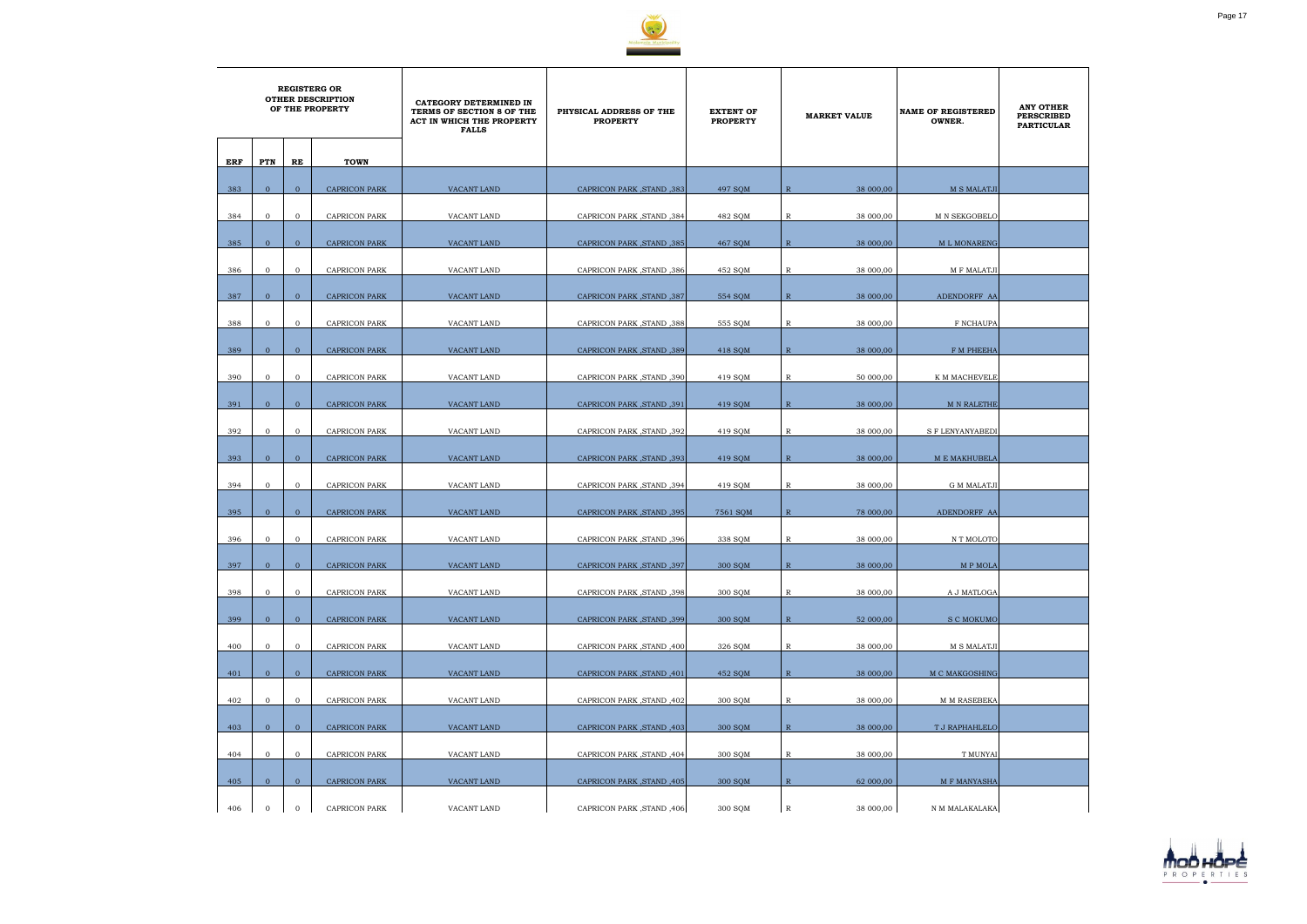

|     | <b>REGISTERG OR</b><br><b>OTHER DESCRIPTION</b><br>OF THE PROPERTY |                |                      | CATEGORY DETERMINED IN<br>TERMS OF SECTION 8 OF THE<br>ACT IN WHICH THE PROPERTY<br><b>FALLS</b> | PHYSICAL ADDRESS OF THE<br><b>PROPERTY</b> | <b>EXTENT OF</b><br><b>PROPERTY</b> | <b>MARKET VALUE</b>       | <b>NAME OF REGISTERED</b><br>OWNER. | <b>ANY OTHER</b><br><b>PERSCRIBED</b><br><b>PARTICULAR</b> |
|-----|--------------------------------------------------------------------|----------------|----------------------|--------------------------------------------------------------------------------------------------|--------------------------------------------|-------------------------------------|---------------------------|-------------------------------------|------------------------------------------------------------|
| ERF | PTN                                                                | RE             | <b>TOWN</b>          |                                                                                                  |                                            |                                     |                           |                                     |                                                            |
| 383 | $\mathbf{0}$                                                       | $\overline{0}$ | <b>CAPRICON PARK</b> | VACANT LAND                                                                                      | CAPRICON PARK, STAND, 383                  | 497 SOM                             | $\mathbb{R}$<br>38 000,00 | <b>M S MALATJI</b>                  |                                                            |
|     |                                                                    |                |                      |                                                                                                  |                                            |                                     |                           |                                     |                                                            |
| 384 | $\mathbf{0}$                                                       | $\overline{0}$ | CAPRICON PARK        | VACANT LAND                                                                                      | CAPRICON PARK, STAND, 384                  | 482 SQM                             | $\mathbb{R}$<br>38 000,00 | M N SEKGOBELO                       |                                                            |
| 385 | $\mathbf{0}$                                                       | $\mathbf{0}$   | <b>CAPRICON PARK</b> | VACANT LAND                                                                                      | CAPRICON PARK, STAND, 385                  | 467 SQM                             | 38 000,00<br>$\mathbb{R}$ | M L MONARENG                        |                                                            |
| 386 | $\mathbf{0}$                                                       | $\mathbf{0}$   | CAPRICON PARK        | VACANT LAND                                                                                      | CAPRICON PARK, STAND, 386                  | 452 SQM                             | R<br>38 000,00            | M F MALATJI                         |                                                            |
| 387 | $\mathbf{0}$                                                       | $\mathbf{0}$   | <b>CAPRICON PARK</b> | VACANT LAND                                                                                      | CAPRICON PARK, STAND, 387                  | 554 SOM                             | $\mathbb{R}$<br>38 000,00 | ADENDORFF AA                        |                                                            |
| 388 | $\mathbf{0}$                                                       | $\mathbf{0}$   | CAPRICON PARK        | VACANT LAND                                                                                      | CAPRICON PARK, STAND, 388                  | 555 SQM                             | $\mathbb R$<br>38 000,00  | F NCHAUPA                           |                                                            |
|     |                                                                    |                |                      |                                                                                                  |                                            |                                     |                           |                                     |                                                            |
| 389 | $\overline{0}$                                                     | $\mathbf{0}$   | <b>CAPRICON PARK</b> | <b>VACANT LAND</b>                                                                               | CAPRICON PARK, STAND, 389                  | 418 SOM                             | 38 000,00<br>$\mathbb{R}$ | F M PHEEHA                          |                                                            |
| 390 | $\mathbf{0}$                                                       | $\mathbf{0}$   | <b>CAPRICON PARK</b> | VACANT LAND                                                                                      | CAPRICON PARK, STAND, 390                  | 419 SQM                             | R<br>50 000,00            | K M MACHEVELE                       |                                                            |
| 391 | $\mathbf{0}$                                                       | $\overline{0}$ | <b>CAPRICON PARK</b> | VACANT LAND                                                                                      | CAPRICON PARK, STAND, 391                  | 419 SQM                             | $\mathbb{R}$<br>38 000,00 | <b>M N RALETHE</b>                  |                                                            |
| 392 | $\mathbf{0}$                                                       | $\mathbf{0}$   | CAPRICON PARK        | VACANT LAND                                                                                      | CAPRICON PARK, STAND, 392                  | 419 SQM                             | 38 000,00<br>R            | <b>S F LENYANYABEDI</b>             |                                                            |
| 393 | $\mathbf{0}$                                                       | $\overline{0}$ | <b>CAPRICON PARK</b> | VACANT LAND                                                                                      | CAPRICON PARK, STAND, 393                  | 419 SQM                             | $\mathbb{R}$<br>38 000,00 | M E MAKHUBELA                       |                                                            |
| 394 | $\mathbf{0}$                                                       | $\mathbf{0}$   | CAPRICON PARK        | VACANT LAND                                                                                      | CAPRICON PARK, STAND, 394                  | 419 SQM                             | R<br>38 000,00            | <b>G M MALATJI</b>                  |                                                            |
| 395 | $\mathbf{0}$                                                       | $\overline{0}$ | <b>CAPRICON PARK</b> | VACANT LAND                                                                                      | CAPRICON PARK, STAND, 395                  | 7561 SQM                            | $\mathbb{R}$<br>78 000,00 | ADENDORFF AA                        |                                                            |
|     |                                                                    |                |                      |                                                                                                  |                                            |                                     |                           |                                     |                                                            |
| 396 | $\mathbf 0$                                                        | $\overline{0}$ | <b>CAPRICON PARK</b> | VACANT LAND                                                                                      | CAPRICON PARK, STAND, 396                  | 338 SQM                             | 38 000,00<br>R            | N T MOLOTO                          |                                                            |
| 397 | $\overline{0}$                                                     | $\mathbf{0}$   | <b>CAPRICON PARK</b> | VACANT LAND                                                                                      | CAPRICON PARK, STAND, 397                  | 300 SQM                             | $\mathbb{R}$<br>38 000,00 | M P MOLA                            |                                                            |
| 398 | $\overline{0}$                                                     | $\mathbf{O}$   | CAPRICON PARK        | VACANT LAND                                                                                      | CAPRICON PARK, STAND, 398                  | 300 SQM                             | $\mathbb{R}$<br>38 000,00 | A J MATLOGA                         |                                                            |
| 399 | $\overline{0}$                                                     | $\overline{0}$ | <b>CAPRICON PARK</b> | VACANT LAND                                                                                      | CAPRICON PARK, STAND, 399                  | 300 SQM                             | $\mathbb{R}$<br>52 000,00 | <b>S C MOKUMO</b>                   |                                                            |
| 400 | $\mathbf{O}$                                                       | $\overline{0}$ | <b>CAPRICON PARK</b> | VACANT LAND                                                                                      | CAPRICON PARK, STAND, 400                  | 326 SQM                             | $\mathbb{R}$<br>38 000,00 | M S MALATJI                         |                                                            |
| 401 | $\overline{0}$                                                     | $\overline{0}$ | <b>CAPRICON PARK</b> | VACANT LAND                                                                                      | CAPRICON PARK, STAND, 401                  | 452 SQM                             | $\mathbb{R}$<br>38 000,00 | M C MAKGOSHING                      |                                                            |
|     |                                                                    |                |                      |                                                                                                  |                                            |                                     |                           |                                     |                                                            |
| 402 | $\overline{0}$                                                     | $\overline{0}$ | CAPRICON PARK        | VACANT LAND                                                                                      | CAPRICON PARK, STAND, 402                  | 300 SQM                             | $\mathbb{R}$<br>38 000,00 | M M RASEBEKA                        |                                                            |
| 403 | $\overline{0}$                                                     | $\mathbf{0}$   | <b>CAPRICON PARK</b> | VACANT LAND                                                                                      | CAPRICON PARK, STAND, 403                  | 300 SQM                             | $\mathbb{R}$<br>38 000,00 | T J RAPHAHLELO                      |                                                            |
| 404 | $\overline{0}$                                                     | $\mathbf 0$    | CAPRICON PARK        | VACANT LAND                                                                                      | CAPRICON PARK, STAND, 404                  | 300 SQM                             | R<br>38 000,00            | T MUNYAI                            |                                                            |
| 405 | $\overline{0}$                                                     | $\overline{0}$ | <b>CAPRICON PARK</b> | VACANT LAND                                                                                      | CAPRICON PARK, STAND, 405                  | 300 SQM                             | $\mathbb{R}$<br>62 000,00 | M F MANYASHA                        |                                                            |
| 406 | $\mathbf 0$                                                        | $\mathbf{0}$   | CAPRICON PARK        | VACANT LAND                                                                                      | CAPRICON PARK, STAND, 406                  | 300 SQM                             | $\mathbb{R}$<br>38 000,00 | N M MALAKALAKA                      |                                                            |

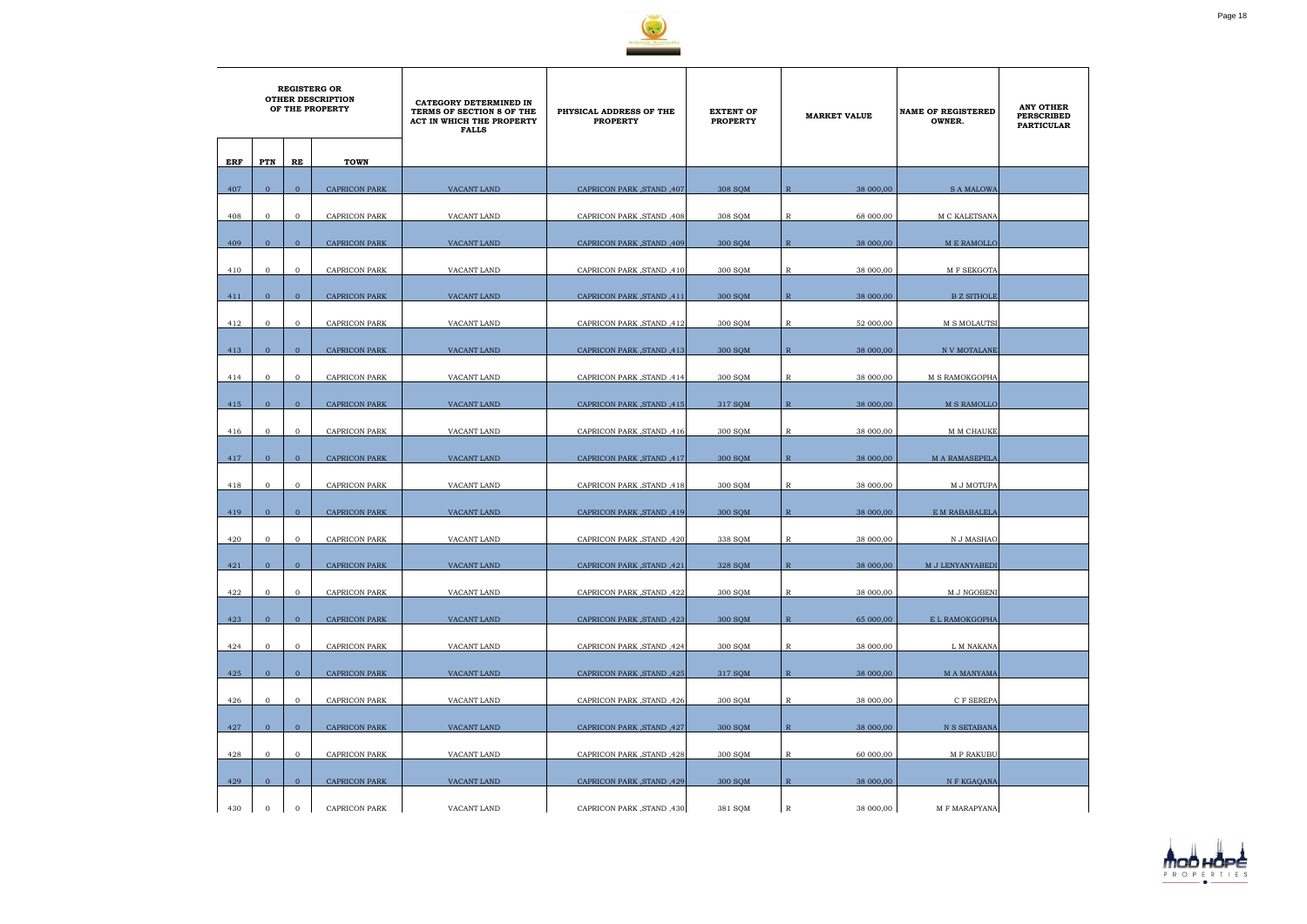

|     | <b>REGISTERG OR</b><br><b>OTHER DESCRIPTION</b><br>OF THE PROPERTY |                |                      | CATEGORY DETERMINED IN<br>TERMS OF SECTION 8 OF THE<br><b>ACT IN WHICH THE PROPERTY</b><br><b>FALLS</b> | PHYSICAL ADDRESS OF THE<br><b>PROPERTY</b> | <b>EXTENT OF</b><br><b>PROPERTY</b> | <b>MARKET VALUE</b>       | <b>NAME OF REGISTERED</b><br>OWNER. | <b>ANY OTHER</b><br><b>PERSCRIBED</b><br><b>PARTICULAR</b> |
|-----|--------------------------------------------------------------------|----------------|----------------------|---------------------------------------------------------------------------------------------------------|--------------------------------------------|-------------------------------------|---------------------------|-------------------------------------|------------------------------------------------------------|
| ERF | PTN                                                                | RE             | <b>TOWN</b>          |                                                                                                         |                                            |                                     |                           |                                     |                                                            |
| 407 | $\mathbf{0}$                                                       | $\mathbf{0}$   | <b>CAPRICON PARK</b> | VACANT LAND                                                                                             | CAPRICON PARK, STAND, 407                  | 308 SQM                             | $\mathbb{R}$<br>38 000,00 | <b>S A MALOWA</b>                   |                                                            |
| 408 | $\mathbf 0$                                                        | $\overline{0}$ | CAPRICON PARK        | VACANT LAND                                                                                             | CAPRICON PARK, STAND, 408                  | 308 SQM                             | R<br>68 000,00            | M C KALETSANA                       |                                                            |
| 409 | $\overline{0}$                                                     | $\mathbf{0}$   | <b>CAPRICON PARK</b> | VACANT LAND                                                                                             |                                            | 300 SQM                             | 38 000,00<br>$\mathbb{R}$ | M E RAMOLLO                         |                                                            |
|     |                                                                    |                |                      |                                                                                                         | CAPRICON PARK, STAND, 409                  |                                     |                           |                                     |                                                            |
| 410 | $\mathbf{0}$                                                       | $\mathbf{0}$   | <b>CAPRICON PARK</b> | VACANT LAND                                                                                             | CAPRICON PARK, STAND, 410                  | 300 SQM                             | R<br>38 000,00            | M F SEKGOTA                         |                                                            |
| 411 | $\overline{0}$                                                     | $\mathbf{0}$   | <b>CAPRICON PARK</b> | VACANT LAND                                                                                             | CAPRICON PARK, STAND, 411                  | 300 SQM                             | $\mathbb{R}$<br>38 000,00 | <b>B Z SITHOLE</b>                  |                                                            |
| 412 | $\mathbf{0}$                                                       | $\mathbf{0}$   | CAPRICON PARK        | VACANT LAND                                                                                             | CAPRICON PARK, STAND, 412                  | 300 SQM                             | $\mathbb{R}$<br>52 000,00 | M S MOLAUTSI                        |                                                            |
| 413 | $\mathbf{0}$                                                       | $\overline{0}$ | <b>CAPRICON PARK</b> | VACANT LAND                                                                                             | CAPRICON PARK, STAND, 413                  | 300 SOM                             | $\mathbb{R}$<br>38 000,00 | N V MOTALANE                        |                                                            |
| 414 | $\mathbf{0}$                                                       | $\overline{0}$ | CAPRICON PARK        | VACANT LAND                                                                                             | CAPRICON PARK, STAND, 414                  | 300 SQM                             | R<br>38 000,00            | M S RAMOKGOPHA                      |                                                            |
| 415 | $\overline{0}$                                                     | $\overline{0}$ | <b>CAPRICON PARK</b> | <b>VACANT LAND</b>                                                                                      | CAPRICON PARK, STAND, 415                  | 317 SQM                             | $\mathbb{R}$<br>38 000,00 | <b>M S RAMOLLO</b>                  |                                                            |
| 416 | $\mathbf{0}$                                                       | $\mathbf{0}$   | <b>CAPRICON PARK</b> | VACANT LAND                                                                                             | CAPRICON PARK, STAND, 416                  | 300 SQM                             | 38 000,00<br>R            | M M CHAUKE                          |                                                            |
|     |                                                                    |                |                      |                                                                                                         |                                            |                                     |                           |                                     |                                                            |
| 417 | $\mathbf{0}$                                                       | $\overline{0}$ | <b>CAPRICON PARK</b> | VACANT LAND                                                                                             | CAPRICON PARK, STAND, 417                  | 300 SQM                             | $\mathbb{R}$<br>38 000,00 | <b>M A RAMASEPELA</b>               |                                                            |
| 418 | $\mathbf{0}$                                                       | $\mathbf{0}$   | CAPRICON PARK        | VACANT LAND                                                                                             | CAPRICON PARK, STAND, 418                  | 300 SQM                             | 38 000,00<br>R            | M J MOTUPA                          |                                                            |
| 419 | $\mathbf{0}$                                                       | $\overline{0}$ | <b>CAPRICON PARK</b> | VACANT LAND                                                                                             | CAPRICON PARK, STAND, 419                  | 300 SQM                             | R<br>38 000,00            | E M RABABALELA                      |                                                            |
| 420 | $\mathbf{0}$                                                       | $\overline{0}$ | <b>CAPRICON PARK</b> | VACANT LAND                                                                                             | CAPRICON PARK, STAND, 420                  | 338 SQM                             | 38 000,00<br>R            | N J MASHAO                          |                                                            |
| 421 | $\overline{0}$                                                     | $\mathbf{0}$   | CAPRICON PARK        | VACANT LAND                                                                                             | CAPRICON PARK, STAND, 421                  | 328 SQM                             | $\mathbb{R}$<br>38 000,00 | M J LENYANYABEDI                    |                                                            |
| 422 | $\overline{0}$                                                     | $\mathbf{O}$   | CAPRICON PARK        | VACANT LAND                                                                                             | CAPRICON PARK, STAND, 422                  | 300 SQM                             | 38 000,00<br>$\mathbb{R}$ | M J NGOBENI                         |                                                            |
| 423 | $\overline{0}$                                                     | $\mathbf{0}$   | <b>CAPRICON PARK</b> | VACANT LAND                                                                                             | CAPRICON PARK, STAND, 423                  | 300 SQM                             | $\mathbb R$<br>65 000,00  | E L RAMOKGOPHA                      |                                                            |
|     |                                                                    |                |                      |                                                                                                         |                                            |                                     |                           |                                     |                                                            |
| 424 | $\mathbf{0}$                                                       | $\overline{0}$ | CAPRICON PARK        | VACANT LAND                                                                                             | CAPRICON PARK, STAND, 424                  | 300 SQM                             | $\mathbb{R}$<br>38 000,00 | L M NAKANA                          |                                                            |
| 425 | $\overline{0}$                                                     | $\overline{0}$ | <b>CAPRICON PARK</b> | VACANT LAND                                                                                             | CAPRICON PARK, STAND, 425                  | 317 SQM                             | $\mathbb{R}$<br>38 000,00 | <b>M A MANYAMA</b>                  |                                                            |
| 426 | $\mathbf{0}$                                                       | $\overline{0}$ | CAPRICON PARK        | VACANT LAND                                                                                             | CAPRICON PARK, STAND, 426                  | 300 SQM                             | $\mathbb{R}$<br>38 000,00 | C F SEREPA                          |                                                            |
| 427 | $\overline{0}$                                                     | $\overline{0}$ | <b>CAPRICON PARK</b> | VACANT LAND                                                                                             | CAPRICON PARK, STAND, 427                  | 300 SQM                             | $\mathbb{R}$<br>38 000,00 | N S SETABANA                        |                                                            |
| 428 | $\overline{0}$                                                     | $\mathbf 0$    | CAPRICON PARK        | VACANT LAND                                                                                             | CAPRICON PARK, STAND, 428                  | 300 SQM                             | $\mathbb{R}$<br>60 000,00 | M P RAKUBU                          |                                                            |
| 429 | $\overline{0}$                                                     | $\overline{0}$ | <b>CAPRICON PARK</b> | VACANT LAND                                                                                             | CAPRICON PARK, STAND, 429                  | 300 SQM                             | $\mathbb{R}$<br>38 000,00 | N F KGAQANA                         |                                                            |
| 430 | $\mathbf{0}$                                                       | $\mathbf{0}$   | CAPRICON PARK        | VACANT LAND                                                                                             | CAPRICON PARK, STAND, 430                  | 381 SQM                             | $\mathbb{R}$<br>38 000,00 | M F MARAPYANA                       |                                                            |

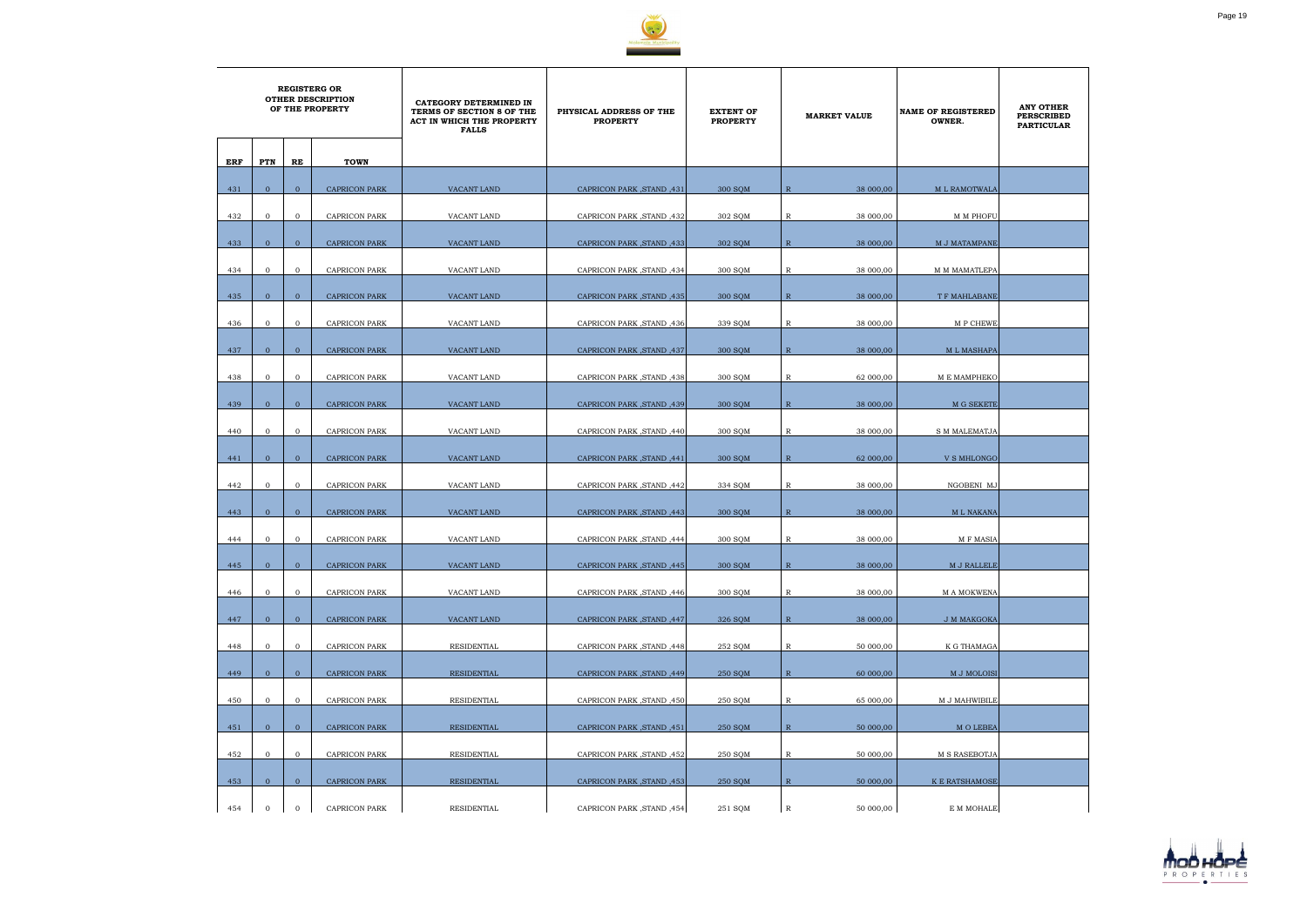

|     | <b>REGISTERG OR</b><br><b>OTHER DESCRIPTION</b><br>OF THE PROPERTY |                |                      | CATEGORY DETERMINED IN<br>TERMS OF SECTION 8 OF THE<br>ACT IN WHICH THE PROPERTY<br><b>FALLS</b> | PHYSICAL ADDRESS OF THE<br><b>PROPERTY</b> | <b>EXTENT OF</b><br><b>PROPERTY</b> | <b>MARKET VALUE</b>         | <b>NAME OF REGISTERED</b><br>OWNER. | <b>ANY OTHER</b><br><b>PERSCRIBED</b><br><b>PARTICULAR</b> |
|-----|--------------------------------------------------------------------|----------------|----------------------|--------------------------------------------------------------------------------------------------|--------------------------------------------|-------------------------------------|-----------------------------|-------------------------------------|------------------------------------------------------------|
| ERF | PTN                                                                | RE             | <b>TOWN</b>          |                                                                                                  |                                            |                                     |                             |                                     |                                                            |
| 431 | $\overline{0}$                                                     | $\mathbf{0}$   | <b>CAPRICON PARK</b> | VACANT LAND                                                                                      | 431, CAPRICON PARK, STAND                  | 300 SOM                             | $\mathbb{R}$<br>38 000,00   | M L RAMOTWALA                       |                                                            |
|     |                                                                    |                |                      |                                                                                                  |                                            |                                     |                             |                                     |                                                            |
| 432 | $\mathbf{0}$                                                       | $\mathbf{0}$   | <b>CAPRICON PARK</b> | VACANT LAND                                                                                      | CAPRICON PARK, STAND, 432                  | 302 SQM                             | R<br>38 000,00              | <b>M M PHOFU</b>                    |                                                            |
| 433 | $\mathbf{0}$                                                       | $\mathbf{0}$   | <b>CAPRICON PARK</b> | VACANT LAND                                                                                      | CAPRICON PARK, STAND, 433                  | 302 SQM                             | 38 000,00<br>$\mathbb{R}$   | M J MATAMPANE                       |                                                            |
| 434 | $\mathbf{0}$                                                       | $\mathbf{0}$   | <b>CAPRICON PARK</b> | VACANT LAND                                                                                      | CAPRICON PARK, STAND, 434                  | 300 SQM                             | $\mathbb R$<br>38 000,00    | <b>M M MAMATLEPA</b>                |                                                            |
| 435 | $\overline{0}$                                                     | $\overline{0}$ | <b>CAPRICON PARK</b> | VACANT LAND                                                                                      | CAPRICON PARK, STAND, 435                  | 300 SQM                             | $\mathbb{R}$<br>38 000,00   | T F MAHLABANE                       |                                                            |
|     | $\overline{0}$                                                     | $\mathbf{0}$   | <b>CAPRICON PARK</b> | VACANT LAND                                                                                      | CAPRICON PARK, STAND, 436                  |                                     | $\mathbb{R}$                |                                     |                                                            |
| 436 |                                                                    |                |                      |                                                                                                  |                                            | 339 SQM                             | 38 000,00                   | M P CHEWE                           |                                                            |
| 437 | $\overline{0}$                                                     | $\overline{0}$ | <b>CAPRICON PARK</b> | <b>VACANT LAND</b>                                                                               | CAPRICON PARK, STAND, 437                  | 300 SOM                             | $\mathbb{R}$<br>38 000,00   | <b>ML MASHAPA</b>                   |                                                            |
| 438 | $\mathbf{0}$                                                       | $\overline{0}$ | <b>CAPRICON PARK</b> | VACANT LAND                                                                                      | CAPRICON PARK, STAND, 438                  | 300 SQM                             | R<br>62 000,00              | M E MAMPHEKO                        |                                                            |
| 439 | $\overline{0}$                                                     | $\overline{0}$ | <b>CAPRICON PARK</b> | <b>VACANT LAND</b>                                                                               | CAPRICON PARK, STAND, 439                  | 300 SOM                             | $\mathbb{R}$<br>38 000,00   | M G SEKETE                          |                                                            |
| 440 | $\mathbf{0}$                                                       | $\mathbf{0}$   | <b>CAPRICON PARK</b> | VACANT LAND                                                                                      | CAPRICON PARK, STAND, 440                  | 300 SQM                             | $\mathbb{R}$<br>38 000,00   | <b>S M MALEMATJA</b>                |                                                            |
|     |                                                                    |                |                      |                                                                                                  |                                            |                                     |                             |                                     |                                                            |
| 441 | $\overline{0}$                                                     | $\overline{0}$ | <b>CAPRICON PARK</b> | VACANT LAND                                                                                      | CAPRICON PARK, STAND, 441                  | 300 SQM                             | $\mathbb{R}$<br>62 000,00   | <b>V S MHLONGO</b>                  |                                                            |
| 442 | $\mathbf{0}$                                                       | $\mathbf{0}$   | CAPRICON PARK        | VACANT LAND                                                                                      | CAPRICON PARK, STAND, 442                  | 334 SQM                             | $\mathbb{R}$<br>38 000,00   | NGOBENI MJ                          |                                                            |
| 443 | $\overline{0}$                                                     | $\overline{0}$ | <b>CAPRICON PARK</b> | VACANT LAND                                                                                      | CAPRICON PARK, STAND, 443                  | 300 SQM                             | $\overline{R}$<br>38 000,00 | <b>ML NAKANA</b>                    |                                                            |
| 444 | $\mathbf{0}$                                                       | $\mathbf{0}$   | <b>CAPRICON PARK</b> | VACANT LAND                                                                                      | CAPRICON PARK, STAND, 444                  | 300 SOM                             | 38 000,00<br>R              | <b>MF MASIA</b>                     |                                                            |
| 445 | $\overline{0}$                                                     | $\mathbf{0}$   | <b>CAPRICON PARK</b> | VACANT LAND                                                                                      | CAPRICON PARK, STAND, 445                  | 300 SQM                             | $\mathbb{R}$<br>38 000,00   | M J RALLELE                         |                                                            |
|     |                                                                    |                |                      |                                                                                                  |                                            |                                     |                             |                                     |                                                            |
| 446 | $\mathbf{0}$                                                       | $\mathbf{0}$   | CAPRICON PARK        | VACANT LAND                                                                                      | CAPRICON PARK, STAND, 446                  | 300 SQM                             | $\mathbb{R}$<br>38 000,00   | M A MOKWENA                         |                                                            |
| 447 | $\overline{0}$                                                     | $\mathbf{0}$   | <b>CAPRICON PARK</b> | VACANT LAND                                                                                      | CAPRICON PARK, STAND, 447                  | 326 SQM                             | $\mathbb{R}$<br>38 000,00   | J M MAKGOKA                         |                                                            |
| 448 | $\mathbf{0}$                                                       | $\overline{0}$ | CAPRICON PARK        | RESIDENTIAL                                                                                      | CAPRICON PARK, STAND, 448                  | 252 SQM                             | $\mathbb{R}$<br>50 000,00   | K G THAMAGA                         |                                                            |
| 449 | $\overline{0}$                                                     | $\overline{0}$ | <b>CAPRICON PARK</b> | RESIDENTIAL                                                                                      | CAPRICON PARK, STAND, 449                  | 250 SQM                             | $\mathbb{R}$<br>60 000,00   | M J MOLOISI                         |                                                            |
| 450 | $\mathbf{0}$                                                       | $\mathbf{0}$   | CAPRICON PARK        | RESIDENTIAL                                                                                      | CAPRICON PARK, STAND, 450                  | 250 SQM                             | $\mathbb{R}$<br>65 000,00   | M J MAHWIBILE                       |                                                            |
|     |                                                                    |                |                      |                                                                                                  |                                            |                                     |                             |                                     |                                                            |
| 451 | $\overline{0}$                                                     | $\overline{0}$ | <b>CAPRICON PARK</b> | <b>RESIDENTIAL</b>                                                                               | CAPRICON PARK, STAND, 451                  | 250 SQM                             | $\mathbb{R}$<br>50 000,00   | M O LEBEA                           |                                                            |
| 452 | $\mathbf{0}$                                                       | $\mathbf{0}$   | CAPRICON PARK        | RESIDENTIAL                                                                                      | CAPRICON PARK, STAND, 452                  | 250 SQM                             | $\mathbb{R}$<br>50 000,00   | M S RASEBOTJA                       |                                                            |
| 453 | $\overline{0}$                                                     | $\overline{0}$ | <b>CAPRICON PARK</b> | RESIDENTIAL                                                                                      | CAPRICON PARK, STAND, 453                  | 250 SQM                             | $\mathbb{R}$<br>50 000,00   | K E RATSHAMOSE                      |                                                            |
| 454 | $\mathbf{0}$                                                       | $\mathbf{0}$   | <b>CAPRICON PARK</b> | RESIDENTIAL                                                                                      | CAPRICON PARK, STAND, 454                  | 251 SQM                             | $\, {\bf R}$<br>50 000,00   | E M MOHALE                          |                                                            |

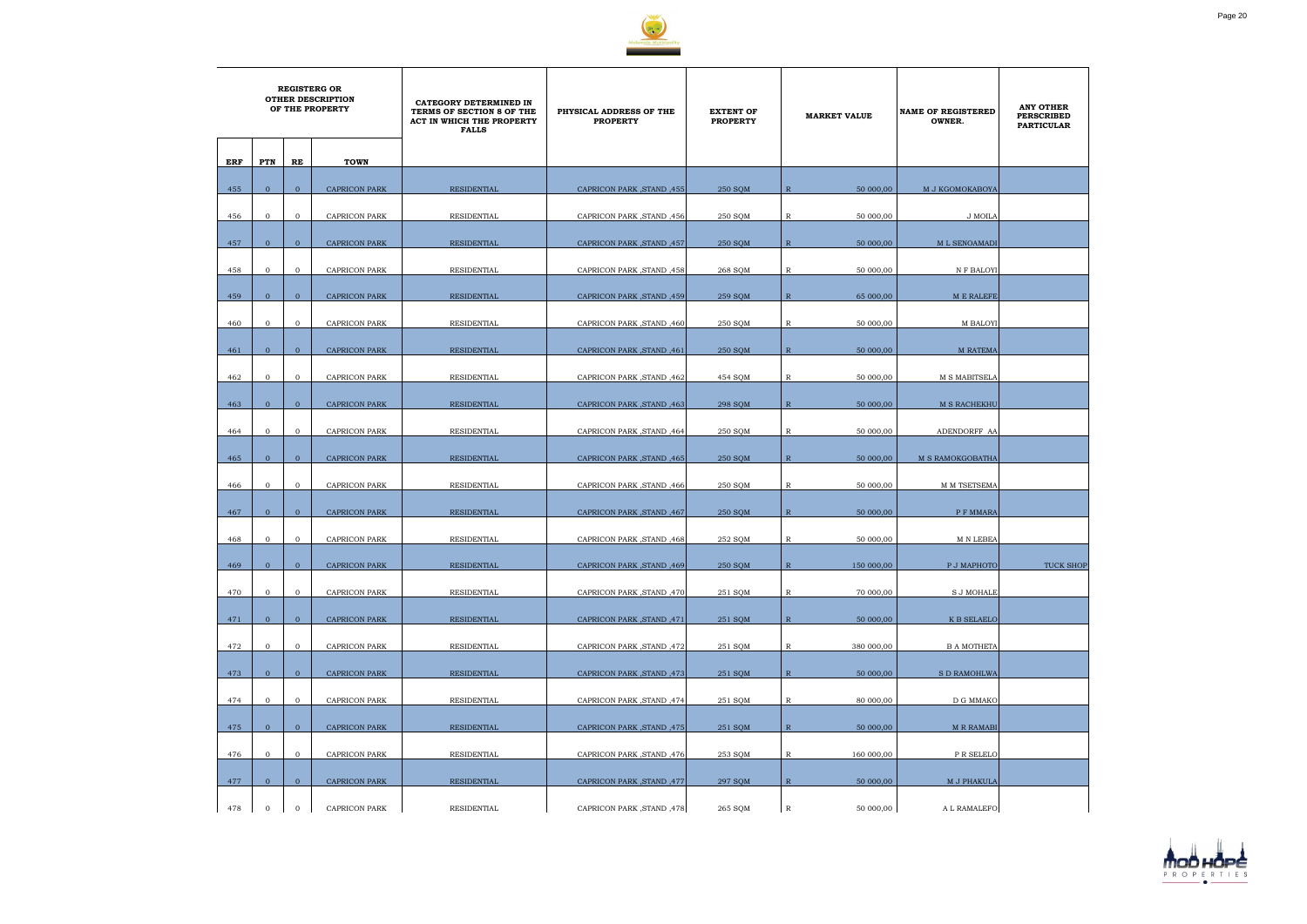

|     | <b>REGISTERG OR</b><br><b>OTHER DESCRIPTION</b><br>OF THE PROPERTY |                |                      | CATEGORY DETERMINED IN<br>TERMS OF SECTION 8 OF THE<br>ACT IN WHICH THE PROPERTY<br><b>FALLS</b> | PHYSICAL ADDRESS OF THE<br><b>PROPERTY</b> | <b>EXTENT OF</b><br><b>PROPERTY</b> |              | <b>MARKET VALUE</b> | <b>NAME OF REGISTERED</b><br>OWNER. | <b>ANY OTHER</b><br><b>PERSCRIBED</b><br><b>PARTICULAR</b> |
|-----|--------------------------------------------------------------------|----------------|----------------------|--------------------------------------------------------------------------------------------------|--------------------------------------------|-------------------------------------|--------------|---------------------|-------------------------------------|------------------------------------------------------------|
| ERF | PTN                                                                | RE             | <b>TOWN</b>          |                                                                                                  |                                            |                                     |              |                     |                                     |                                                            |
| 455 | $\overline{0}$                                                     | $\overline{0}$ | <b>CAPRICON PARK</b> | <b>RESIDENTIAL</b>                                                                               | CAPRICON PARK, STAND, 455                  | 250 SQM                             | $\mathbb{R}$ | 50 000,00           | M J KGOMOKABOYA                     |                                                            |
| 456 | $\mathbf 0$                                                        | $\overline{0}$ | <b>CAPRICON PARK</b> | RESIDENTIAL                                                                                      | CAPRICON PARK, STAND, 456                  | 250 SQM                             | $\mathbb{R}$ | 50 000,00           | J MOILA                             |                                                            |
| 457 | $\overline{0}$                                                     | $\mathbf{0}$   | <b>CAPRICON PARK</b> | <b>RESIDENTIAL</b>                                                                               | CAPRICON PARK, STAND, 457                  | 250 SQM                             | $\mathbb{R}$ | 50 000,00           | M L SENOAMADI                       |                                                            |
| 458 | $\mathbf{0}$                                                       | $\mathbf{0}$   | <b>CAPRICON PARK</b> | RESIDENTIAL                                                                                      | CAPRICON PARK, STAND, 458                  | 268 SQM                             | $\mathbb{R}$ | 50 000,00           | N F BALOYI                          |                                                            |
| 459 | $\overline{0}$                                                     | $\overline{0}$ | <b>CAPRICON PARK</b> | <b>RESIDENTIAL</b>                                                                               | CAPRICON PARK, STAND, 459                  | 259 SOM                             | $\mathbb{R}$ | 65 000,00           | <b>ME RALEFE</b>                    |                                                            |
| 460 | $\mathbf 0$                                                        | $\overline{0}$ | <b>CAPRICON PARK</b> | RESIDENTIAL                                                                                      | CAPRICON PARK, STAND, 460                  | 250 SQM                             | R            | 50 000,00           | M BALOYI                            |                                                            |
| 461 | $\overline{0}$                                                     | $\overline{0}$ | <b>CAPRICON PARK</b> | RESIDENTIAL                                                                                      | CAPRICON PARK, STAND, 461                  | 250 SQM                             | $\mathbb{R}$ | 50 000,00           | <b>M RATEMA</b>                     |                                                            |
| 462 | $\mathbf{0}$                                                       | $\mathbf{0}$   | <b>CAPRICON PARK</b> | RESIDENTIAL                                                                                      | CAPRICON PARK, STAND, 462                  | 454 SQM                             | $\mathbb{R}$ | 50 000,00           | M S MABITSELA                       |                                                            |
|     | $\overline{0}$                                                     | $\mathbf{0}$   |                      |                                                                                                  |                                            |                                     | $\mathbb{R}$ |                     |                                     |                                                            |
| 463 |                                                                    |                | <b>CAPRICON PARK</b> | RESIDENTIAL                                                                                      | CAPRICON PARK, STAND, 463                  | 298 SQM                             |              | 50 000,00           | M S RACHEKHU                        |                                                            |
| 464 | $\mathbf{0}$                                                       | $\mathbf{0}$   | <b>CAPRICON PARK</b> | RESIDENTIAL                                                                                      | CAPRICON PARK, STAND, 464                  | 250 SQM                             | R            | 50 000,00           | ADENDORFF AA                        |                                                            |
| 465 | $\mathbf{0}$                                                       | $\mathbf{0}$   | <b>CAPRICON PARK</b> | RESIDENTIAL                                                                                      | CAPRICON PARK, STAND, 465                  | 250 SOM                             | $\mathbb{R}$ | 50 000,00           | <b>M S RAMOKGOBATHA</b>             |                                                            |
| 466 | $\mathbf 0$                                                        | $\overline{0}$ | <b>CAPRICON PARK</b> | RESIDENTIAL                                                                                      | CAPRICON PARK, STAND, 466                  | 250 SQM                             | R            | 50 000,00           | M M TSETSEMA                        |                                                            |
| 467 | $\overline{0}$                                                     | $\mathbf{0}$   | <b>CAPRICON PARK</b> | RESIDENTIAL                                                                                      | CAPRICON PARK, STAND, 467                  | 250 SQM                             | $\mathbb{R}$ | 50 000,00           | P F MMARA                           |                                                            |
| 468 | $\mathbf{0}$                                                       | $\mathbf{0}$   | <b>CAPRICON PARK</b> | RESIDENTIAL                                                                                      | CAPRICON PARK, STAND, 468                  | 252 SOM                             | R            | 50 000,00           | M N LEBEA                           |                                                            |
| 469 | $\mathbf{0}$                                                       | $\mathbf{0}$   | CAPRICON PARK        | RESIDENTIAL                                                                                      | CAPRICON PARK, STAND, 469                  | 250 SQM                             | $\mathbb R$  | 150 000,00          | P J MAPHOTO                         | <b>TUCK SHOP</b>                                           |
|     |                                                                    |                |                      |                                                                                                  |                                            |                                     |              |                     |                                     |                                                            |
| 470 | $\overline{0}$                                                     | $\overline{0}$ | CAPRICON PARK        | RESIDENTIAL                                                                                      | CAPRICON PARK, STAND, 470                  | 251 SQM                             | $\mathbb{R}$ | 70 000,00           | <b>S J MOHALE</b>                   |                                                            |
| 471 | $\overline{0}$                                                     | $\mathbf{0}$   | <b>CAPRICON PARK</b> | RESIDENTIAL                                                                                      | CAPRICON PARK, STAND, 471                  | 251 SQM                             | $\mathbb{R}$ | 50 000,00           | K B SELAELO                         |                                                            |
| 472 | $\overline{0}$                                                     | $\overline{0}$ | CAPRICON PARK        | RESIDENTIAL                                                                                      | CAPRICON PARK , STAND , 472                | 251 SQM                             | $\mathbb{R}$ | 380 000,00          | <b>B A MOTHETA</b>                  |                                                            |
| 473 | $\overline{0}$                                                     | $\overline{0}$ | <b>CAPRICON PARK</b> | RESIDENTIAL                                                                                      | CAPRICON PARK, STAND, 473                  | 251 SQM                             | R            | 50 000,00           | <b>S D RAMOHLWA</b>                 |                                                            |
| 474 | $\mathbf{0}$                                                       | $\overline{0}$ | CAPRICON PARK        | RESIDENTIAL                                                                                      | CAPRICON PARK, STAND, 474                  | 251 SQM                             | $\mathbb{R}$ | 80 000,00           | D G MMAKO                           |                                                            |
| 475 | $\overline{0}$                                                     | $\overline{0}$ | <b>CAPRICON PARK</b> | RESIDENTIAL                                                                                      | CAPRICON PARK, STAND, 475                  | 251 SQM                             | $\mathbb{R}$ | 50 000,00           | <b>M R RAMABI</b>                   |                                                            |
| 476 | $\mathbf{0}$                                                       | $\mathbf{0}$   | CAPRICON PARK        | RESIDENTIAL                                                                                      | CAPRICON PARK, STAND, 476                  | 253 SQM                             | $\mathbb{R}$ | 160 000,00          | P R SELELO                          |                                                            |
|     |                                                                    |                |                      |                                                                                                  |                                            |                                     |              |                     |                                     |                                                            |
| 477 | $\overline{0}$                                                     | $\overline{0}$ | <b>CAPRICON PARK</b> | RESIDENTIAL                                                                                      | CAPRICON PARK, STAND, 477                  | 297 SQM                             | $\mathbb{R}$ | 50 000,00           | M J PHAKULA                         |                                                            |
| 478 | $\mathbf{0}$                                                       | $\overline{0}$ | CAPRICON PARK        | RESIDENTIAL                                                                                      | CAPRICON PARK, STAND, 478                  | 265 SQM                             | $\mathbb R$  | 50 000,00           | A L RAMALEFO                        |                                                            |

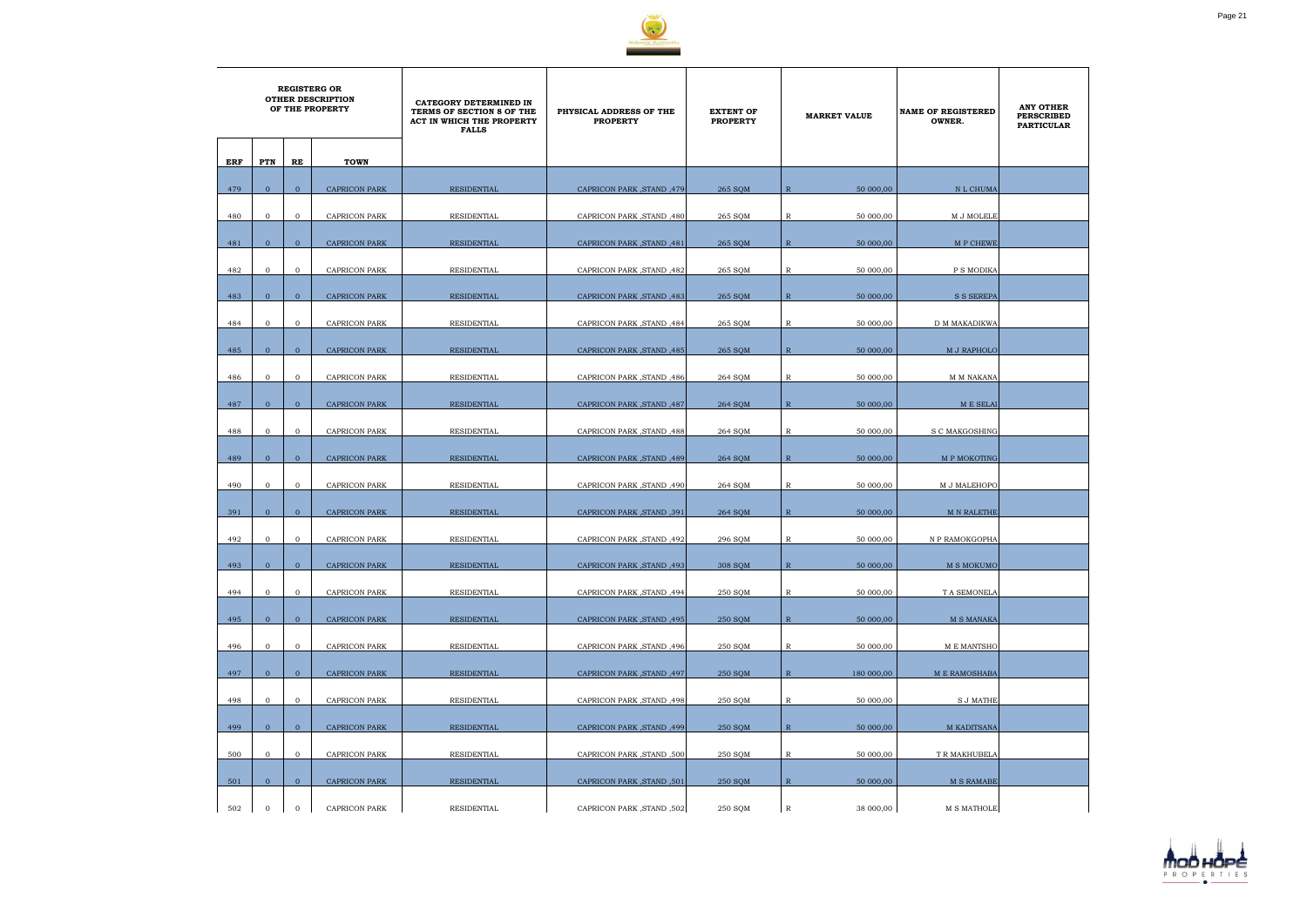

|     | <b>REGISTERG OR</b><br><b>OTHER DESCRIPTION</b><br>OF THE PROPERTY |                |                      | CATEGORY DETERMINED IN<br>TERMS OF SECTION 8 OF THE<br>ACT IN WHICH THE PROPERTY<br><b>FALLS</b> | PHYSICAL ADDRESS OF THE<br><b>PROPERTY</b> | <b>EXTENT OF</b><br><b>PROPERTY</b> | <b>MARKET VALUE</b>         | <b>NAME OF REGISTERED</b><br>OWNER. | <b>ANY OTHER</b><br><b>PERSCRIBED</b><br><b>PARTICULAR</b> |
|-----|--------------------------------------------------------------------|----------------|----------------------|--------------------------------------------------------------------------------------------------|--------------------------------------------|-------------------------------------|-----------------------------|-------------------------------------|------------------------------------------------------------|
| ERF | PTN                                                                | RE             | <b>TOWN</b>          |                                                                                                  |                                            |                                     |                             |                                     |                                                            |
| 479 | $\overline{0}$                                                     | $\overline{0}$ | <b>CAPRICON PARK</b> | RESIDENTIAL                                                                                      | CAPRICON PARK, STAND, 479                  | 265 SQM                             | $\overline{R}$<br>50 000,00 | N L CHUMA                           |                                                            |
| 480 | $\mathbf{0}$                                                       | $\overline{0}$ | <b>CAPRICON PARK</b> | <b>RESIDENTIAL</b>                                                                               | CAPRICON PARK, STAND, 480                  | 265 SQM                             | 50 000,00<br>R              | M J MOLELE                          |                                                            |
| 481 | $\mathbf{0}$                                                       | $\overline{0}$ | <b>CAPRICON PARK</b> | <b>RESIDENTIAL</b>                                                                               | CAPRICON PARK, STAND, 481                  | 265 SQM                             | $\mathbb{R}$<br>50 000,00   | M P CHEWE                           |                                                            |
| 482 | $\mathbf{0}$                                                       | $\mathbf{O}$   | <b>CAPRICON PARK</b> | RESIDENTIAL                                                                                      | CAPRICON PARK, STAND, 482                  | 265 SQM                             | $\mathbb{R}$<br>50 000,00   | P S MODIKA                          |                                                            |
| 483 | $\mathbf{0}$                                                       | $\mathbf{0}$   | <b>CAPRICON PARK</b> | RESIDENTIAL                                                                                      | CAPRICON PARK, STAND, 483                  | 265 SQM                             | $\mathbb{R}$<br>50 000,00   | <b>S S SEREPA</b>                   |                                                            |
| 484 | $\mathbf{0}$                                                       | $\mathbf{O}$   | CAPRICON PARK        | RESIDENTIAL                                                                                      | CAPRICON PARK, STAND, 484                  | 265 SQM                             | $\mathbb{R}$<br>50 000,00   | D M MAKADIKWA                       |                                                            |
| 485 | $\overline{0}$                                                     | $\overline{0}$ | <b>CAPRICON PARK</b> | <b>RESIDENTIAL</b>                                                                               | CAPRICON PARK, STAND, 485                  | 265 SQM                             | $\mathbb{R}$<br>50 000,00   | M J RAPHOLO                         |                                                            |
| 486 | $\mathbf{0}$                                                       | $\mathbf{O}$   | <b>CAPRICON PARK</b> | RESIDENTIAL                                                                                      | CAPRICON PARK, STAND, 486                  | 264 SQM                             | 50 000,00<br>R              | M M NAKANA                          |                                                            |
|     |                                                                    |                |                      |                                                                                                  |                                            |                                     |                             |                                     |                                                            |
| 487 | $\overline{0}$                                                     | $\overline{0}$ | <b>CAPRICON PARK</b> | RESIDENTIAL                                                                                      | CAPRICON PARK, STAND, 487                  | 264 SQM                             | $\mathbb{R}$<br>50 000,00   | M E SELAI                           |                                                            |
| 488 | $\overline{0}$                                                     | $\mathbf{0}$   | <b>CAPRICON PARK</b> | RESIDENTIAL                                                                                      | CAPRICON PARK, STAND, 488                  | 264 SQM                             | R<br>50 000,00              | S C MAKGOSHING                      |                                                            |
| 489 | $\overline{0}$                                                     | $\mathbf{0}$   | <b>CAPRICON PARK</b> | RESIDENTIAL                                                                                      | CAPRICON PARK, STAND, 489                  | 264 SOM                             | $\mathbb{R}$<br>50 000,00   | M P MOKOTING                        |                                                            |
| 490 | $\mathbf{0}$                                                       | $\overline{0}$ | <b>CAPRICON PARK</b> | RESIDENTIAL                                                                                      | CAPRICON PARK, STAND, 490                  | 264 SQM                             | R<br>50 000,00              | M J MALEHOPO                        |                                                            |
| 391 | $\Omega$                                                           | $\overline{0}$ | <b>CAPRICON PARK</b> | <b>RESIDENTIAL</b>                                                                               | CAPRICON PARK, STAND, 391                  | 264 SQM                             | $\mathbb{R}$<br>50 000,00   | <b>M N RALETHE</b>                  |                                                            |
| 492 | $\mathbf{0}$                                                       | $\mathbf{O}$   | <b>CAPRICON PARK</b> | RESIDENTIAL                                                                                      | CAPRICON PARK, STAND, 492                  | 296 SQM                             | $\mathbb{R}$<br>50 000,00   | N P RAMOKGOPHA                      |                                                            |
| 493 | $\overline{0}$                                                     | $\mathbf{0}$   | CAPRICON PARK        | <b>RESIDENTIAL</b>                                                                               | (493, CAPRICON PARK, STAND                 | 308 SQM                             | $\mathbb{R}$<br>50 000,00   | M S MOKUMO                          |                                                            |
| 494 | $\mathbf{0}$                                                       | $\overline{0}$ | <b>CAPRICON PARK</b> | RESIDENTIAL                                                                                      | CAPRICON PARK, STAND, 494                  | 250 SQM                             | $\mathbb R$<br>50 000,00    | T A SEMONELA                        |                                                            |
| 495 | $\overline{0}$                                                     | $\overline{0}$ | <b>CAPRICON PARK</b> | <b>RESIDENTIAL</b>                                                                               | CAPRICON PARK, STAND, 495                  | 250 SQM                             | $\mathbb{R}$<br>50 000,00   | <b>M S MANAKA</b>                   |                                                            |
| 496 | $\overline{0}$                                                     | $\mathbf{0}$   | CAPRICON PARK        | RESIDENTIAL                                                                                      | CAPRICON PARK, STAND, 496                  | 250 SQM                             | $\mathbb{R}$<br>50 000,00   | M E MANTSHO                         |                                                            |
| 497 | $\mathbf{0}$                                                       | $\overline{0}$ | <b>CAPRICON PARK</b> | RESIDENTIAL                                                                                      | CAPRICON PARK, STAND, 497                  | 250 SQM                             | $\mathbb{R}$<br>180 000,00  | <b>M E RAMOSHABA</b>                |                                                            |
| 498 | $\overline{0}$                                                     | $\mathbf{O}$   | <b>CAPRICON PARK</b> | RESIDENTIAL                                                                                      | CAPRICON PARK, STAND, 498                  | 250 SQM                             | 50 000,00<br>$\mathbb{R}$   | <b>S J MATHE</b>                    |                                                            |
| 499 | $\overline{0}$                                                     | $\overline{0}$ | <b>CAPRICON PARK</b> | RESIDENTIAL                                                                                      | CAPRICON PARK, STAND, 499                  | 250 SQM                             | $\mathbb{R}$<br>50 000,00   | <b>M KADITSANA</b>                  |                                                            |
|     | $\mathbf{0}$                                                       | $\mathbf{O}$   | <b>CAPRICON PARK</b> | RESIDENTIAL                                                                                      | CAPRICON PARK, STAND, 500                  |                                     | $\mathbb R$<br>50 000,00    | T R MAKHUBELA                       |                                                            |
| 500 |                                                                    |                |                      |                                                                                                  |                                            | 250 SQM                             |                             |                                     |                                                            |
| 501 | $\overline{0}$                                                     | $\overline{0}$ | <b>CAPRICON PARK</b> | RESIDENTIAL                                                                                      | CAPRICON PARK, STAND, 501                  | 250 SQM                             | $\mathbb{R}$<br>50 000,00   | <b>M S RAMABE</b>                   |                                                            |
| 502 | $\overline{0}$                                                     | $\mathbf{0}$   | <b>CAPRICON PARK</b> | RESIDENTIAL                                                                                      | CAPRICON PARK, STAND, 502                  | 250 SQM                             | $\mathbb{R}$<br>38 000,00   | <b>M S MATHOLE</b>                  |                                                            |

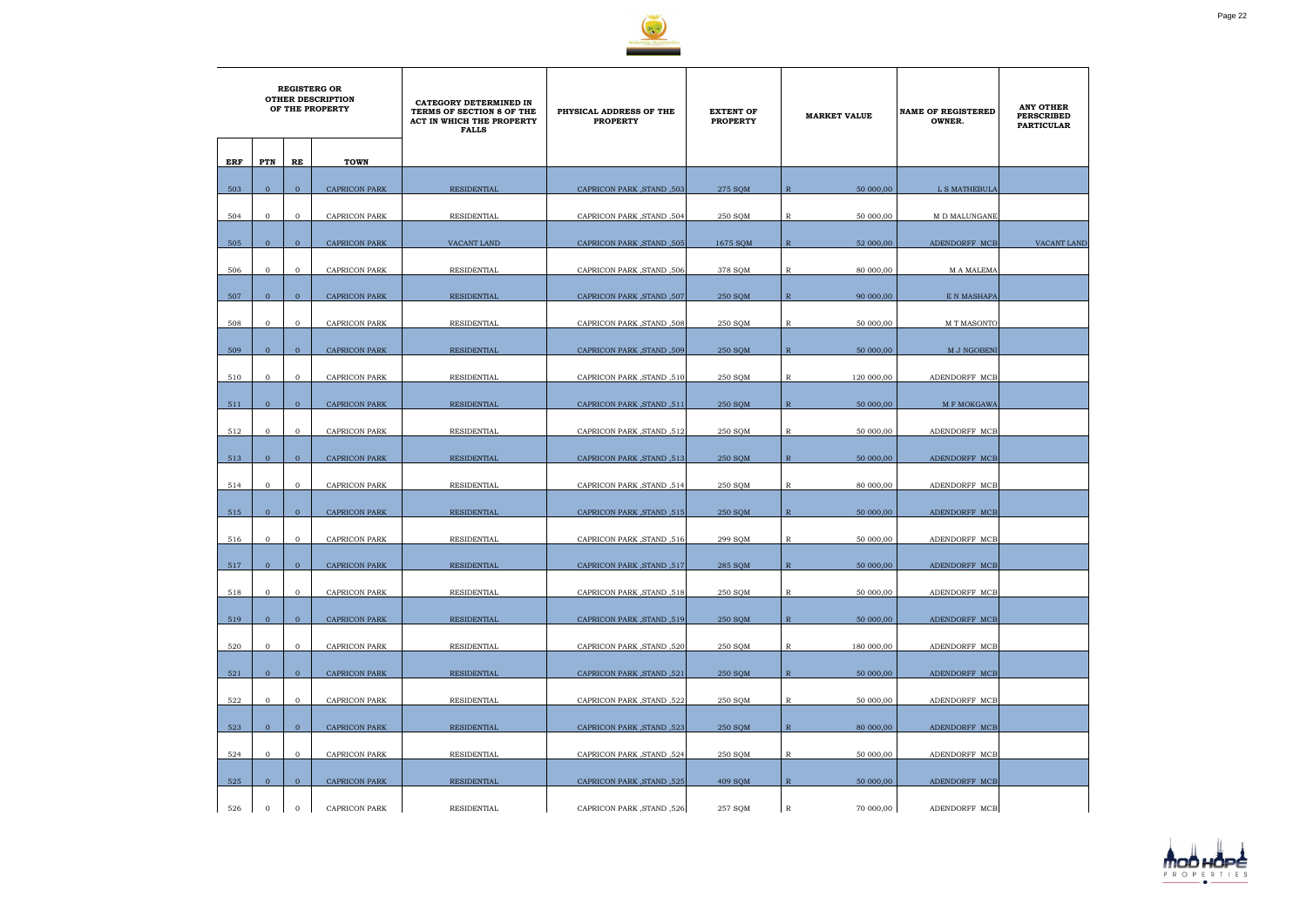

|     | <b>REGISTERG OR</b><br><b>OTHER DESCRIPTION</b><br>OF THE PROPERTY |                |                      | CATEGORY DETERMINED IN<br>TERMS OF SECTION 8 OF THE<br>ACT IN WHICH THE PROPERTY<br><b>FALLS</b> | PHYSICAL ADDRESS OF THE<br><b>PROPERTY</b> | <b>EXTENT OF</b><br><b>PROPERTY</b> | <b>MARKET VALUE</b>         | <b>NAME OF REGISTERED</b><br>OWNER. | <b>ANY OTHER</b><br><b>PERSCRIBED</b><br><b>PARTICULAR</b> |
|-----|--------------------------------------------------------------------|----------------|----------------------|--------------------------------------------------------------------------------------------------|--------------------------------------------|-------------------------------------|-----------------------------|-------------------------------------|------------------------------------------------------------|
| ERF | PTN                                                                | RE             | <b>TOWN</b>          |                                                                                                  |                                            |                                     |                             |                                     |                                                            |
| 503 | $\mathbf{0}$                                                       | $\overline{0}$ | <b>CAPRICON PARK</b> | RESIDENTIAL                                                                                      | CAPRICON PARK, STAND, 503                  | 275 SOM                             | 50 000,00<br>$\overline{R}$ | L S MATHEBULA                       |                                                            |
| 504 | $\mathbf 0$                                                        | $\mathbf{0}$   | <b>CAPRICON PARK</b> | RESIDENTIAL                                                                                      | CAPRICON PARK, STAND, 504                  | 250 SOM                             | 50 000,00<br>R              | M D MALUNGANE                       |                                                            |
| 505 | $\overline{0}$                                                     | $\mathbf{0}$   | <b>CAPRICON PARK</b> | VACANT LAND                                                                                      | CAPRICON PARK, STAND, 505                  | 1675 SQM                            | $\mathbb{R}$<br>52 000,00   | ADENDORFF MCB                       | <b>VACANT LAND</b>                                         |
| 506 | $\mathbf{0}$                                                       | $\mathbf{0}$   | <b>CAPRICON PARK</b> | RESIDENTIAL                                                                                      | CAPRICON PARK, STAND, 506                  | 378 SQM                             | $\mathbb R$<br>80 000,00    | <b>MA MALEMA</b>                    |                                                            |
| 507 | $\overline{0}$                                                     | $\mathbf{0}$   | <b>CAPRICON PARK</b> | RESIDENTIAL                                                                                      | CAPRICON PARK, STAND, 507                  | 250 SQM                             | $\mathbb{R}$<br>90 000,00   | E N MASHAPA                         |                                                            |
| 508 | $\overline{0}$                                                     | $\mathbf{0}$   | <b>CAPRICON PARK</b> | RESIDENTIAL                                                                                      | CAPRICON PARK, STAND, 508                  | 250 SQM                             | R<br>50 000,00              | M T MASONTO                         |                                                            |
|     |                                                                    |                |                      |                                                                                                  |                                            |                                     |                             |                                     |                                                            |
| 509 | $\overline{0}$                                                     | $\mathbf{0}$   | <b>CAPRICON PARK</b> | RESIDENTIAL                                                                                      | CAPRICON PARK, STAND, 509                  | <b>250 SQM</b>                      | $\mathbb{R}$<br>50 000,00   | M J NGOBENI                         |                                                            |
| 510 | $\mathbf 0$                                                        | $\mathbf{0}$   | <b>CAPRICON PARK</b> | RESIDENTIAL                                                                                      | CAPRICON PARK, STAND, 510                  | 250 SQM                             | 120 000,00<br>R             | ADENDORFF MCB                       |                                                            |
| 511 | $\mathbf{0}$                                                       | $\mathbf{0}$   | <b>CAPRICON PARK</b> | <b>RESIDENTIAL</b>                                                                               | CAPRICON PARK, STAND, 511                  | 250 SQM                             | $\mathbb{R}$<br>50 000,00   | M F MOKGAWA                         |                                                            |
| 512 | $\mathbf 0$                                                        | $\mathbf{0}$   | <b>CAPRICON PARK</b> | RESIDENTIAL                                                                                      | CAPRICON PARK, STAND, 512                  | 250 SQM                             | R<br>50 000,00              | ADENDORFF MCB                       |                                                            |
| 513 | $\overline{0}$                                                     | $\overline{0}$ | <b>CAPRICON PARK</b> | RESIDENTIAL                                                                                      | CAPRICON PARK, STAND, 513                  | 250 SQM                             | $\mathbb{R}$<br>50 000,00   | ADENDORFF MCB                       |                                                            |
| 514 | $\mathbf 0$                                                        | $\mathbf{0}$   | <b>CAPRICON PARK</b> | RESIDENTIAL                                                                                      | CAPRICON PARK, STAND, 514                  | 250 SQM                             | R<br>80 000,00              | ADENDORFF MCB                       |                                                            |
| 515 | $\Omega$                                                           | $\overline{0}$ | <b>CAPRICON PARK</b> | RESIDENTIAL                                                                                      | CAPRICON PARK, STAND, 515                  | 250 SQM                             | $\mathbb{R}$<br>50 000,00   | ADENDORFF MCB                       |                                                            |
| 516 | $\mathbf 0$                                                        | $\mathbf{0}$   | <b>CAPRICON PARK</b> | RESIDENTIAL                                                                                      | CAPRICON PARK, STAND, 516                  | 299 SQM                             | $\mathbb{R}$<br>50 000,00   | ADENDORFF MCB                       |                                                            |
| 517 | $\mathbf{0}$                                                       | $\mathbf{0}$   | <b>CAPRICON PARK</b> | <b>RESIDENTIAL</b>                                                                               | CAPRICON PARK, STAND, 517                  | 285 SQM                             | $\mathbb R$<br>50 000,00    | ADENDORFF MCB                       |                                                            |
| 518 | $\overline{0}$                                                     | $\overline{0}$ | <b>CAPRICON PARK</b> | RESIDENTIAL                                                                                      | CAPRICON PARK, STAND, 518                  | 250 SQM                             | $\mathbb R$<br>50 000,00    | ADENDORFF MCB                       |                                                            |
| 519 | $\overline{0}$                                                     | $\overline{0}$ | <b>CAPRICON PARK</b> | RESIDENTIAL                                                                                      | CAPRICON PARK, STAND, 519                  | 250 SQM                             | $\mathbb{R}$<br>50 000,00   | ADENDORFF MCB                       |                                                            |
| 520 | $\mathbf 0$                                                        | $\overline{0}$ | CAPRICON PARK        | RESIDENTIAL                                                                                      | CAPRICON PARK, STAND, 520                  | 250 SQM                             | 180 000,00<br>R             | ADENDORFF MCB                       |                                                            |
| 521 | $\overline{0}$                                                     | $\mathbf{0}$   | <b>CAPRICON PARK</b> | <b>RESIDENTIAL</b>                                                                               | CAPRICON PARK, STAND, 521                  | 250 SQM                             | $\mathbb{R}$<br>50 000,00   | ADENDORFF MCB                       |                                                            |
| 522 | $\mathbf{0}$                                                       | $\mathbf{0}$   | <b>CAPRICON PARK</b> | RESIDENTIAL                                                                                      | CAPRICON PARK, STAND, 522                  | 250 SQM                             | 50 000,00<br>$\mathbb{R}$   | ADENDORFF MCB                       |                                                            |
| 523 | $\mathbf{0}$                                                       | $\overline{0}$ | CAPRICON PARK        | RESIDENTIAL                                                                                      | CAPRICON PARK, STAND, 523                  | 250 SQM                             | $\mathbb{R}$<br>80 000,00   | ADENDORFF MCB                       |                                                            |
| 524 | $\overline{0}$                                                     | $\mathbf 0$    | CAPRICON PARK        | RESIDENTIAL                                                                                      | CAPRICON PARK, STAND, 524                  | 250 SQM                             | $\mathbb R$<br>50 000,00    | ADENDORFF MCB                       |                                                            |
| 525 | $\overline{0}$                                                     | $\overline{0}$ | <b>CAPRICON PARK</b> | RESIDENTIAL                                                                                      | CAPRICON PARK, STAND, 525                  | 409 SOM                             | $\mathbb{R}$<br>50 000,00   | ADENDORFF MCB                       |                                                            |
| 526 | $\mathbf{0}$                                                       | $\mathbf 0$    | <b>CAPRICON PARK</b> | RESIDENTIAL                                                                                      | CAPRICON PARK, STAND, 526                  | 257 SQM                             | $\mathbb R$<br>70 000,00    | ADENDORFF MCB                       |                                                            |

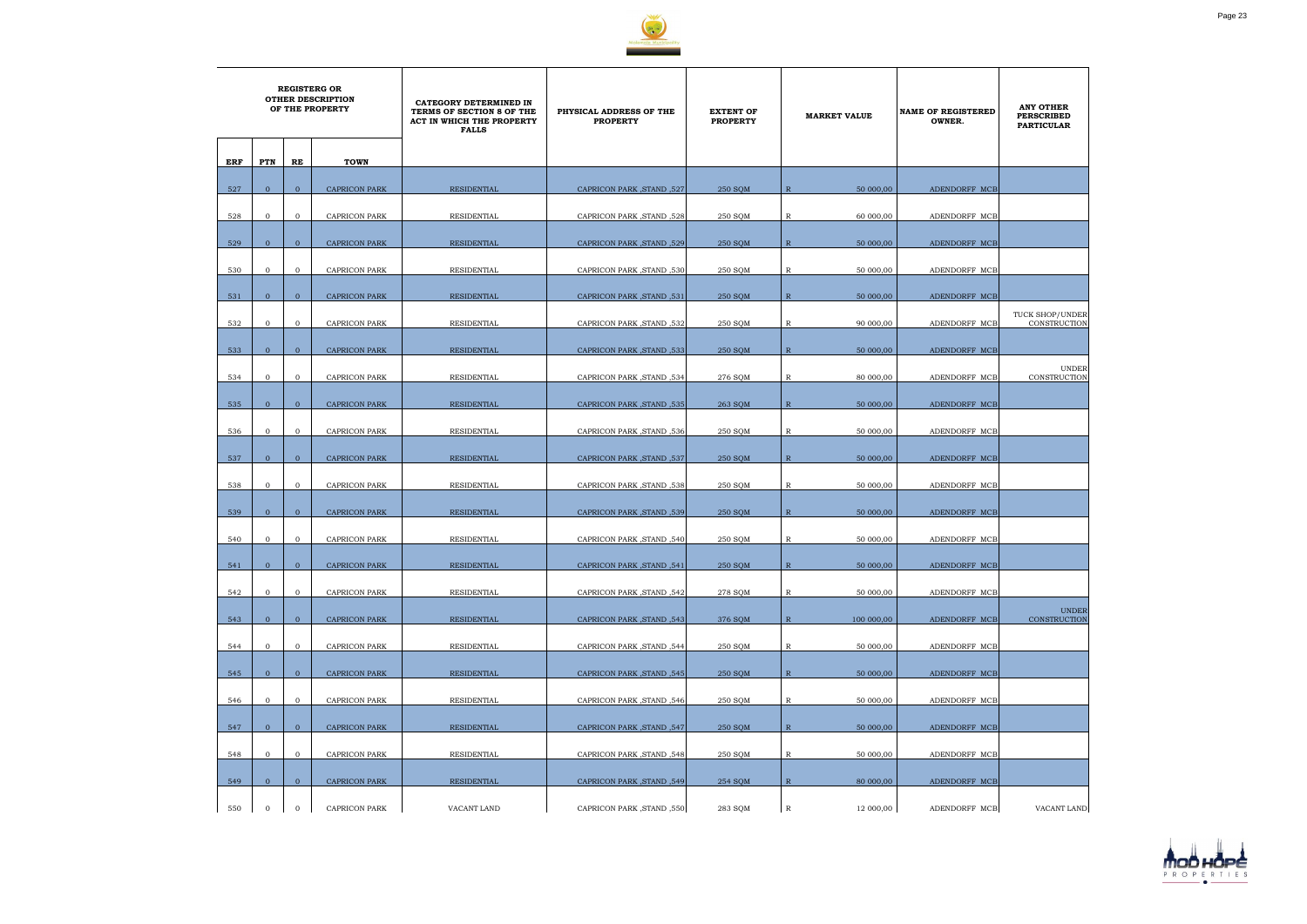

|     | <b>REGISTERG OR</b><br><b>OTHER DESCRIPTION</b><br>OF THE PROPERTY |                |                      | CATEGORY DETERMINED IN<br>TERMS OF SECTION 8 OF THE<br>ACT IN WHICH THE PROPERTY<br><b>FALLS</b> | PHYSICAL ADDRESS OF THE<br><b>PROPERTY</b> | <b>EXTENT OF</b><br><b>PROPERTY</b> | <b>MARKET VALUE</b>        | <b>NAME OF REGISTERED</b><br>OWNER. | <b>ANY OTHER</b><br><b>PERSCRIBED</b><br><b>PARTICULAR</b> |
|-----|--------------------------------------------------------------------|----------------|----------------------|--------------------------------------------------------------------------------------------------|--------------------------------------------|-------------------------------------|----------------------------|-------------------------------------|------------------------------------------------------------|
| ERF | PTN                                                                | RE             | <b>TOWN</b>          |                                                                                                  |                                            |                                     |                            |                                     |                                                            |
|     |                                                                    |                |                      |                                                                                                  |                                            |                                     |                            |                                     |                                                            |
| 527 | $\mathbf{0}$                                                       | $\overline{0}$ | <b>CAPRICON PARK</b> | <b>RESIDENTIAL</b>                                                                               | CAPRICON PARK, STAND, 527                  | 250 SQM                             | 50 000,00<br>$\mathbb{R}$  | ADENDORFF MCB                       |                                                            |
| 528 | $\mathbf{0}$                                                       | $\mathbf 0$    | <b>CAPRICON PARK</b> | RESIDENTIAL                                                                                      | CAPRICON PARK, STAND, 528                  | 250 SQM                             | 60 000,00<br>R             | ADENDORFF MCB                       |                                                            |
| 529 | $\mathbf{0}$                                                       | $\overline{0}$ | <b>CAPRICON PARK</b> | <b>RESIDENTIAL</b>                                                                               | CAPRICON PARK, STAND, 529                  | 250 SQM                             | $\mathbb{R}$<br>50 000,00  | ADENDORFF MCB                       |                                                            |
| 530 | $\mathbf{0}$                                                       | $\mathbf{0}$   | CAPRICON PARK        | RESIDENTIAL                                                                                      | CAPRICON PARK, STAND, 530                  | 250 SQM                             | 50 000,00<br>R             | ADENDORFF MCB                       |                                                            |
|     |                                                                    |                |                      |                                                                                                  |                                            |                                     |                            |                                     |                                                            |
| 531 | $\overline{0}$                                                     | $\mathbf{0}$   | <b>CAPRICON PARK</b> | RESIDENTIAL                                                                                      | CAPRICON PARK, STAND, 531                  | 250 SQM                             | $\mathbb{R}$<br>50 000,00  | ADENDORFF MCB                       |                                                            |
| 532 | $\mathbf{0}$                                                       | $\mathbf{0}$   | <b>CAPRICON PARK</b> | RESIDENTIAL                                                                                      | CAPRICON PARK, STAND, 532                  | 250 SQM                             | 90 000,00<br>R             | ADENDORFF MCB                       | TUCK SHOP/UNDER<br>CONSTRUCTION                            |
| 533 | $\overline{0}$                                                     | $\mathbf{0}$   | <b>CAPRICON PARK</b> | <b>RESIDENTIAL</b>                                                                               | CAPRICON PARK, STAND, 533                  | 250 SQM                             | $\mathbb{R}$<br>50 000,00  | ADENDORFF MCB                       |                                                            |
| 534 | $\mathbf{0}$                                                       | $\overline{0}$ | <b>CAPRICON PARK</b> | RESIDENTIAL                                                                                      | CAPRICON PARK, STAND, 534                  | 276 SQM                             | 80 000,00<br>R             | ADENDORFF MCB                       | <b>UNDER</b><br>CONSTRUCTION                               |
| 535 | $\mathbf{0}$                                                       | $\mathbf{0}$   | <b>CAPRICON PARK</b> | <b>RESIDENTIAL</b>                                                                               | CAPRICON PARK, STAND, 535                  | 263 SQM                             | $\mathbb{R}$<br>50 000,00  | ADENDORFF MCB                       |                                                            |
|     |                                                                    |                |                      |                                                                                                  |                                            |                                     |                            |                                     |                                                            |
| 536 | $\overline{0}$                                                     | $\mathbf{0}$   | <b>CAPRICON PARK</b> | RESIDENTIAL                                                                                      | CAPRICON PARK, STAND, 536                  | 250 SQM                             | R<br>50 000,00             | ADENDORFF MCB                       |                                                            |
| 537 | $\overline{0}$                                                     | $\mathbf{0}$   | <b>CAPRICON PARK</b> | <b>RESIDENTIAL</b>                                                                               | CAPRICON PARK, STAND, 537                  | 250 SQM                             | $\mathbb{R}$<br>50 000,00  | ADENDORFF MCB                       |                                                            |
| 538 | $\mathbf{0}$                                                       | $\mathbf 0$    | <b>CAPRICON PARK</b> | RESIDENTIAL                                                                                      | CAPRICON PARK, STAND, 538                  | 250 SQM                             | R<br>50 000,00             | ADENDORFF MCB                       |                                                            |
|     | $\Omega$                                                           | $\overline{0}$ |                      |                                                                                                  |                                            |                                     | $\mathbb{R}$               |                                     |                                                            |
| 539 |                                                                    |                | <b>CAPRICON PARK</b> | <b>RESIDENTIAL</b>                                                                               | CAPRICON PARK, STAND, 539                  | 250 SOM                             | 50 000,00                  | ADENDORFF MCB                       |                                                            |
| 540 | $\mathbf{0}$                                                       | $\mathbf{0}$   | <b>CAPRICON PARK</b> | <b>RESIDENTIAL</b>                                                                               | CAPRICON PARK, STAND, 540                  | 250 SQM                             | 50 000,00<br>R             | ADENDORFF MCB                       |                                                            |
| 541 | $\overline{0}$                                                     | $\mathbf{0}$   | CAPRICON PARK        | <b>RESIDENTIAL</b>                                                                               | CAPRICON PARK, STAND, 541                  | 250 SQM                             | ${\mathbb R}$<br>50 000,00 | ADENDORFF MCB                       |                                                            |
| 542 | $\overline{0}$                                                     | $\mathbf{0}$   | <b>CAPRICON PARK</b> | RESIDENTIAL                                                                                      | CAPRICON PARK, STAND, 542                  | 278 SQM                             | R<br>50 000,00             | ADENDORFF MCB                       |                                                            |
|     |                                                                    |                |                      |                                                                                                  |                                            |                                     |                            |                                     | <b>UNDER</b>                                               |
| 543 | $\overline{0}$                                                     | $\mathbf{0}$   | <b>CAPRICON PARK</b> | RESIDENTIAL                                                                                      | CAPRICON PARK, STAND, 543                  | 376 SQM                             | $\mathbb{R}$<br>100 000,00 | ADENDORFF MCB                       | CONSTRUCTION                                               |
| 544 | $\mathbf{0}$                                                       | $\overline{0}$ | <b>CAPRICON PARK</b> | RESIDENTIAL                                                                                      | CAPRICON PARK, STAND, 544                  | 250 SQM                             | 50 000,00<br>R             | ADENDORFF MCB                       |                                                            |
| 545 | $\overline{0}$                                                     | $\mathbf{0}$   | <b>CAPRICON PARK</b> | <b>RESIDENTIAL</b>                                                                               | CAPRICON PARK, STAND, 545                  | 250 SQM                             | $\mathbb{R}$<br>50 000,00  | ADENDORFF MCB                       |                                                            |
| 546 | $\overline{0}$                                                     | $\mathbf 0$    | <b>CAPRICON PARK</b> | RESIDENTIAL                                                                                      | CAPRICON PARK, STAND, 546                  | 250 SQM                             | 50 000,00<br>$\mathbb{R}$  | ADENDORFF MCB                       |                                                            |
|     |                                                                    |                |                      |                                                                                                  |                                            |                                     |                            |                                     |                                                            |
| 547 | $\mathbf{0}$                                                       | $\mathbf{0}$   | <b>CAPRICON PARK</b> | RESIDENTIAL                                                                                      | CAPRICON PARK, STAND, 547                  | 250 SQM                             | $\mathbb{R}$<br>50 000,00  | ADENDORFF MCB                       |                                                            |
| 548 | $\overline{0}$                                                     | $\mathbf{0}$   | CAPRICON PARK        | RESIDENTIAL                                                                                      | CAPRICON PARK , STAND , 548                | 250 SQM                             | R<br>50 000,00             | ADENDORFF MCB                       |                                                            |
| 549 | $\overline{0}$                                                     | $\mathbf{0}$   | <b>CAPRICON PARK</b> | RESIDENTIAL                                                                                      | CAPRICON PARK, STAND, 549                  | 254 SOM                             | $\mathbb{R}$<br>80 000,00  | ADENDORFF MCB                       |                                                            |
| 550 | $\mathbf{0}$                                                       | $\mathbf{0}$   | CAPRICON PARK        | VACANT LAND                                                                                      | CAPRICON PARK, STAND, 550                  | 283 SQM                             | $\mathbb R$<br>12 000,00   | ADENDORFF MCB                       | <b>VACANT LAND</b>                                         |

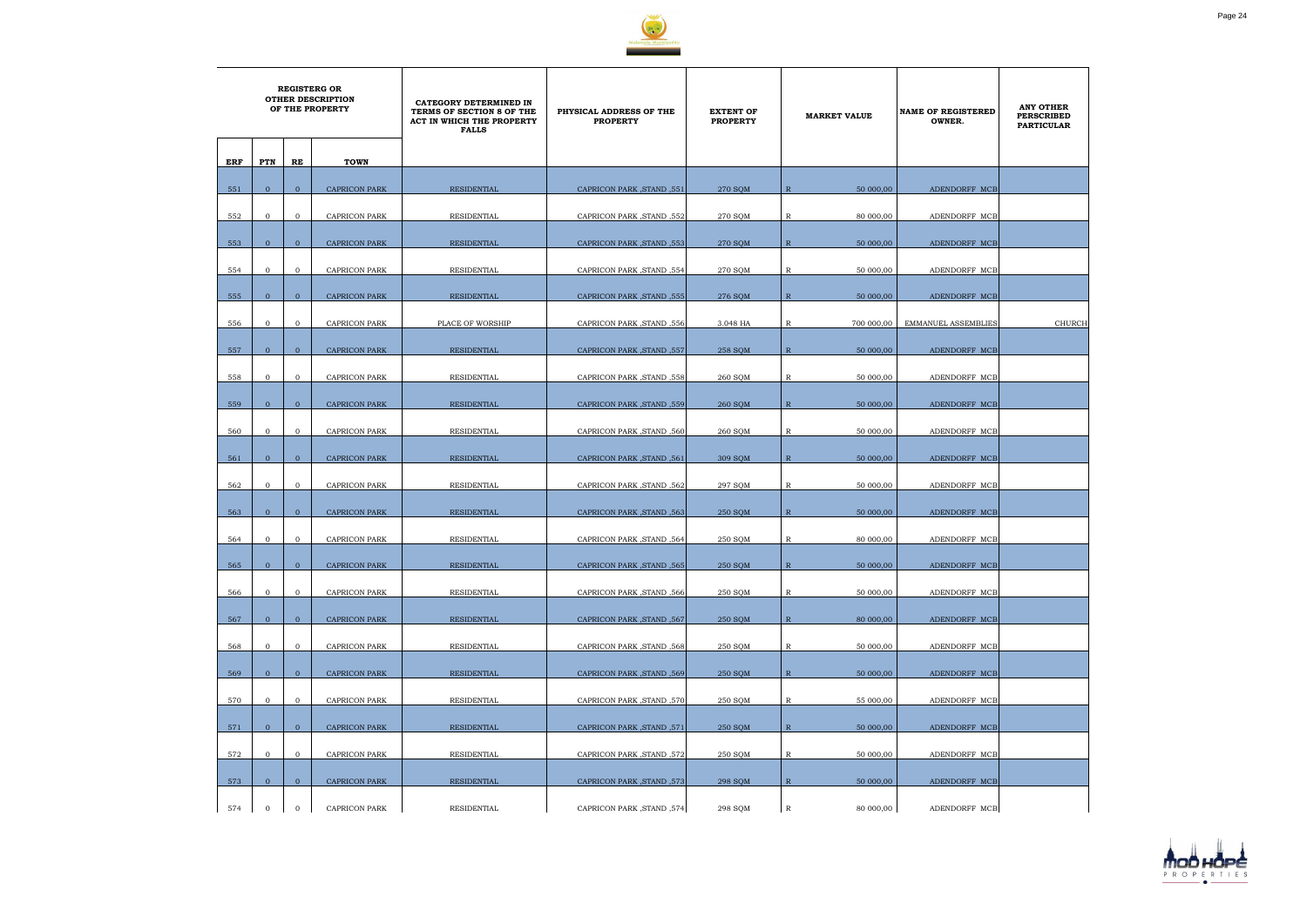

|     | <b>REGISTERG OR</b><br><b>OTHER DESCRIPTION</b><br>OF THE PROPERTY |                |                      | CATEGORY DETERMINED IN<br>TERMS OF SECTION 8 OF THE<br>ACT IN WHICH THE PROPERTY<br><b>FALLS</b> | PHYSICAL ADDRESS OF THE<br><b>PROPERTY</b> | <b>EXTENT OF</b><br><b>PROPERTY</b> | <b>MARKET VALUE</b>         | <b>NAME OF REGISTERED</b><br>OWNER. | <b>ANY OTHER</b><br><b>PERSCRIBED</b><br><b>PARTICULAR</b> |
|-----|--------------------------------------------------------------------|----------------|----------------------|--------------------------------------------------------------------------------------------------|--------------------------------------------|-------------------------------------|-----------------------------|-------------------------------------|------------------------------------------------------------|
| ERF | PTN                                                                | RE             | <b>TOWN</b>          |                                                                                                  |                                            |                                     |                             |                                     |                                                            |
| 551 | $\overline{0}$                                                     | $\mathbf{0}$   | <b>CAPRICON PARK</b> | <b>RESIDENTIAL</b>                                                                               | CAPRICON PARK, STAND, 551                  | 270 SQM                             | 50 000,00<br>$\overline{R}$ | ADENDORFF MCB                       |                                                            |
| 552 | $\mathbf{0}$                                                       | $\overline{0}$ | <b>CAPRICON PARK</b> | <b>RESIDENTIAL</b>                                                                               | CAPRICON PARK, STAND, 552                  | 270 SOM                             | $\mathbb R$<br>80 000,00    | ADENDORFF MCB                       |                                                            |
| 553 | $\overline{0}$                                                     | $\overline{0}$ | <b>CAPRICON PARK</b> | <b>RESIDENTIAL</b>                                                                               | CAPRICON PARK, STAND, 553                  | 270 SQM                             | $\mathbb{R}$<br>50 000,00   | ADENDORFF MCB                       |                                                            |
| 554 | $\mathbf{0}$                                                       | $\mathbf 0$    | <b>CAPRICON PARK</b> | RESIDENTIAL                                                                                      | CAPRICON PARK, STAND, 554                  | 270 SQM                             | $\mathbb R$<br>50 000,00    | ADENDORFF MCB                       |                                                            |
| 555 | $\overline{0}$                                                     | $\overline{0}$ | <b>CAPRICON PARK</b> | RESIDENTIAL                                                                                      | CAPRICON PARK, STAND, 555                  | 276 SQM                             | $\mathbb{R}$<br>50 000,00   | ADENDORFF MCB                       |                                                            |
| 556 | $\mathbf{0}$                                                       | $\overline{0}$ | <b>CAPRICON PARK</b> | PLACE OF WORSHIP                                                                                 | CAPRICON PARK, STAND, 556                  | 3.048 HA                            | R<br>700 000,00             | <b>EMMANUEL ASSEMBLIES</b>          | <b>CHURCH</b>                                              |
| 557 | $\mathbf{0}$                                                       | $\mathbf{0}$   | <b>CAPRICON PARK</b> | RESIDENTIAL                                                                                      | CAPRICON PARK, STAND, 557                  | 258 SQM                             | $\mathbb{R}$<br>50 000,00   | ADENDORFF MCB                       |                                                            |
| 558 | $\mathbf{0}$                                                       | $\overline{0}$ | <b>CAPRICON PARK</b> | RESIDENTIAL                                                                                      | CAPRICON PARK, STAND, 558                  | 260 SQM                             | $\mathbb R$<br>50 000,00    | ADENDORFF MCB                       |                                                            |
| 559 | $\mathbf{0}$                                                       | $\mathbf{0}$   | <b>CAPRICON PARK</b> | <b>RESIDENTIAL</b>                                                                               | CAPRICON PARK, STAND, 559                  | 260 SQM                             | $\mathbb{R}$<br>50 000,00   | ADENDORFF MCB                       |                                                            |
|     |                                                                    |                |                      |                                                                                                  |                                            |                                     |                             |                                     |                                                            |
| 560 | $\overline{0}$                                                     | $\overline{0}$ | CAPRICON PARK        | RESIDENTIAL                                                                                      | CAPRICON PARK, STAND, 560                  | 260 SQM                             | R<br>50 000,00              | ADENDORFF MCB                       |                                                            |
| 561 | $\overline{0}$                                                     | $\overline{0}$ | <b>CAPRICON PARK</b> | <b>RESIDENTIAL</b>                                                                               | CAPRICON PARK, STAND, 561                  | 309 SQM                             | $\mathbb{R}$<br>50 000,00   | ADENDORFF MCB                       |                                                            |
| 562 | $\mathbf{0}$                                                       | $\overline{0}$ | CAPRICON PARK        | RESIDENTIAL                                                                                      | CAPRICON PARK, STAND, 562                  | 297 SQM                             | R<br>50 000,00              | ADENDORFF MCB                       |                                                            |
| 563 | $\Omega$                                                           | $\overline{0}$ | <b>CAPRICON PARK</b> | RESIDENTIAL                                                                                      | CAPRICON PARK, STAND, 563                  | 250 SQM                             | $\mathbb{R}$<br>50 000,00   | ADENDORFF MCB                       |                                                            |
| 564 | $\mathbf{0}$                                                       | $\mathbf{O}$   | <b>CAPRICON PARK</b> | RESIDENTIAL                                                                                      | CAPRICON PARK, STAND, 564                  | 250 SOM                             | $\mathbb{R}$<br>80 000,00   | ADENDORFF MCB                       |                                                            |
| 565 | $\overline{0}$                                                     | $\mathbf{0}$   | <b>CAPRICON PARK</b> | <b>RESIDENTIAL</b>                                                                               | CAPRICON PARK, STAND, 565                  | 250 SQM                             | $\mathbb R$<br>50 000,00    | ADENDORFF MCB                       |                                                            |
| 566 | $\overline{O}$                                                     | $\mathbf{O}$   | <b>CAPRICON PARK</b> | RESIDENTIAL                                                                                      | CAPRICON PARK, STAND, 566                  | 250 SQM                             | $\mathbb R$<br>50 000,00    | ADENDORFF MCB                       |                                                            |
| 567 | $\overline{0}$                                                     | $\overline{0}$ | <b>CAPRICON PARK</b> | <b>RESIDENTIAL</b>                                                                               | CAPRICON PARK, STAND, 567                  | 250 SQM                             | $\mathbb{R}$<br>80 000,00   | ADENDORFF MCB                       |                                                            |
| 568 | $\overline{0}$                                                     | $\mathbf{0}$   | <b>CAPRICON PARK</b> | RESIDENTIAL                                                                                      | CAPRICON PARK, STAND, 568                  | 250 SQM                             | 50 000,00<br>R              | ADENDORFF MCB                       |                                                            |
| 569 | $\overline{0}$                                                     | $\overline{0}$ | <b>CAPRICON PARK</b> | <b>RESIDENTIAL</b>                                                                               | CAPRICON PARK, STAND, 569                  | <b>250 SOM</b>                      | $\mathbb{R}$<br>50 000,00   | ADENDORFF MCB                       |                                                            |
| 570 | $\overline{0}$                                                     | $\mathbf{O}$   | <b>CAPRICON PARK</b> | RESIDENTIAL                                                                                      | CAPRICON PARK, STAND, 570                  | 250 SQM                             | $\mathbb{R}$<br>55 000,00   | ADENDORFF MCB                       |                                                            |
| 571 | $\mathbf{0}$                                                       | $\overline{0}$ | <b>CAPRICON PARK</b> | RESIDENTIAL                                                                                      | CAPRICON PARK, STAND, 571                  | 250 SQM                             | $\mathbb{R}$<br>50 000,00   | ADENDORFF MCB                       |                                                            |
| 572 | $\overline{0}$                                                     | $\mathbf{O}$   | <b>CAPRICON PARK</b> | RESIDENTIAL                                                                                      | CAPRICON PARK, STAND, 572                  | 250 SQM                             | $\mathbb R$<br>50 000,00    | ADENDORFF MCB                       |                                                            |
| 573 | $\overline{0}$                                                     | $\overline{0}$ | <b>CAPRICON PARK</b> | RESIDENTIAL                                                                                      | CAPRICON PARK, STAND, 573                  | 298 SQM                             | $\mathbb{R}$<br>50 000,00   | ADENDORFF MCB                       |                                                            |
| 574 | $\mathbf 0$                                                        | $\mathbf 0$    | <b>CAPRICON PARK</b> | RESIDENTIAL                                                                                      | CAPRICON PARK, STAND, 574                  | 298 SQM                             | $\mathbb R$<br>80 000,00    | ADENDORFF MCB                       |                                                            |

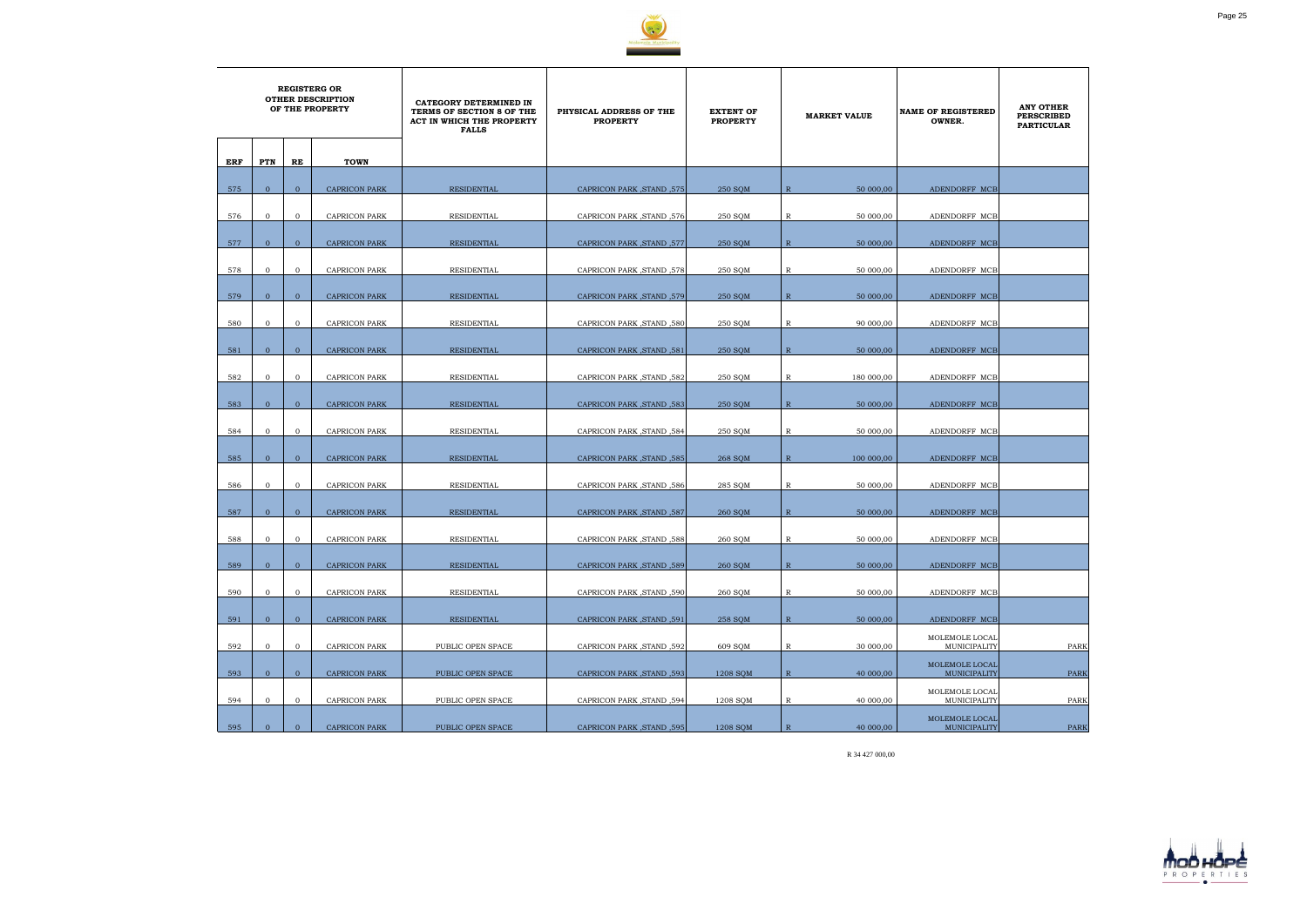

| <b>REGISTERG OR</b><br><b>OTHER DESCRIPTION</b><br>OF THE PROPERTY |                |                |                      | CATEGORY DETERMINED IN<br>TERMS OF SECTION 8 OF THE<br>ACT IN WHICH THE PROPERTY<br><b>FALLS</b> | PHYSICAL ADDRESS OF THE<br><b>PROPERTY</b> | <b>EXTENT OF</b><br><b>PROPERTY</b> | <b>MARKET VALUE</b> |            | <b>NAME OF REGISTERED</b><br>OWNER. | <b>ANY OTHER</b><br><b>PERSCRIBED</b><br><b>PARTICULAR</b> |
|--------------------------------------------------------------------|----------------|----------------|----------------------|--------------------------------------------------------------------------------------------------|--------------------------------------------|-------------------------------------|---------------------|------------|-------------------------------------|------------------------------------------------------------|
|                                                                    |                |                |                      |                                                                                                  |                                            |                                     |                     |            |                                     |                                                            |
| ERF                                                                | PTN            | RE             | <b>TOWN</b>          |                                                                                                  |                                            |                                     |                     |            |                                     |                                                            |
|                                                                    |                |                |                      |                                                                                                  |                                            |                                     |                     |            |                                     |                                                            |
| 575                                                                | $\mathbf{0}$   | $\mathbf{0}$   | <b>CAPRICON PARK</b> | RESIDENTIAL                                                                                      | <b>CAPRICON PARK, STAND, 575</b>           | 250 SQM                             | $\mathbb{R}$        | 50 000,00  | ADENDORFF MCB                       |                                                            |
| 576                                                                | $\mathbf{0}$   | $\mathbf{0}$   | CAPRICON PARK        | RESIDENTIAL                                                                                      | <b>CAPRICON PARK, STAND, 576</b>           | 250 SQM                             | R                   | 50 000,00  | ADENDORFF MCB                       |                                                            |
|                                                                    |                |                |                      |                                                                                                  |                                            |                                     |                     |            |                                     |                                                            |
| 577                                                                | $\overline{0}$ | $\overline{0}$ | <b>CAPRICON PARK</b> | RESIDENTIAL                                                                                      | CAPRICON PARK, STAND, 577                  | 250 SQM                             | $\mathbb{R}$        | 50 000,00  | ADENDORFF MCB                       |                                                            |
|                                                                    |                |                |                      |                                                                                                  |                                            |                                     |                     |            |                                     |                                                            |
| 578                                                                | $\mathbf 0$    | $\overline{0}$ | CAPRICON PARK        | RESIDENTIAL                                                                                      | CAPRICON PARK, STAND, 578                  | 250 SQM                             | R                   | 50 000,00  | ADENDORFF MCB                       |                                                            |
| 579                                                                | $\mathbf{0}$   | $\mathbf{0}$   | <b>CAPRICON PARK</b> | <b>RESIDENTIAL</b>                                                                               | CAPRICON PARK, STAND, 579                  | 250 SQM                             | $\mathbb{R}$        | 50 000,00  | ADENDORFF MCB                       |                                                            |
|                                                                    |                |                |                      |                                                                                                  |                                            |                                     |                     |            |                                     |                                                            |
| 580                                                                | $\mathbf{0}$   | $\mathbf{O}$   | <b>CAPRICON PARK</b> | <b>RESIDENTIAL</b>                                                                               | <b>CAPRICON PARK .STAND .580</b>           | 250 SQM                             | $\mathbb{R}$        | 90 000,00  | ADENDORFF MCB                       |                                                            |
|                                                                    |                |                |                      |                                                                                                  |                                            |                                     |                     |            |                                     |                                                            |
| 581                                                                | $\mathbf{0}$   | $\mathbf{0}$   | <b>CAPRICON PARK</b> | RESIDENTIAL                                                                                      | CAPRICON PARK, STAND, 581                  | 250 SQM                             | $\mathbb{R}$        | 50 000,00  | ADENDORFF MCB                       |                                                            |
|                                                                    |                |                |                      |                                                                                                  |                                            |                                     |                     |            |                                     |                                                            |
| 582                                                                | $\mathbf{0}$   | $\mathbf{0}$   | <b>CAPRICON PARK</b> | RESIDENTIAL                                                                                      | CAPRICON PARK, STAND, 582                  | 250 SQM                             | $\mathbb{R}$        | 180 000,00 | ADENDORFF MCB                       |                                                            |
| 583                                                                | $\overline{0}$ | $\overline{0}$ | <b>CAPRICON PARK</b> | <b>RESIDENTIAL</b>                                                                               | <b>CAPRICON PARK, STAND, 583</b>           | 250 SOM                             | $\mathbb{R}$        | 50 000,00  | ADENDORFF MCB                       |                                                            |
|                                                                    |                |                |                      |                                                                                                  |                                            |                                     |                     |            |                                     |                                                            |
| 584                                                                | $\mathbf{0}$   | $\mathbf{0}$   | CAPRICON PARK        | RESIDENTIAL                                                                                      | CAPRICON PARK, STAND, 584                  | 250 SQM                             | R                   | 50 000,00  | ADENDORFF MCB                       |                                                            |
|                                                                    |                |                |                      |                                                                                                  |                                            |                                     |                     |            |                                     |                                                            |
| 585                                                                | $\mathbf{0}$   | $\overline{0}$ | <b>CAPRICON PARK</b> | <b>RESIDENTIAL</b>                                                                               | <b>CAPRICON PARK, STAND, 585</b>           | 268 SOM                             | $\mathbb{R}$        | 100 000,00 | ADENDORFF MCB                       |                                                            |
| 586                                                                | $\mathbf{0}$   | $\mathbf{0}$   | CAPRICON PARK        | RESIDENTIAL                                                                                      | CAPRICON PARK, STAND, 586                  | 285 SQM                             | $\mathbb{R}$        | 50 000,00  | ADENDORFF MCB                       |                                                            |
|                                                                    |                |                |                      |                                                                                                  |                                            |                                     |                     |            |                                     |                                                            |
| 587                                                                | $\mathbf{0}$   | $\overline{0}$ | <b>CAPRICON PARK</b> | RESIDENTIAL                                                                                      | CAPRICON PARK, STAND, 587                  | 260 SQM                             | $\mathbb{R}$        | 50 000,00  | ADENDORFF MCB                       |                                                            |
|                                                                    |                |                |                      |                                                                                                  |                                            |                                     |                     |            |                                     |                                                            |
| 588                                                                | $\mathbf{0}$   | $\mathbf{0}$   | CAPRICON PARK        | RESIDENTIAL                                                                                      | CAPRICON PARK, STAND, 588                  | 260 SQM                             | R                   | 50 000,00  | ADENDORFF MCB                       |                                                            |
|                                                                    |                |                |                      |                                                                                                  |                                            |                                     |                     |            |                                     |                                                            |
| 589                                                                | $\mathbf{0}$   | $\overline{0}$ | CAPRICON PARK        | RESIDENTIAL                                                                                      | 589, CAPRICON PARK ,STAND                  | 260 SQM                             | $\mathbb{R}$        | 50 000,00  | ADENDORFF MCB                       |                                                            |
| 590                                                                | $\mathbf{0}$   | $\mathbf 0$    | <b>CAPRICON PARK</b> | <b>RESIDENTIAL</b>                                                                               | CAPRICON PARK, STAND, 590                  | 260 SQM                             | $\mathbb{R}$        | 50 000,00  | ADENDORFF MCB                       |                                                            |
|                                                                    |                |                |                      |                                                                                                  |                                            |                                     |                     |            |                                     |                                                            |
| 591                                                                | $\mathbf{0}$   | $\overline{0}$ | <b>CAPRICON PARK</b> | <b>RESIDENTIAL</b>                                                                               | CAPRICON PARK, STAND, 591                  | 258 SQM                             | $\mathbb{R}$        | 50 000,00  | ADENDORFF MCB                       |                                                            |
|                                                                    |                |                |                      |                                                                                                  |                                            |                                     |                     |            | MOLEMOLE LOCAL                      |                                                            |
| 592                                                                | $\overline{0}$ | $\mathbf 0$    | <b>CAPRICON PARK</b> | PUBLIC OPEN SPACE                                                                                | CAPRICON PARK, STAND, 592                  | 609 SQM                             | $\mathbb R$         | 30 000,00  | MUNICIPALITY                        | PARK                                                       |
| 593                                                                | $\mathbf{0}$   | $\mathbf{0}$   | <b>CAPRICON PARK</b> | PUBLIC OPEN SPACE                                                                                | CAPRICON PARK, STAND, 593                  | 1208 SOM                            | $\mathbb{R}$        | 40 000,00  | MOLEMOLE LOCAL<br>MUNICIPALITY      | <b>PARK</b>                                                |
|                                                                    |                |                |                      |                                                                                                  |                                            |                                     |                     |            | MOLEMOLE LOCAL                      |                                                            |
| 594                                                                | $\mathbf{O}$   | $\mathbf{0}$   | CAPRICON PARK        | PUBLIC OPEN SPACE                                                                                | CAPRICON PARK, STAND, 594                  | 1208 SQM                            | $\mathbb R$         | 40 000,00  | MUNICIPALITY                        | PARK                                                       |
|                                                                    |                |                |                      |                                                                                                  |                                            |                                     |                     |            | MOLEMOLE LOCAL                      |                                                            |
| 595                                                                | $\mathbf{0}$   | $\overline{0}$ | CAPRICON PARK        | PUBLIC OPEN SPACE                                                                                | CAPRICON PARK, STAND, 595                  | 1208 SQM                            | $\mathbb{R}$        | 40 000,00  | MUNICIPALITY                        | PARK                                                       |

R 34 427 000,00